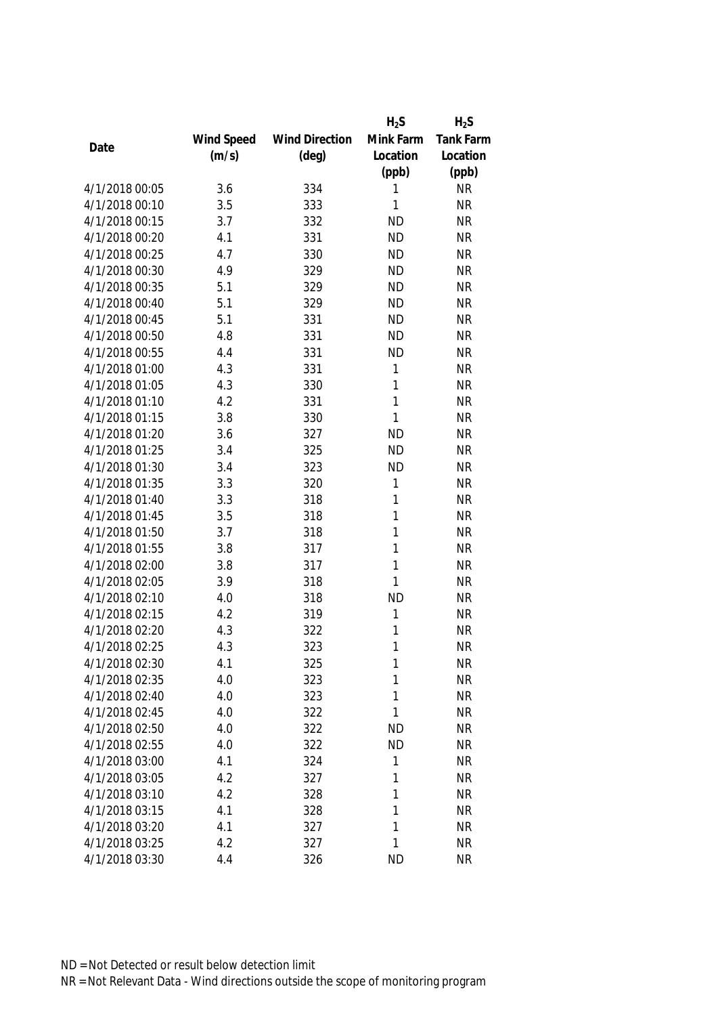|                |            |                       | $H_2S$       | $H_2S$    |
|----------------|------------|-----------------------|--------------|-----------|
|                | Wind Speed | <b>Wind Direction</b> | Mink Farm    | Tank Farm |
| Date           | (m/s)      | $(\text{deg})$        | Location     | Location  |
|                |            |                       | (ppb)        | (ppb)     |
| 4/1/2018 00:05 | 3.6        | 334                   | 1            | <b>NR</b> |
| 4/1/2018 00:10 | 3.5        | 333                   | 1            | <b>NR</b> |
| 4/1/2018 00:15 | 3.7        | 332                   | <b>ND</b>    | <b>NR</b> |
| 4/1/2018 00:20 | 4.1        | 331                   | <b>ND</b>    | <b>NR</b> |
| 4/1/2018 00:25 | 4.7        | 330                   | <b>ND</b>    | <b>NR</b> |
| 4/1/2018 00:30 | 4.9        | 329                   | <b>ND</b>    | <b>NR</b> |
| 4/1/2018 00:35 | 5.1        | 329                   | <b>ND</b>    | <b>NR</b> |
| 4/1/2018 00:40 | 5.1        | 329                   | <b>ND</b>    | <b>NR</b> |
| 4/1/2018 00:45 | 5.1        | 331                   | <b>ND</b>    | <b>NR</b> |
| 4/1/2018 00:50 | 4.8        | 331                   | <b>ND</b>    | <b>NR</b> |
| 4/1/2018 00:55 | 4.4        | 331                   | <b>ND</b>    | <b>NR</b> |
| 4/1/2018 01:00 | 4.3        | 331                   | 1            | <b>NR</b> |
| 4/1/2018 01:05 | 4.3        | 330                   | 1            | <b>NR</b> |
| 4/1/2018 01:10 | 4.2        | 331                   | $\mathbf{1}$ | <b>NR</b> |
| 4/1/2018 01:15 | 3.8        | 330                   | $\mathbf{1}$ | <b>NR</b> |
| 4/1/2018 01:20 | 3.6        | 327                   | <b>ND</b>    | <b>NR</b> |
| 4/1/2018 01:25 | 3.4        | 325                   | <b>ND</b>    | <b>NR</b> |
| 4/1/2018 01:30 | 3.4        | 323                   | <b>ND</b>    | <b>NR</b> |
| 4/1/2018 01:35 | 3.3        | 320                   | 1            | <b>NR</b> |
| 4/1/2018 01:40 | 3.3        | 318                   | 1            | <b>NR</b> |
| 4/1/2018 01:45 | 3.5        | 318                   | 1            | <b>NR</b> |
| 4/1/2018 01:50 | 3.7        | 318                   | 1            | <b>NR</b> |
| 4/1/2018 01:55 | 3.8        | 317                   | 1            | <b>NR</b> |
| 4/1/2018 02:00 | 3.8        | 317                   | $\mathbf{1}$ | <b>NR</b> |
| 4/1/2018 02:05 | 3.9        | 318                   | $\mathbf{1}$ | <b>NR</b> |
| 4/1/2018 02:10 | 4.0        | 318                   | <b>ND</b>    | <b>NR</b> |
| 4/1/2018 02:15 | 4.2        | 319                   | 1            | <b>NR</b> |
| 4/1/2018 02:20 | 4.3        | 322                   | 1            | <b>NR</b> |
| 4/1/2018 02:25 | 4.3        | 323                   | 1            | <b>NR</b> |
| 4/1/2018 02:30 | 4.1        | 325                   | 1            | <b>NR</b> |
| 4/1/2018 02:35 | 4.0        | 323                   | 1            | <b>NR</b> |
| 4/1/2018 02:40 | 4.0        | 323                   | 1            | <b>NR</b> |
| 4/1/2018 02:45 | 4.0        | 322                   | 1            | <b>NR</b> |
| 4/1/2018 02:50 | 4.0        | 322                   | <b>ND</b>    | <b>NR</b> |
| 4/1/2018 02:55 | 4.0        | 322                   | <b>ND</b>    | <b>NR</b> |
| 4/1/2018 03:00 | 4.1        | 324                   | 1            | <b>NR</b> |
| 4/1/2018 03:05 | 4.2        | 327                   | 1            | <b>NR</b> |
| 4/1/2018 03:10 | 4.2        | 328                   | 1            | <b>NR</b> |
| 4/1/2018 03:15 | 4.1        | 328                   | 1            | <b>NR</b> |
| 4/1/2018 03:20 | 4.1        | 327                   | 1            | <b>NR</b> |
| 4/1/2018 03:25 | 4.2        | 327                   | 1            | <b>NR</b> |
| 4/1/2018 03:30 | 4.4        | 326                   | <b>ND</b>    | <b>NR</b> |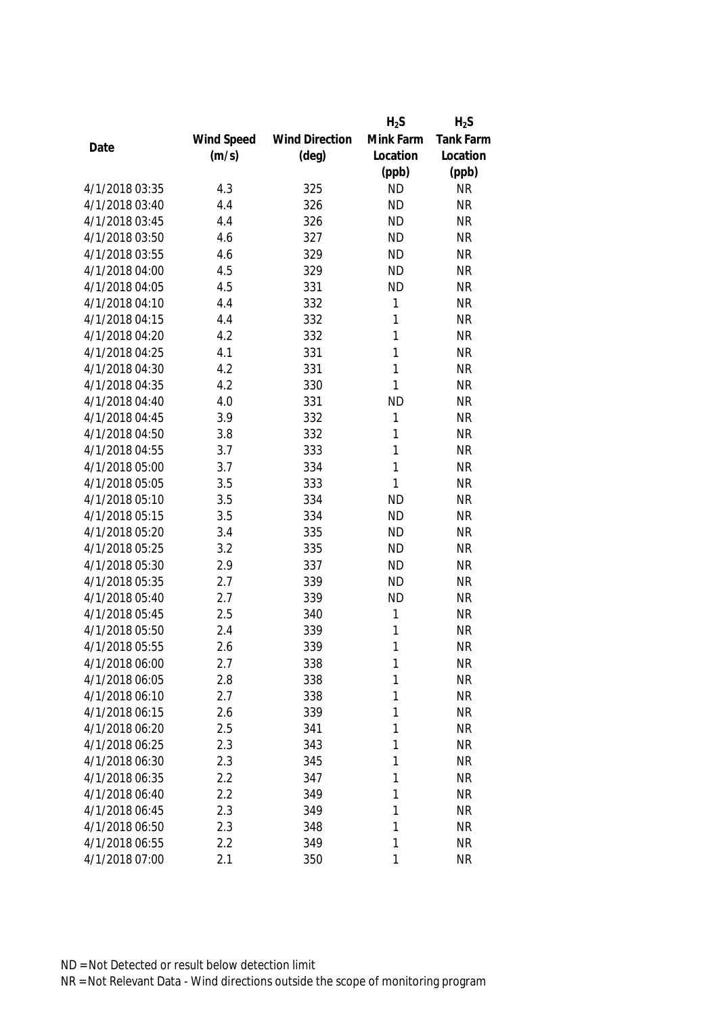|                |            |                       | $H_2S$       | $H_2S$    |
|----------------|------------|-----------------------|--------------|-----------|
|                | Wind Speed | <b>Wind Direction</b> | Mink Farm    | Tank Farm |
| Date           | (m/s)      | $(\text{deg})$        | Location     | Location  |
|                |            |                       | (ppb)        | (ppb)     |
| 4/1/2018 03:35 | 4.3        | 325                   | <b>ND</b>    | <b>NR</b> |
| 4/1/2018 03:40 | 4.4        | 326                   | <b>ND</b>    | <b>NR</b> |
| 4/1/2018 03:45 | 4.4        | 326                   | <b>ND</b>    | <b>NR</b> |
| 4/1/2018 03:50 | 4.6        | 327                   | <b>ND</b>    | <b>NR</b> |
| 4/1/2018 03:55 | 4.6        | 329                   | <b>ND</b>    | <b>NR</b> |
| 4/1/2018 04:00 | 4.5        | 329                   | <b>ND</b>    | <b>NR</b> |
| 4/1/2018 04:05 | 4.5        | 331                   | <b>ND</b>    | <b>NR</b> |
| 4/1/2018 04:10 | 4.4        | 332                   | 1            | <b>NR</b> |
| 4/1/2018 04:15 | 4.4        | 332                   | 1            | <b>NR</b> |
| 4/1/2018 04:20 | 4.2        | 332                   | $\mathbf{1}$ | <b>NR</b> |
| 4/1/2018 04:25 | 4.1        | 331                   | 1            | <b>NR</b> |
| 4/1/2018 04:30 | 4.2        | 331                   | 1            | <b>NR</b> |
| 4/1/2018 04:35 | 4.2        | 330                   | 1            | <b>NR</b> |
| 4/1/2018 04:40 | 4.0        | 331                   | <b>ND</b>    | <b>NR</b> |
| 4/1/2018 04:45 | 3.9        | 332                   | 1            | <b>NR</b> |
| 4/1/2018 04:50 | 3.8        | 332                   | $\mathbf{1}$ | <b>NR</b> |
| 4/1/2018 04:55 | 3.7        | 333                   | 1            | <b>NR</b> |
| 4/1/2018 05:00 | 3.7        | 334                   | $\mathbf{1}$ | <b>NR</b> |
| 4/1/2018 05:05 | 3.5        | 333                   | $\mathbf{1}$ | <b>NR</b> |
| 4/1/2018 05:10 | 3.5        | 334                   | <b>ND</b>    | <b>NR</b> |
| 4/1/2018 05:15 | 3.5        | 334                   | <b>ND</b>    | <b>NR</b> |
| 4/1/2018 05:20 | 3.4        | 335                   | <b>ND</b>    | <b>NR</b> |
| 4/1/2018 05:25 | 3.2        | 335                   | <b>ND</b>    | <b>NR</b> |
| 4/1/2018 05:30 | 2.9        | 337                   | <b>ND</b>    | <b>NR</b> |
| 4/1/2018 05:35 | 2.7        | 339                   | <b>ND</b>    | <b>NR</b> |
| 4/1/2018 05:40 | 2.7        | 339                   | <b>ND</b>    | <b>NR</b> |
| 4/1/2018 05:45 | 2.5        | 340                   | 1            | <b>NR</b> |
| 4/1/2018 05:50 | 2.4        | 339                   | 1            | <b>NR</b> |
| 4/1/2018 05:55 | 2.6        | 339                   | 1            | <b>NR</b> |
| 4/1/2018 06:00 | 2.7        | 338                   | 1            | <b>NR</b> |
| 4/1/2018 06:05 | 2.8        | 338                   | 1            | <b>NR</b> |
| 4/1/2018 06:10 | 2.7        | 338                   | 1            | <b>NR</b> |
| 4/1/2018 06:15 | 2.6        | 339                   | 1            | <b>NR</b> |
| 4/1/2018 06:20 | 2.5        | 341                   | 1            | <b>NR</b> |
| 4/1/2018 06:25 | 2.3        | 343                   | 1            | <b>NR</b> |
| 4/1/2018 06:30 | 2.3        | 345                   | 1            | <b>NR</b> |
| 4/1/2018 06:35 | 2.2        | 347                   | 1            | <b>NR</b> |
| 4/1/2018 06:40 | 2.2        | 349                   | 1            | <b>NR</b> |
| 4/1/2018 06:45 | 2.3        | 349                   | 1            | <b>NR</b> |
| 4/1/2018 06:50 | 2.3        | 348                   | 1            | <b>NR</b> |
| 4/1/2018 06:55 | 2.2        | 349                   | 1            | <b>NR</b> |
| 4/1/2018 07:00 | 2.1        | 350                   | 1            | <b>NR</b> |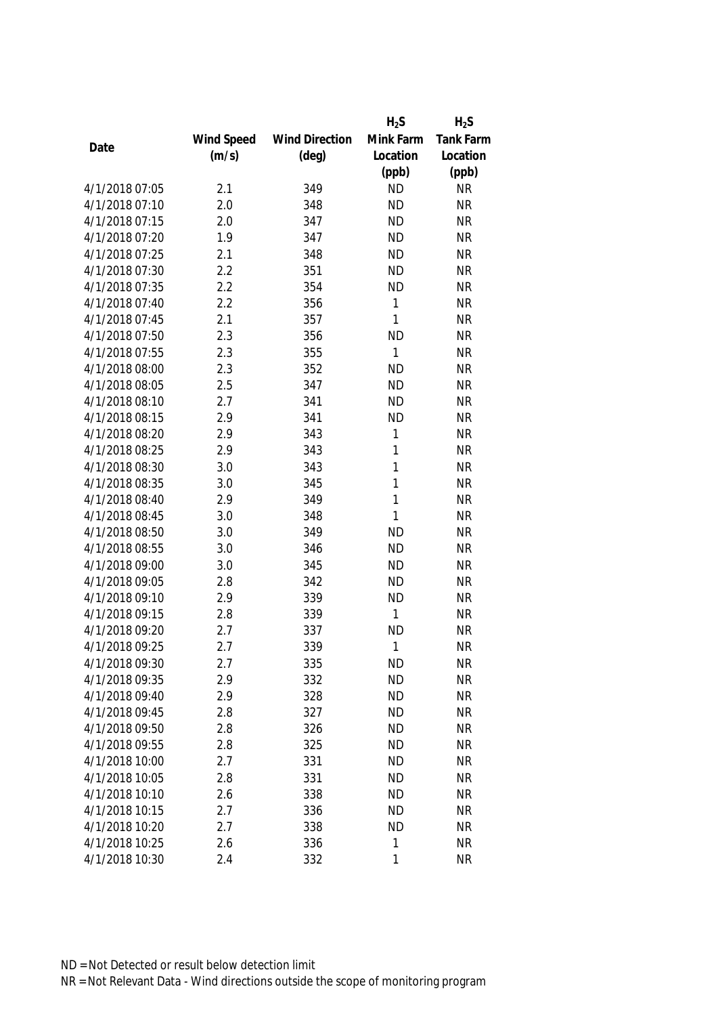|                |            |                       | $H_2S$       | $H_2S$           |
|----------------|------------|-----------------------|--------------|------------------|
|                | Wind Speed | <b>Wind Direction</b> | Mink Farm    | <b>Tank Farm</b> |
| Date           | (m/s)      | $(\text{deg})$        | Location     | Location         |
|                |            |                       | (ppb)        | (ppb)            |
| 4/1/2018 07:05 | 2.1        | 349                   | <b>ND</b>    | <b>NR</b>        |
| 4/1/2018 07:10 | 2.0        | 348                   | <b>ND</b>    | <b>NR</b>        |
| 4/1/2018 07:15 | 2.0        | 347                   | <b>ND</b>    | <b>NR</b>        |
| 4/1/2018 07:20 | 1.9        | 347                   | <b>ND</b>    | <b>NR</b>        |
| 4/1/2018 07:25 | 2.1        | 348                   | <b>ND</b>    | <b>NR</b>        |
| 4/1/2018 07:30 | 2.2        | 351                   | <b>ND</b>    | <b>NR</b>        |
| 4/1/2018 07:35 | 2.2        | 354                   | <b>ND</b>    | <b>NR</b>        |
| 4/1/2018 07:40 | 2.2        | 356                   | 1            | <b>NR</b>        |
| 4/1/2018 07:45 | 2.1        | 357                   | 1            | <b>NR</b>        |
| 4/1/2018 07:50 | 2.3        | 356                   | <b>ND</b>    | <b>NR</b>        |
| 4/1/2018 07:55 | 2.3        | 355                   | $\mathbf{1}$ | <b>NR</b>        |
| 4/1/2018 08:00 | 2.3        | 352                   | <b>ND</b>    | <b>NR</b>        |
| 4/1/2018 08:05 | 2.5        | 347                   | <b>ND</b>    | <b>NR</b>        |
| 4/1/2018 08:10 | 2.7        | 341                   | <b>ND</b>    | <b>NR</b>        |
| 4/1/2018 08:15 | 2.9        | 341                   | <b>ND</b>    | <b>NR</b>        |
| 4/1/2018 08:20 | 2.9        | 343                   | 1            | <b>NR</b>        |
| 4/1/2018 08:25 | 2.9        | 343                   | 1            | <b>NR</b>        |
| 4/1/2018 08:30 | 3.0        | 343                   | $\mathbf{1}$ | <b>NR</b>        |
| 4/1/2018 08:35 | 3.0        | 345                   | 1            | <b>NR</b>        |
| 4/1/2018 08:40 | 2.9        | 349                   | $\mathbf{1}$ | <b>NR</b>        |
| 4/1/2018 08:45 | 3.0        | 348                   | $\mathbf{1}$ | <b>NR</b>        |
| 4/1/2018 08:50 | 3.0        | 349                   | <b>ND</b>    | <b>NR</b>        |
| 4/1/2018 08:55 | 3.0        | 346                   | <b>ND</b>    | <b>NR</b>        |
| 4/1/2018 09:00 | 3.0        | 345                   | <b>ND</b>    | <b>NR</b>        |
| 4/1/2018 09:05 | 2.8        | 342                   | <b>ND</b>    | <b>NR</b>        |
| 4/1/2018 09:10 | 2.9        | 339                   | <b>ND</b>    | <b>NR</b>        |
| 4/1/2018 09:15 | 2.8        | 339                   | $\mathbf{1}$ | <b>NR</b>        |
| 4/1/2018 09:20 | 2.7        | 337                   | <b>ND</b>    | <b>NR</b>        |
| 4/1/2018 09:25 | 2.7        | 339                   | $\mathbf{1}$ | <b>NR</b>        |
| 4/1/2018 09:30 | 2.7        | 335                   | <b>ND</b>    | <b>NR</b>        |
| 4/1/2018 09:35 | 2.9        | 332                   | <b>ND</b>    | <b>NR</b>        |
| 4/1/2018 09:40 | 2.9        | 328                   | <b>ND</b>    | <b>NR</b>        |
| 4/1/2018 09:45 | 2.8        | 327                   | <b>ND</b>    | <b>NR</b>        |
| 4/1/2018 09:50 | 2.8        | 326                   | <b>ND</b>    | <b>NR</b>        |
| 4/1/2018 09:55 | 2.8        | 325                   | <b>ND</b>    | <b>NR</b>        |
| 4/1/2018 10:00 | 2.7        | 331                   | <b>ND</b>    | <b>NR</b>        |
| 4/1/2018 10:05 | 2.8        | 331                   | <b>ND</b>    | <b>NR</b>        |
| 4/1/2018 10:10 | 2.6        | 338                   | <b>ND</b>    | <b>NR</b>        |
| 4/1/2018 10:15 | 2.7        | 336                   | <b>ND</b>    | <b>NR</b>        |
| 4/1/2018 10:20 | 2.7        | 338                   | <b>ND</b>    | <b>NR</b>        |
| 4/1/2018 10:25 | 2.6        | 336                   | 1            | <b>NR</b>        |
| 4/1/2018 10:30 | 2.4        | 332                   | $\mathbf{1}$ | <b>NR</b>        |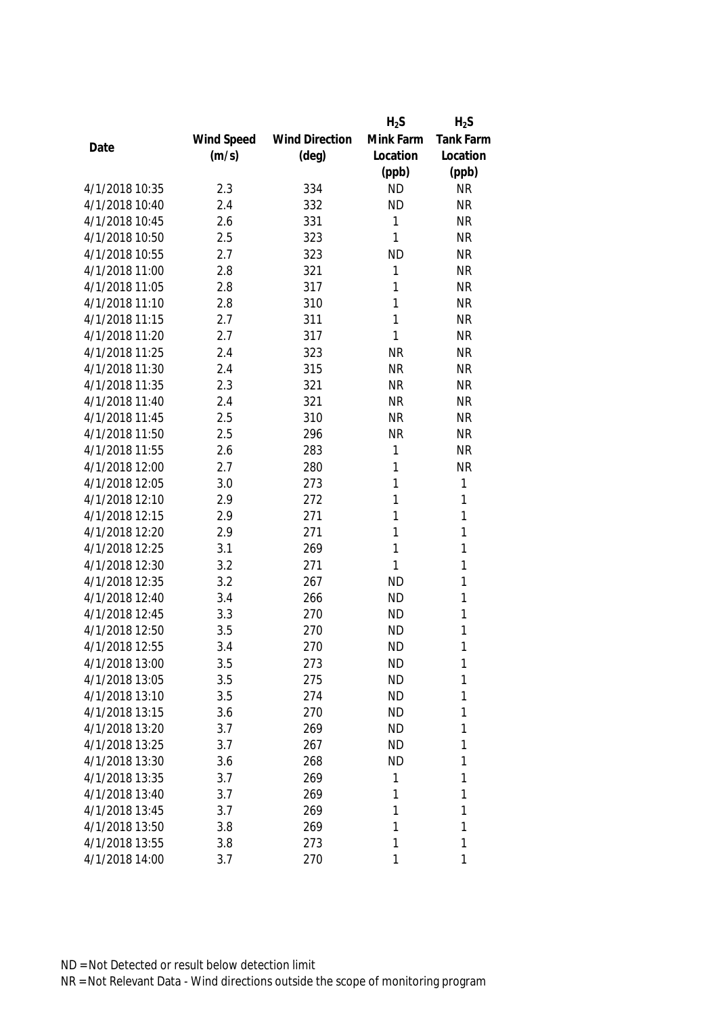|                |            |                       | $H_2S$    | $H_2S$           |
|----------------|------------|-----------------------|-----------|------------------|
|                | Wind Speed | <b>Wind Direction</b> | Mink Farm | <b>Tank Farm</b> |
| Date           | (m/s)      | $(\text{deg})$        | Location  | Location         |
|                |            |                       | (ppb)     | (ppb)            |
| 4/1/2018 10:35 | 2.3        | 334                   | <b>ND</b> | <b>NR</b>        |
| 4/1/2018 10:40 | 2.4        | 332                   | <b>ND</b> | <b>NR</b>        |
| 4/1/2018 10:45 | 2.6        | 331                   | 1         | <b>NR</b>        |
| 4/1/2018 10:50 | 2.5        | 323                   | 1         | <b>NR</b>        |
| 4/1/2018 10:55 | 2.7        | 323                   | <b>ND</b> | <b>NR</b>        |
| 4/1/2018 11:00 | 2.8        | 321                   | 1         | <b>NR</b>        |
| 4/1/2018 11:05 | 2.8        | 317                   | 1         | <b>NR</b>        |
| 4/1/2018 11:10 | 2.8        | 310                   | 1         | <b>NR</b>        |
| 4/1/2018 11:15 | 2.7        | 311                   | 1         | <b>NR</b>        |
| 4/1/2018 11:20 | 2.7        | 317                   | 1         | <b>NR</b>        |
| 4/1/2018 11:25 | 2.4        | 323                   | <b>NR</b> | <b>NR</b>        |
| 4/1/2018 11:30 | 2.4        | 315                   | <b>NR</b> | <b>NR</b>        |
| 4/1/2018 11:35 | 2.3        | 321                   | <b>NR</b> | <b>NR</b>        |
| 4/1/2018 11:40 | 2.4        | 321                   | <b>NR</b> | <b>NR</b>        |
| 4/1/2018 11:45 | 2.5        | 310                   | <b>NR</b> | <b>NR</b>        |
| 4/1/2018 11:50 | 2.5        | 296                   | <b>NR</b> | <b>NR</b>        |
| 4/1/2018 11:55 | 2.6        | 283                   | 1         | <b>NR</b>        |
| 4/1/2018 12:00 | 2.7        | 280                   | 1         | <b>NR</b>        |
| 4/1/2018 12:05 | 3.0        | 273                   | 1         | $\mathbf{1}$     |
| 4/1/2018 12:10 | 2.9        | 272                   | 1         | 1                |
| 4/1/2018 12:15 | 2.9        | 271                   | 1         | 1                |
| 4/1/2018 12:20 | 2.9        | 271                   | 1         | 1                |
| 4/1/2018 12:25 | 3.1        | 269                   | 1         | $\mathbf{1}$     |
| 4/1/2018 12:30 | 3.2        | 271                   | 1         | $\mathbf{1}$     |
| 4/1/2018 12:35 | 3.2        | 267                   | <b>ND</b> | 1                |
| 4/1/2018 12:40 | 3.4        | 266                   | <b>ND</b> | 1                |
| 4/1/2018 12:45 | 3.3        | 270                   | <b>ND</b> | 1                |
| 4/1/2018 12:50 | 3.5        | 270                   | <b>ND</b> | 1                |
| 4/1/2018 12:55 | 3.4        | 270                   | <b>ND</b> | 1                |
| 4/1/2018 13:00 | 3.5        | 273                   | <b>ND</b> | 1                |
| 4/1/2018 13:05 | 3.5        | 275                   | <b>ND</b> | 1                |
| 4/1/2018 13:10 | 3.5        | 274                   | <b>ND</b> | 1                |
| 4/1/2018 13:15 | 3.6        | 270                   | <b>ND</b> | 1                |
| 4/1/2018 13:20 | 3.7        | 269                   | <b>ND</b> | 1                |
| 4/1/2018 13:25 | 3.7        | 267                   | <b>ND</b> | 1                |
| 4/1/2018 13:30 | 3.6        | 268                   | <b>ND</b> | 1                |
| 4/1/2018 13:35 | 3.7        | 269                   | 1         | 1                |
| 4/1/2018 13:40 | 3.7        | 269                   | 1         | 1                |
| 4/1/2018 13:45 | 3.7        | 269                   | 1         | 1                |
| 4/1/2018 13:50 | 3.8        | 269                   | 1         | 1                |
| 4/1/2018 13:55 | 3.8        | 273                   | 1         | 1                |
| 4/1/2018 14:00 | 3.7        | 270                   | 1         | 1                |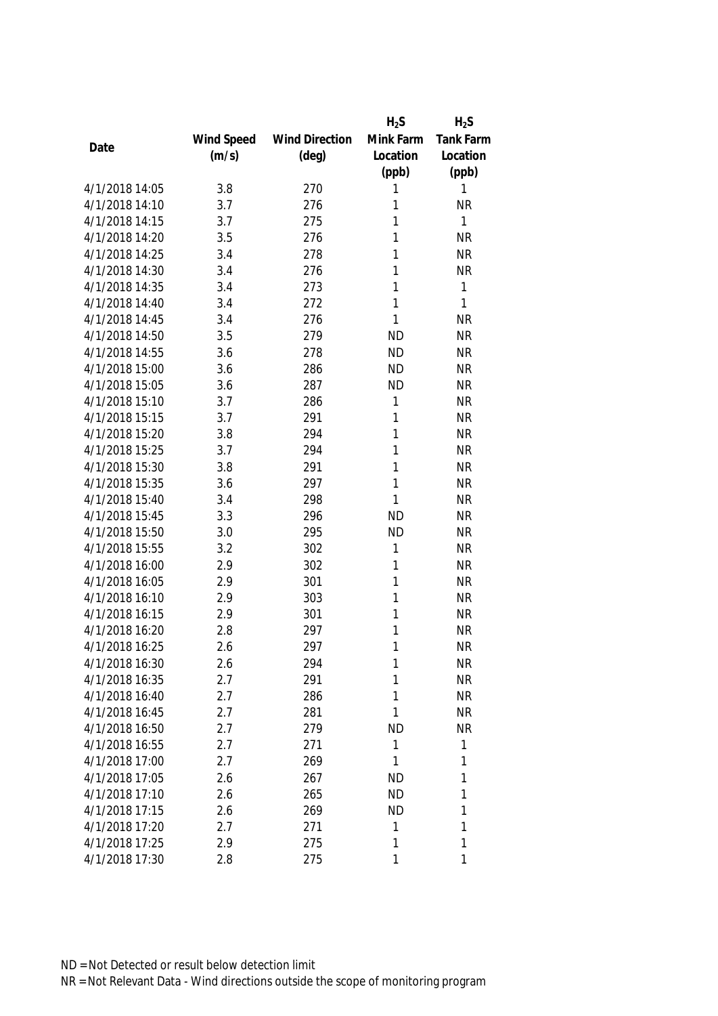|                |            |                       | $H_2S$    | $H_2S$    |
|----------------|------------|-----------------------|-----------|-----------|
|                | Wind Speed | <b>Wind Direction</b> | Mink Farm | Tank Farm |
| Date           | (m/s)      | $(\text{deg})$        | Location  | Location  |
|                |            |                       | (ppb)     | (ppb)     |
| 4/1/2018 14:05 | 3.8        | 270                   | 1         | 1         |
| 4/1/2018 14:10 | 3.7        | 276                   | 1         | <b>NR</b> |
| 4/1/2018 14:15 | 3.7        | 275                   | 1         | 1         |
| 4/1/2018 14:20 | 3.5        | 276                   | 1         | <b>NR</b> |
| 4/1/2018 14:25 | 3.4        | 278                   | 1         | <b>NR</b> |
| 4/1/2018 14:30 | 3.4        | 276                   | 1         | <b>NR</b> |
| 4/1/2018 14:35 | 3.4        | 273                   | 1         | 1         |
| 4/1/2018 14:40 | 3.4        | 272                   | 1         | 1         |
| 4/1/2018 14:45 | 3.4        | 276                   | 1         | <b>NR</b> |
| 4/1/2018 14:50 | 3.5        | 279                   | <b>ND</b> | <b>NR</b> |
| 4/1/2018 14:55 | 3.6        | 278                   | <b>ND</b> | <b>NR</b> |
| 4/1/2018 15:00 | 3.6        | 286                   | <b>ND</b> | <b>NR</b> |
| 4/1/2018 15:05 | 3.6        | 287                   | <b>ND</b> | <b>NR</b> |
| 4/1/2018 15:10 | 3.7        | 286                   | 1         | <b>NR</b> |
| 4/1/2018 15:15 | 3.7        | 291                   | 1         | <b>NR</b> |
| 4/1/2018 15:20 | 3.8        | 294                   | 1         | <b>NR</b> |
| 4/1/2018 15:25 | 3.7        | 294                   | 1         | <b>NR</b> |
| 4/1/2018 15:30 | 3.8        | 291                   | 1         | <b>NR</b> |
| 4/1/2018 15:35 | 3.6        | 297                   | 1         | <b>NR</b> |
| 4/1/2018 15:40 | 3.4        | 298                   | 1         | <b>NR</b> |
| 4/1/2018 15:45 | 3.3        | 296                   | <b>ND</b> | <b>NR</b> |
| 4/1/2018 15:50 | 3.0        | 295                   | <b>ND</b> | <b>NR</b> |
| 4/1/2018 15:55 | 3.2        | 302                   | 1         | <b>NR</b> |
| 4/1/2018 16:00 | 2.9        | 302                   | 1         | <b>NR</b> |
| 4/1/2018 16:05 | 2.9        | 301                   | 1         | <b>NR</b> |
| 4/1/2018 16:10 | 2.9        | 303                   | 1         | <b>NR</b> |
| 4/1/2018 16:15 | 2.9        | 301                   | 1         | <b>NR</b> |
| 4/1/2018 16:20 | 2.8        | 297                   | 1         | <b>NR</b> |
| 4/1/2018 16:25 | 2.6        | 297                   | 1         | <b>NR</b> |
| 4/1/2018 16:30 | 2.6        | 294                   | 1         | <b>NR</b> |
| 4/1/2018 16:35 | 2.7        | 291                   | 1         | <b>NR</b> |
| 4/1/2018 16:40 | 2.7        | 286                   | 1         | <b>NR</b> |
| 4/1/2018 16:45 | 2.7        | 281                   | 1         | <b>NR</b> |
| 4/1/2018 16:50 | 2.7        | 279                   | <b>ND</b> | <b>NR</b> |
| 4/1/2018 16:55 | 2.7        | 271                   | 1         | 1         |
| 4/1/2018 17:00 | 2.7        | 269                   | 1         | 1         |
| 4/1/2018 17:05 | 2.6        | 267                   | <b>ND</b> | 1         |
| 4/1/2018 17:10 | 2.6        | 265                   | <b>ND</b> | 1         |
| 4/1/2018 17:15 | 2.6        | 269                   | <b>ND</b> | 1         |
| 4/1/2018 17:20 | 2.7        | 271                   | 1         | 1         |
| 4/1/2018 17:25 | 2.9        | 275                   | 1         | 1         |
| 4/1/2018 17:30 | 2.8        | 275                   | 1         | 1         |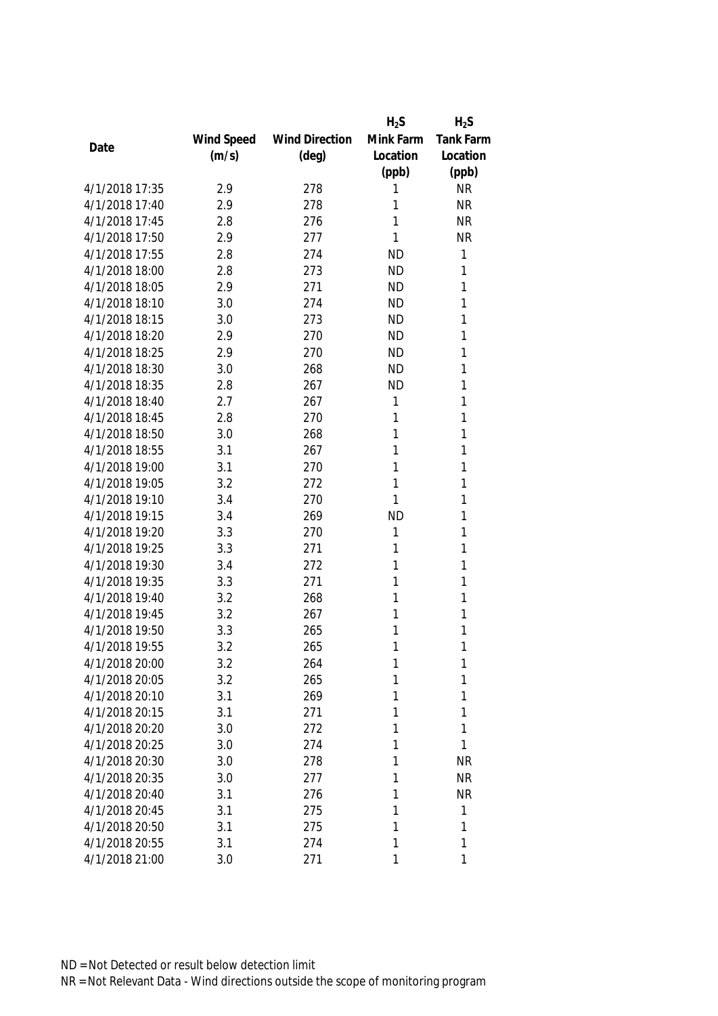|                |            |                       | $H_2S$    | $H_2S$           |
|----------------|------------|-----------------------|-----------|------------------|
|                | Wind Speed | <b>Wind Direction</b> | Mink Farm | <b>Tank Farm</b> |
| Date           | (m/s)      | $(\text{deg})$        | Location  | Location         |
|                |            |                       | (ppb)     | (ppb)            |
| 4/1/2018 17:35 | 2.9        | 278                   | 1         | <b>NR</b>        |
| 4/1/2018 17:40 | 2.9        | 278                   | 1         | <b>NR</b>        |
| 4/1/2018 17:45 | 2.8        | 276                   | 1         | <b>NR</b>        |
| 4/1/2018 17:50 | 2.9        | 277                   | 1         | <b>NR</b>        |
| 4/1/2018 17:55 | 2.8        | 274                   | <b>ND</b> | 1                |
| 4/1/2018 18:00 | 2.8        | 273                   | <b>ND</b> | 1                |
| 4/1/2018 18:05 | 2.9        | 271                   | <b>ND</b> | 1                |
| 4/1/2018 18:10 | 3.0        | 274                   | <b>ND</b> | 1                |
| 4/1/2018 18:15 | 3.0        | 273                   | <b>ND</b> | 1                |
| 4/1/2018 18:20 | 2.9        | 270                   | <b>ND</b> | 1                |
| 4/1/2018 18:25 | 2.9        | 270                   | <b>ND</b> | 1                |
| 4/1/2018 18:30 | 3.0        | 268                   | <b>ND</b> | 1                |
| 4/1/2018 18:35 | 2.8        | 267                   | <b>ND</b> | 1                |
| 4/1/2018 18:40 | 2.7        | 267                   | 1         | 1                |
| 4/1/2018 18:45 | 2.8        | 270                   | 1         | 1                |
| 4/1/2018 18:50 | 3.0        | 268                   | 1         | 1                |
| 4/1/2018 18:55 | 3.1        | 267                   | 1         | 1                |
| 4/1/2018 19:00 | 3.1        | 270                   | 1         | 1                |
| 4/1/2018 19:05 | 3.2        | 272                   | 1         | 1                |
| 4/1/2018 19:10 | 3.4        | 270                   | 1         | 1                |
| 4/1/2018 19:15 | 3.4        | 269                   | <b>ND</b> | 1                |
| 4/1/2018 19:20 | 3.3        | 270                   | 1         | 1                |
| 4/1/2018 19:25 | 3.3        | 271                   | 1         | 1                |
| 4/1/2018 19:30 | 3.4        | 272                   | 1         | 1                |
| 4/1/2018 19:35 | 3.3        | 271                   | 1         | 1                |
| 4/1/2018 19:40 | 3.2        | 268                   | 1         | 1                |
| 4/1/2018 19:45 | 3.2        | 267                   | 1         | 1                |
| 4/1/2018 19:50 | 3.3        | 265                   | 1         | 1                |
| 4/1/2018 19:55 | 3.2        | 265                   | 1         | 1                |
| 4/1/2018 20:00 | 3.2        | 264                   | 1         | 1                |
| 4/1/2018 20:05 | 3.2        | 265                   | 1         | 1                |
| 4/1/2018 20:10 | 3.1        | 269                   | 1         | 1                |
| 4/1/2018 20:15 | 3.1        | 271                   | 1         | 1                |
| 4/1/2018 20:20 | 3.0        | 272                   | 1         | 1                |
| 4/1/2018 20:25 | 3.0        | 274                   | 1         | 1                |
| 4/1/2018 20:30 | 3.0        | 278                   | 1         | <b>NR</b>        |
| 4/1/2018 20:35 | 3.0        | 277                   | 1         | <b>NR</b>        |
| 4/1/2018 20:40 | 3.1        | 276                   | 1         | <b>NR</b>        |
| 4/1/2018 20:45 | 3.1        | 275                   | 1         | 1                |
| 4/1/2018 20:50 | 3.1        | 275                   | 1         | 1                |
| 4/1/2018 20:55 | 3.1        | 274                   | 1         | 1                |
| 4/1/2018 21:00 | 3.0        | 271                   | 1         | 1                |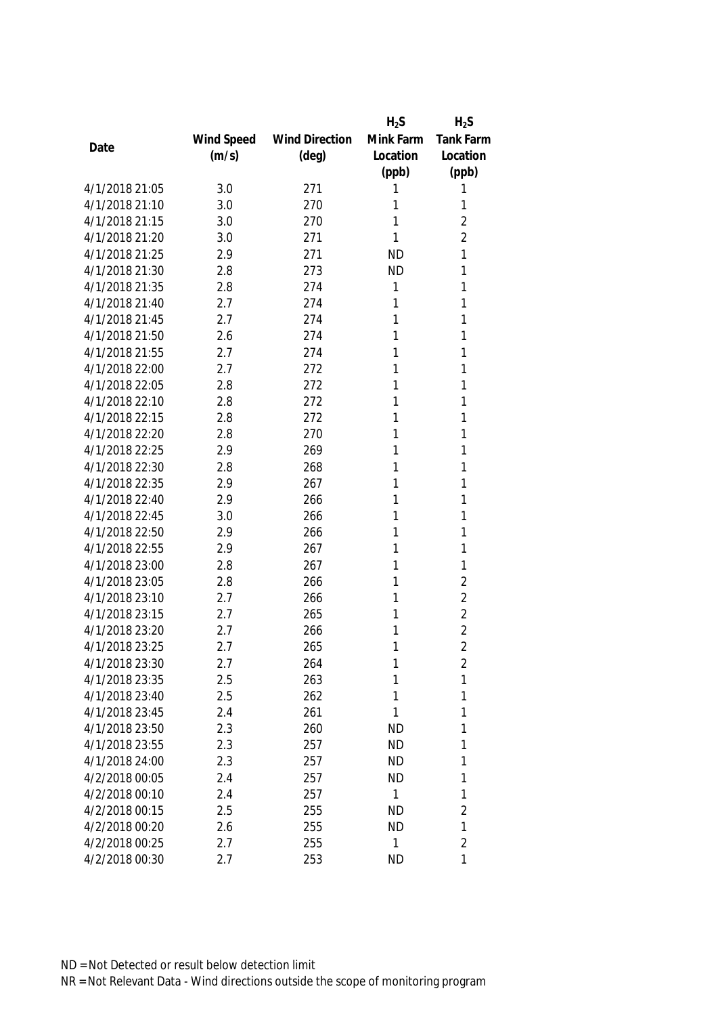|                |            |                       | $H_2S$    | $H_2S$           |
|----------------|------------|-----------------------|-----------|------------------|
|                | Wind Speed | <b>Wind Direction</b> | Mink Farm | <b>Tank Farm</b> |
| Date           | (m/s)      | $(\text{deg})$        | Location  | Location         |
|                |            |                       | (ppb)     | (ppb)            |
| 4/1/2018 21:05 | 3.0        | 271                   | 1         | 1                |
| 4/1/2018 21:10 | 3.0        | 270                   | 1         | 1                |
| 4/1/2018 21:15 | 3.0        | 270                   | 1         | $\overline{2}$   |
| 4/1/2018 21:20 | 3.0        | 271                   | 1         | $\overline{2}$   |
| 4/1/2018 21:25 | 2.9        | 271                   | <b>ND</b> | 1                |
| 4/1/2018 21:30 | 2.8        | 273                   | <b>ND</b> | 1                |
| 4/1/2018 21:35 | 2.8        | 274                   | 1         | 1                |
| 4/1/2018 21:40 | 2.7        | 274                   | 1         | 1                |
| 4/1/2018 21:45 | 2.7        | 274                   | 1         | 1                |
| 4/1/2018 21:50 | 2.6        | 274                   | 1         | 1                |
| 4/1/2018 21:55 | 2.7        | 274                   | 1         | 1                |
| 4/1/2018 22:00 | 2.7        | 272                   | 1         | 1                |
| 4/1/2018 22:05 | 2.8        | 272                   | 1         | 1                |
| 4/1/2018 22:10 | 2.8        | 272                   | 1         | 1                |
| 4/1/2018 22:15 | 2.8        | 272                   | 1         | 1                |
| 4/1/2018 22:20 | 2.8        | 270                   | 1         | 1                |
| 4/1/2018 22:25 | 2.9        | 269                   | 1         | 1                |
| 4/1/2018 22:30 | 2.8        | 268                   | 1         | 1                |
| 4/1/2018 22:35 | 2.9        | 267                   | 1         | 1                |
| 4/1/2018 22:40 | 2.9        | 266                   | 1         | 1                |
| 4/1/2018 22:45 | 3.0        | 266                   | 1         | 1                |
| 4/1/2018 22:50 | 2.9        | 266                   | 1         | 1                |
| 4/1/2018 22:55 | 2.9        | 267                   | 1         | 1                |
| 4/1/2018 23:00 | 2.8        | 267                   | 1         | 1                |
| 4/1/2018 23:05 | 2.8        | 266                   | 1         | $\overline{2}$   |
| 4/1/2018 23:10 | 2.7        | 266                   | 1         | $\overline{2}$   |
| 4/1/2018 23:15 | 2.7        | 265                   | 1         | $\overline{2}$   |
| 4/1/2018 23:20 | 2.7        | 266                   | 1         | $\overline{2}$   |
| 4/1/2018 23:25 | 2.7        | 265                   | 1         | $\overline{2}$   |
| 4/1/2018 23:30 | 2.7        | 264                   | 1         | 2                |
| 4/1/2018 23:35 | 2.5        | 263                   | 1         | 1                |
| 4/1/2018 23:40 | 2.5        | 262                   | 1         | 1                |
| 4/1/2018 23:45 | 2.4        | 261                   | 1         | 1                |
| 4/1/2018 23:50 | 2.3        | 260                   | <b>ND</b> | 1                |
| 4/1/2018 23:55 | 2.3        | 257                   | <b>ND</b> | 1                |
| 4/1/2018 24:00 | 2.3        | 257                   | <b>ND</b> | 1                |
| 4/2/2018 00:05 | 2.4        | 257                   | <b>ND</b> | 1                |
| 4/2/2018 00:10 | 2.4        | 257                   | 1         | 1                |
| 4/2/2018 00:15 | 2.5        | 255                   | <b>ND</b> | $\overline{2}$   |
| 4/2/2018 00:20 | 2.6        | 255                   | <b>ND</b> | 1                |
| 4/2/2018 00:25 | 2.7        | 255                   | 1         | $\overline{2}$   |
| 4/2/2018 00:30 | 2.7        | 253                   | <b>ND</b> | 1                |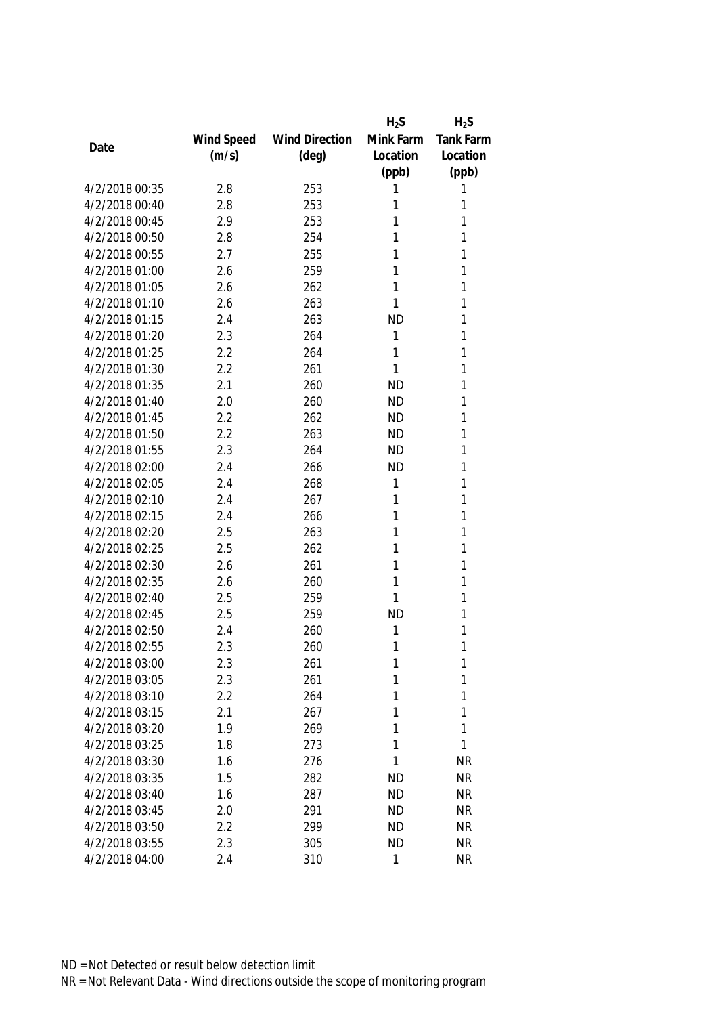|                |            |                       | $H_2S$    | $H_2S$           |
|----------------|------------|-----------------------|-----------|------------------|
|                | Wind Speed | <b>Wind Direction</b> | Mink Farm | <b>Tank Farm</b> |
| Date           | (m/s)      | $(\text{deg})$        | Location  | Location         |
|                |            |                       | (ppb)     | (ppb)            |
| 4/2/2018 00:35 | 2.8        | 253                   | 1         | 1                |
| 4/2/2018 00:40 | 2.8        | 253                   | 1         | 1                |
| 4/2/2018 00:45 | 2.9        | 253                   | 1         | 1                |
| 4/2/2018 00:50 | 2.8        | 254                   | 1         | 1                |
| 4/2/2018 00:55 | 2.7        | 255                   | 1         | 1                |
| 4/2/2018 01:00 | 2.6        | 259                   | 1         | 1                |
| 4/2/2018 01:05 | 2.6        | 262                   | 1         | 1                |
| 4/2/2018 01:10 | 2.6        | 263                   | 1         | 1                |
| 4/2/2018 01:15 | 2.4        | 263                   | <b>ND</b> | 1                |
| 4/2/2018 01:20 | 2.3        | 264                   | 1         | 1                |
| 4/2/2018 01:25 | 2.2        | 264                   | 1         | 1                |
| 4/2/2018 01:30 | 2.2        | 261                   | 1         | 1                |
| 4/2/2018 01:35 | 2.1        | 260                   | <b>ND</b> | 1                |
| 4/2/2018 01:40 | 2.0        | 260                   | <b>ND</b> | 1                |
| 4/2/2018 01:45 | 2.2        | 262                   | <b>ND</b> | 1                |
| 4/2/2018 01:50 | 2.2        | 263                   | <b>ND</b> | 1                |
| 4/2/2018 01:55 | 2.3        | 264                   | <b>ND</b> | 1                |
| 4/2/2018 02:00 | 2.4        | 266                   | <b>ND</b> | 1                |
| 4/2/2018 02:05 | 2.4        | 268                   | 1         | 1                |
| 4/2/2018 02:10 | 2.4        | 267                   | 1         | 1                |
| 4/2/2018 02:15 | 2.4        | 266                   | 1         | 1                |
| 4/2/2018 02:20 | 2.5        | 263                   | 1         | 1                |
| 4/2/2018 02:25 | 2.5        | 262                   | 1         | 1                |
| 4/2/2018 02:30 | 2.6        | 261                   | 1         | 1                |
| 4/2/2018 02:35 | 2.6        | 260                   | 1         | 1                |
| 4/2/2018 02:40 | 2.5        | 259                   | 1         | 1                |
| 4/2/2018 02:45 | 2.5        | 259                   | <b>ND</b> | 1                |
| 4/2/2018 02:50 | 2.4        | 260                   | 1         | 1                |
| 4/2/2018 02:55 | 2.3        | 260                   | 1         | 1                |
| 4/2/2018 03:00 | 2.3        | 261                   | 1         | 1                |
| 4/2/2018 03:05 | 2.3        | 261                   | 1         | 1                |
| 4/2/2018 03:10 | 2.2        | 264                   | 1         | 1                |
| 4/2/2018 03:15 | 2.1        | 267                   | 1         | 1                |
| 4/2/2018 03:20 | 1.9        | 269                   | 1         | 1                |
| 4/2/2018 03:25 | 1.8        | 273                   | 1         | 1                |
| 4/2/2018 03:30 | 1.6        | 276                   | 1         | <b>NR</b>        |
| 4/2/2018 03:35 | 1.5        | 282                   | <b>ND</b> | <b>NR</b>        |
| 4/2/2018 03:40 | 1.6        | 287                   | <b>ND</b> | <b>NR</b>        |
| 4/2/2018 03:45 | 2.0        | 291                   | <b>ND</b> | <b>NR</b>        |
| 4/2/2018 03:50 | 2.2        | 299                   | <b>ND</b> | <b>NR</b>        |
| 4/2/2018 03:55 | 2.3        | 305                   | <b>ND</b> | <b>NR</b>        |
| 4/2/2018 04:00 | 2.4        | 310                   | 1         | <b>NR</b>        |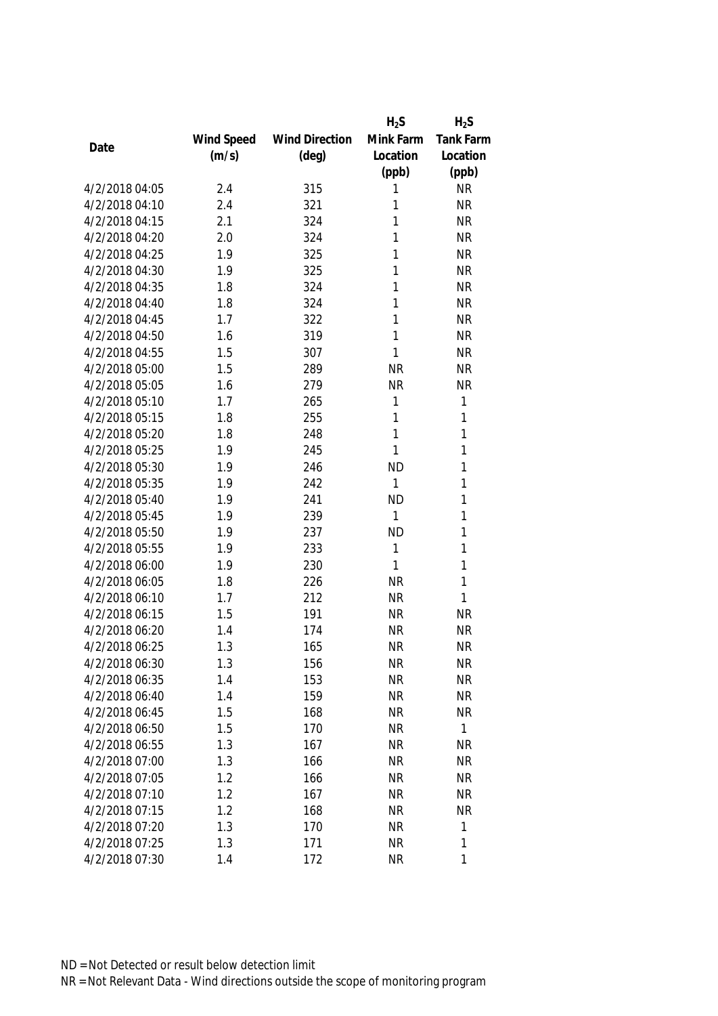|                |            |                       | $H_2S$       | $H_2S$       |
|----------------|------------|-----------------------|--------------|--------------|
|                | Wind Speed | <b>Wind Direction</b> | Mink Farm    | Tank Farm    |
| Date           | (m/s)      | $(\text{deg})$        | Location     | Location     |
|                |            |                       | (ppb)        | (ppb)        |
| 4/2/2018 04:05 | 2.4        | 315                   | 1            | <b>NR</b>    |
| 4/2/2018 04:10 | 2.4        | 321                   | 1            | <b>NR</b>    |
| 4/2/2018 04:15 | 2.1        | 324                   | 1            | <b>NR</b>    |
| 4/2/2018 04:20 | 2.0        | 324                   | 1            | <b>NR</b>    |
| 4/2/2018 04:25 | 1.9        | 325                   | 1            | <b>NR</b>    |
| 4/2/2018 04:30 | 1.9        | 325                   | 1            | <b>NR</b>    |
| 4/2/2018 04:35 | 1.8        | 324                   | 1            | <b>NR</b>    |
| 4/2/2018 04:40 | 1.8        | 324                   | 1            | <b>NR</b>    |
| 4/2/2018 04:45 | 1.7        | 322                   | 1            | <b>NR</b>    |
| 4/2/2018 04:50 | 1.6        | 319                   | $\mathbf{1}$ | <b>NR</b>    |
| 4/2/2018 04:55 | 1.5        | 307                   | 1            | <b>NR</b>    |
| 4/2/2018 05:00 | 1.5        | 289                   | <b>NR</b>    | <b>NR</b>    |
| 4/2/2018 05:05 | 1.6        | 279                   | <b>NR</b>    | <b>NR</b>    |
| 4/2/2018 05:10 | 1.7        | 265                   | 1            | 1            |
| 4/2/2018 05:15 | 1.8        | 255                   | 1            | 1            |
| 4/2/2018 05:20 | 1.8        | 248                   | $\mathbf{1}$ | 1            |
| 4/2/2018 05:25 | 1.9        | 245                   | 1            | 1            |
| 4/2/2018 05:30 | 1.9        | 246                   | <b>ND</b>    | 1            |
| 4/2/2018 05:35 | 1.9        | 242                   | $\mathbf{1}$ | 1            |
| 4/2/2018 05:40 | 1.9        | 241                   | <b>ND</b>    | 1            |
| 4/2/2018 05:45 | 1.9        | 239                   | 1            | 1            |
| 4/2/2018 05:50 | 1.9        | 237                   | <b>ND</b>    | 1            |
| 4/2/2018 05:55 | 1.9        | 233                   | 1            | 1            |
| 4/2/2018 06:00 | 1.9        | 230                   | 1            | 1            |
| 4/2/2018 06:05 | 1.8        | 226                   | <b>NR</b>    | 1            |
| 4/2/2018 06:10 | 1.7        | 212                   | <b>NR</b>    | 1            |
| 4/2/2018 06:15 | 1.5        | 191                   | <b>NR</b>    | <b>NR</b>    |
| 4/2/2018 06:20 | 1.4        | 174                   | <b>NR</b>    | <b>NR</b>    |
| 4/2/2018 06:25 | 1.3        | 165                   | <b>NR</b>    | <b>NR</b>    |
| 4/2/2018 06:30 | 1.3        | 156                   | <b>NR</b>    | <b>NR</b>    |
| 4/2/2018 06:35 | 1.4        | 153                   | <b>NR</b>    | <b>NR</b>    |
| 4/2/2018 06:40 | 1.4        | 159                   | <b>NR</b>    | <b>NR</b>    |
| 4/2/2018 06:45 | 1.5        | 168                   | <b>NR</b>    | <b>NR</b>    |
| 4/2/2018 06:50 | 1.5        | 170                   | <b>NR</b>    | $\mathbf{1}$ |
| 4/2/2018 06:55 | 1.3        | 167                   | <b>NR</b>    | <b>NR</b>    |
| 4/2/2018 07:00 | 1.3        | 166                   | <b>NR</b>    | <b>NR</b>    |
| 4/2/2018 07:05 | 1.2        | 166                   | <b>NR</b>    | <b>NR</b>    |
| 4/2/2018 07:10 | 1.2        | 167                   | <b>NR</b>    | <b>NR</b>    |
| 4/2/2018 07:15 | 1.2        | 168                   | <b>NR</b>    | <b>NR</b>    |
| 4/2/2018 07:20 | 1.3        | 170                   | <b>NR</b>    | 1            |
| 4/2/2018 07:25 | 1.3        | 171                   | <b>NR</b>    | 1            |
| 4/2/2018 07:30 | 1.4        | 172                   | <b>NR</b>    | 1            |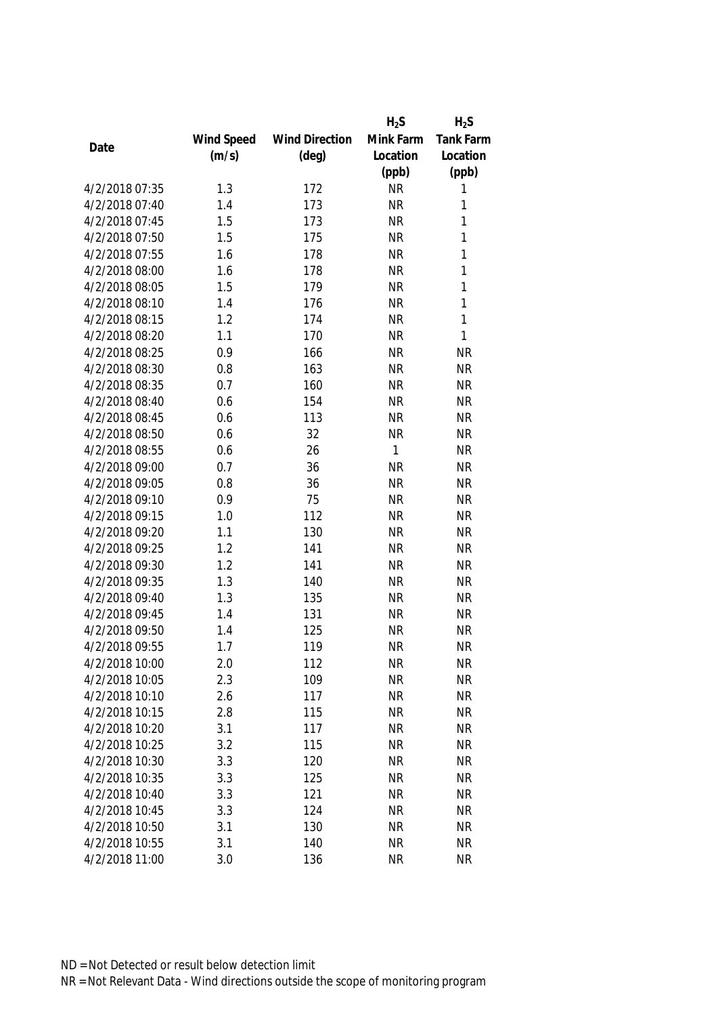|                |            |                       | $H_2S$    | $H_2S$       |
|----------------|------------|-----------------------|-----------|--------------|
|                | Wind Speed | <b>Wind Direction</b> | Mink Farm | Tank Farm    |
| Date           | (m/s)      | $(\text{deg})$        | Location  | Location     |
|                |            |                       | (ppb)     | (ppb)        |
| 4/2/2018 07:35 | 1.3        | 172                   | <b>NR</b> | 1            |
| 4/2/2018 07:40 | 1.4        | 173                   | <b>NR</b> | 1            |
| 4/2/2018 07:45 | 1.5        | 173                   | <b>NR</b> | 1            |
| 4/2/2018 07:50 | 1.5        | 175                   | <b>NR</b> | 1            |
| 4/2/2018 07:55 | 1.6        | 178                   | <b>NR</b> | 1            |
| 4/2/2018 08:00 | 1.6        | 178                   | <b>NR</b> | 1            |
| 4/2/2018 08:05 | 1.5        | 179                   | <b>NR</b> | 1            |
| 4/2/2018 08:10 | 1.4        | 176                   | <b>NR</b> | 1            |
| 4/2/2018 08:15 | 1.2        | 174                   | <b>NR</b> | $\mathbf{1}$ |
| 4/2/2018 08:20 | 1.1        | 170                   | <b>NR</b> | 1            |
| 4/2/2018 08:25 | 0.9        | 166                   | <b>NR</b> | <b>NR</b>    |
| 4/2/2018 08:30 | 0.8        | 163                   | <b>NR</b> | <b>NR</b>    |
| 4/2/2018 08:35 | 0.7        | 160                   | <b>NR</b> | <b>NR</b>    |
| 4/2/2018 08:40 | 0.6        | 154                   | <b>NR</b> | <b>NR</b>    |
| 4/2/2018 08:45 | 0.6        | 113                   | <b>NR</b> | <b>NR</b>    |
| 4/2/2018 08:50 | 0.6        | 32                    | <b>NR</b> | <b>NR</b>    |
| 4/2/2018 08:55 | 0.6        | 26                    | 1         | <b>NR</b>    |
| 4/2/2018 09:00 | 0.7        | 36                    | <b>NR</b> | <b>NR</b>    |
| 4/2/2018 09:05 | 0.8        | 36                    | <b>NR</b> | <b>NR</b>    |
| 4/2/2018 09:10 | 0.9        | 75                    | <b>NR</b> | <b>NR</b>    |
| 4/2/2018 09:15 | 1.0        | 112                   | <b>NR</b> | <b>NR</b>    |
| 4/2/2018 09:20 | 1.1        | 130                   | <b>NR</b> | <b>NR</b>    |
| 4/2/2018 09:25 | 1.2        | 141                   | <b>NR</b> | <b>NR</b>    |
| 4/2/2018 09:30 | 1.2        | 141                   | <b>NR</b> | <b>NR</b>    |
| 4/2/2018 09:35 | 1.3        | 140                   | <b>NR</b> | <b>NR</b>    |
| 4/2/2018 09:40 | 1.3        | 135                   | <b>NR</b> | <b>NR</b>    |
| 4/2/2018 09:45 | 1.4        | 131                   | <b>NR</b> | <b>NR</b>    |
| 4/2/2018 09:50 | 1.4        | 125                   | <b>NR</b> | <b>NR</b>    |
| 4/2/2018 09:55 | 1.7        | 119                   | <b>NR</b> | <b>NR</b>    |
| 4/2/2018 10:00 | 2.0        | 112                   | <b>NR</b> | <b>NR</b>    |
| 4/2/2018 10:05 | 2.3        | 109                   | <b>NR</b> | <b>NR</b>    |
| 4/2/2018 10:10 | 2.6        | 117                   | <b>NR</b> | <b>NR</b>    |
| 4/2/2018 10:15 | 2.8        | 115                   | <b>NR</b> | <b>NR</b>    |
| 4/2/2018 10:20 | 3.1        | 117                   | <b>NR</b> | <b>NR</b>    |
| 4/2/2018 10:25 | 3.2        | 115                   | <b>NR</b> | <b>NR</b>    |
| 4/2/2018 10:30 | 3.3        | 120                   | <b>NR</b> | <b>NR</b>    |
| 4/2/2018 10:35 | 3.3        | 125                   | <b>NR</b> | <b>NR</b>    |
| 4/2/2018 10:40 | 3.3        | 121                   | <b>NR</b> | <b>NR</b>    |
| 4/2/2018 10:45 | 3.3        | 124                   | <b>NR</b> | <b>NR</b>    |
| 4/2/2018 10:50 | 3.1        | 130                   | <b>NR</b> | <b>NR</b>    |
| 4/2/2018 10:55 | 3.1        | 140                   | <b>NR</b> | <b>NR</b>    |
| 4/2/2018 11:00 | 3.0        | 136                   | <b>NR</b> | <b>NR</b>    |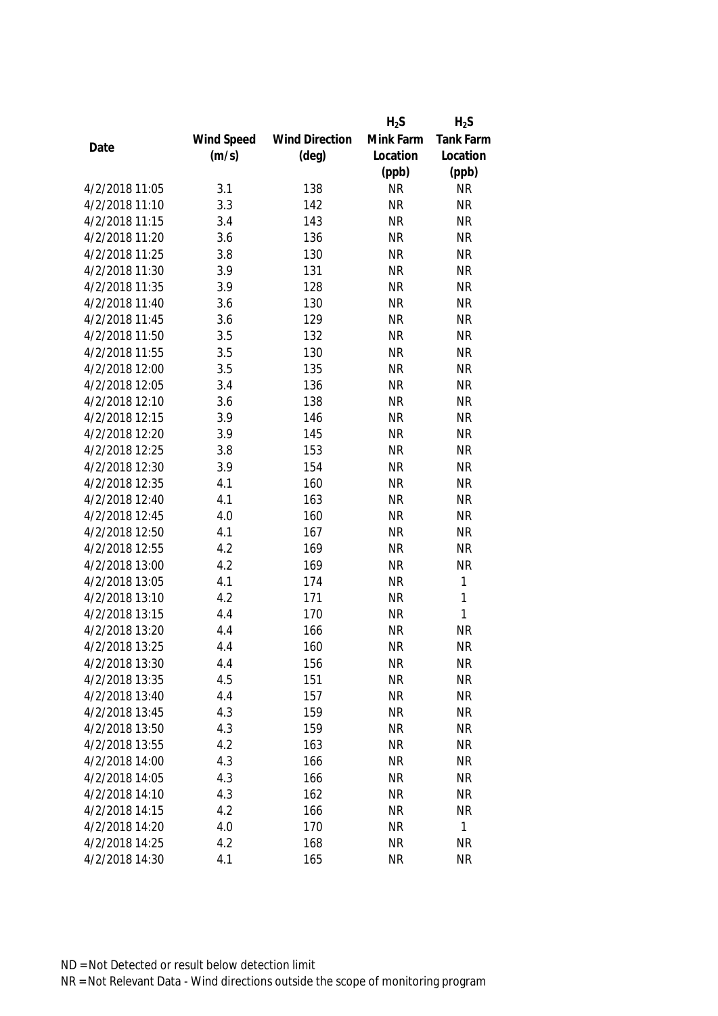|                |            |                       | $H_2S$    | $H_2S$    |
|----------------|------------|-----------------------|-----------|-----------|
|                | Wind Speed | <b>Wind Direction</b> | Mink Farm | Tank Farm |
| Date           | (m/s)      | $(\text{deg})$        | Location  | Location  |
|                |            |                       | (ppb)     | (ppb)     |
| 4/2/2018 11:05 | 3.1        | 138                   | <b>NR</b> | <b>NR</b> |
| 4/2/2018 11:10 | 3.3        | 142                   | <b>NR</b> | <b>NR</b> |
| 4/2/2018 11:15 | 3.4        | 143                   | <b>NR</b> | <b>NR</b> |
| 4/2/2018 11:20 | 3.6        | 136                   | <b>NR</b> | <b>NR</b> |
| 4/2/2018 11:25 | 3.8        | 130                   | <b>NR</b> | <b>NR</b> |
| 4/2/2018 11:30 | 3.9        | 131                   | <b>NR</b> | <b>NR</b> |
| 4/2/2018 11:35 | 3.9        | 128                   | <b>NR</b> | <b>NR</b> |
| 4/2/2018 11:40 | 3.6        | 130                   | <b>NR</b> | <b>NR</b> |
| 4/2/2018 11:45 | 3.6        | 129                   | <b>NR</b> | <b>NR</b> |
| 4/2/2018 11:50 | 3.5        | 132                   | <b>NR</b> | <b>NR</b> |
| 4/2/2018 11:55 | 3.5        | 130                   | <b>NR</b> | <b>NR</b> |
| 4/2/2018 12:00 | 3.5        | 135                   | <b>NR</b> | <b>NR</b> |
| 4/2/2018 12:05 | 3.4        | 136                   | <b>NR</b> | <b>NR</b> |
| 4/2/2018 12:10 | 3.6        | 138                   | <b>NR</b> | <b>NR</b> |
| 4/2/2018 12:15 | 3.9        | 146                   | <b>NR</b> | <b>NR</b> |
| 4/2/2018 12:20 | 3.9        | 145                   | <b>NR</b> | <b>NR</b> |
| 4/2/2018 12:25 | 3.8        | 153                   | <b>NR</b> | <b>NR</b> |
| 4/2/2018 12:30 | 3.9        | 154                   | <b>NR</b> | <b>NR</b> |
| 4/2/2018 12:35 | 4.1        | 160                   | <b>NR</b> | <b>NR</b> |
| 4/2/2018 12:40 | 4.1        | 163                   | <b>NR</b> | <b>NR</b> |
| 4/2/2018 12:45 | 4.0        | 160                   | <b>NR</b> | <b>NR</b> |
| 4/2/2018 12:50 | 4.1        | 167                   | <b>NR</b> | <b>NR</b> |
| 4/2/2018 12:55 | 4.2        | 169                   | <b>NR</b> | <b>NR</b> |
| 4/2/2018 13:00 | 4.2        | 169                   | <b>NR</b> | <b>NR</b> |
| 4/2/2018 13:05 | 4.1        | 174                   | <b>NR</b> | 1         |
| 4/2/2018 13:10 | 4.2        | 171                   | <b>NR</b> | 1         |
| 4/2/2018 13:15 | 4.4        | 170                   | <b>NR</b> | 1         |
| 4/2/2018 13:20 | 4.4        | 166                   | <b>NR</b> | <b>NR</b> |
| 4/2/2018 13:25 | 4.4        | 160                   | <b>NR</b> | <b>NR</b> |
| 4/2/2018 13:30 | 4.4        | 156                   | <b>NR</b> | <b>NR</b> |
| 4/2/2018 13:35 | 4.5        | 151                   | <b>NR</b> | <b>NR</b> |
| 4/2/2018 13:40 | 4.4        | 157                   | <b>NR</b> | <b>NR</b> |
| 4/2/2018 13:45 | 4.3        | 159                   | <b>NR</b> | <b>NR</b> |
| 4/2/2018 13:50 | 4.3        | 159                   | <b>NR</b> | <b>NR</b> |
| 4/2/2018 13:55 | 4.2        | 163                   | <b>NR</b> | <b>NR</b> |
| 4/2/2018 14:00 | 4.3        | 166                   | <b>NR</b> | <b>NR</b> |
| 4/2/2018 14:05 | 4.3        | 166                   | <b>NR</b> | <b>NR</b> |
| 4/2/2018 14:10 | 4.3        | 162                   | <b>NR</b> | <b>NR</b> |
| 4/2/2018 14:15 | 4.2        | 166                   | <b>NR</b> | <b>NR</b> |
| 4/2/2018 14:20 | 4.0        | 170                   | <b>NR</b> | 1         |
| 4/2/2018 14:25 | 4.2        | 168                   | <b>NR</b> | <b>NR</b> |
| 4/2/2018 14:30 | 4.1        | 165                   | <b>NR</b> | <b>NR</b> |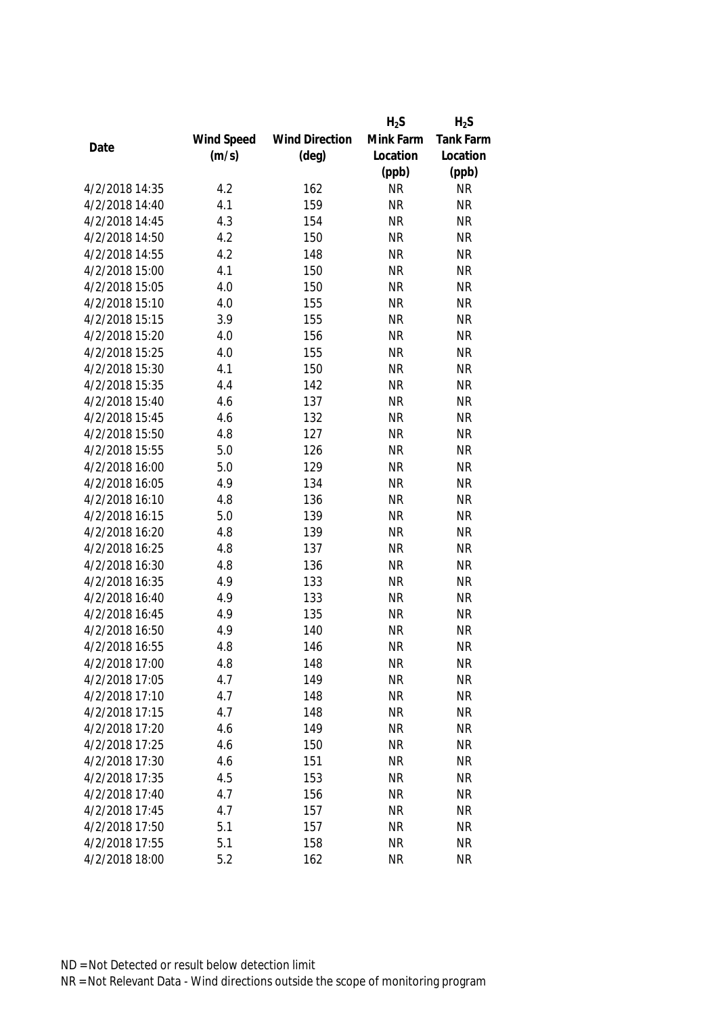|                |            |                       | $H_2S$    | $H_2S$           |
|----------------|------------|-----------------------|-----------|------------------|
|                | Wind Speed | <b>Wind Direction</b> | Mink Farm | <b>Tank Farm</b> |
| Date           | (m/s)      | $(\text{deg})$        | Location  | Location         |
|                |            |                       | (ppb)     | (ppb)            |
| 4/2/2018 14:35 | 4.2        | 162                   | <b>NR</b> | <b>NR</b>        |
| 4/2/2018 14:40 | 4.1        | 159                   | <b>NR</b> | <b>NR</b>        |
| 4/2/2018 14:45 | 4.3        | 154                   | <b>NR</b> | <b>NR</b>        |
| 4/2/2018 14:50 | 4.2        | 150                   | <b>NR</b> | <b>NR</b>        |
| 4/2/2018 14:55 | 4.2        | 148                   | <b>NR</b> | <b>NR</b>        |
| 4/2/2018 15:00 | 4.1        | 150                   | <b>NR</b> | <b>NR</b>        |
| 4/2/2018 15:05 | 4.0        | 150                   | <b>NR</b> | <b>NR</b>        |
| 4/2/2018 15:10 | 4.0        | 155                   | <b>NR</b> | <b>NR</b>        |
| 4/2/2018 15:15 | 3.9        | 155                   | <b>NR</b> | <b>NR</b>        |
| 4/2/2018 15:20 | 4.0        | 156                   | <b>NR</b> | <b>NR</b>        |
| 4/2/2018 15:25 | 4.0        | 155                   | <b>NR</b> | <b>NR</b>        |
| 4/2/2018 15:30 | 4.1        | 150                   | <b>NR</b> | <b>NR</b>        |
| 4/2/2018 15:35 | 4.4        | 142                   | <b>NR</b> | <b>NR</b>        |
| 4/2/2018 15:40 | 4.6        | 137                   | <b>NR</b> | <b>NR</b>        |
| 4/2/2018 15:45 | 4.6        | 132                   | <b>NR</b> | <b>NR</b>        |
| 4/2/2018 15:50 | 4.8        | 127                   | <b>NR</b> | <b>NR</b>        |
| 4/2/2018 15:55 | 5.0        | 126                   | <b>NR</b> | <b>NR</b>        |
| 4/2/2018 16:00 | 5.0        | 129                   | <b>NR</b> | <b>NR</b>        |
| 4/2/2018 16:05 | 4.9        | 134                   | <b>NR</b> | <b>NR</b>        |
| 4/2/2018 16:10 | 4.8        | 136                   | <b>NR</b> | <b>NR</b>        |
| 4/2/2018 16:15 | 5.0        | 139                   | <b>NR</b> | <b>NR</b>        |
| 4/2/2018 16:20 | 4.8        | 139                   | <b>NR</b> | <b>NR</b>        |
| 4/2/2018 16:25 | 4.8        | 137                   | <b>NR</b> | <b>NR</b>        |
| 4/2/2018 16:30 | 4.8        | 136                   | <b>NR</b> | <b>NR</b>        |
| 4/2/2018 16:35 | 4.9        | 133                   | <b>NR</b> | <b>NR</b>        |
| 4/2/2018 16:40 | 4.9        | 133                   | <b>NR</b> | <b>NR</b>        |
| 4/2/2018 16:45 | 4.9        | 135                   | <b>NR</b> | <b>NR</b>        |
| 4/2/2018 16:50 | 4.9        | 140                   | <b>NR</b> | <b>NR</b>        |
| 4/2/2018 16:55 | 4.8        | 146                   | <b>NR</b> | <b>NR</b>        |
| 4/2/2018 17:00 | 4.8        | 148                   | <b>NR</b> | <b>NR</b>        |
| 4/2/2018 17:05 | 4.7        | 149                   | <b>NR</b> | <b>NR</b>        |
| 4/2/2018 17:10 | 4.7        | 148                   | <b>NR</b> | <b>NR</b>        |
| 4/2/2018 17:15 | 4.7        | 148                   | <b>NR</b> | <b>NR</b>        |
| 4/2/2018 17:20 | 4.6        | 149                   | <b>NR</b> | <b>NR</b>        |
| 4/2/2018 17:25 | 4.6        | 150                   | <b>NR</b> | <b>NR</b>        |
| 4/2/2018 17:30 | 4.6        | 151                   | <b>NR</b> | <b>NR</b>        |
| 4/2/2018 17:35 | 4.5        | 153                   | <b>NR</b> | <b>NR</b>        |
| 4/2/2018 17:40 | 4.7        | 156                   | <b>NR</b> | <b>NR</b>        |
| 4/2/2018 17:45 | 4.7        | 157                   | <b>NR</b> | <b>NR</b>        |
| 4/2/2018 17:50 | 5.1        | 157                   | <b>NR</b> | <b>NR</b>        |
| 4/2/2018 17:55 | 5.1        | 158                   | <b>NR</b> | <b>NR</b>        |
| 4/2/2018 18:00 | 5.2        | 162                   | <b>NR</b> | <b>NR</b>        |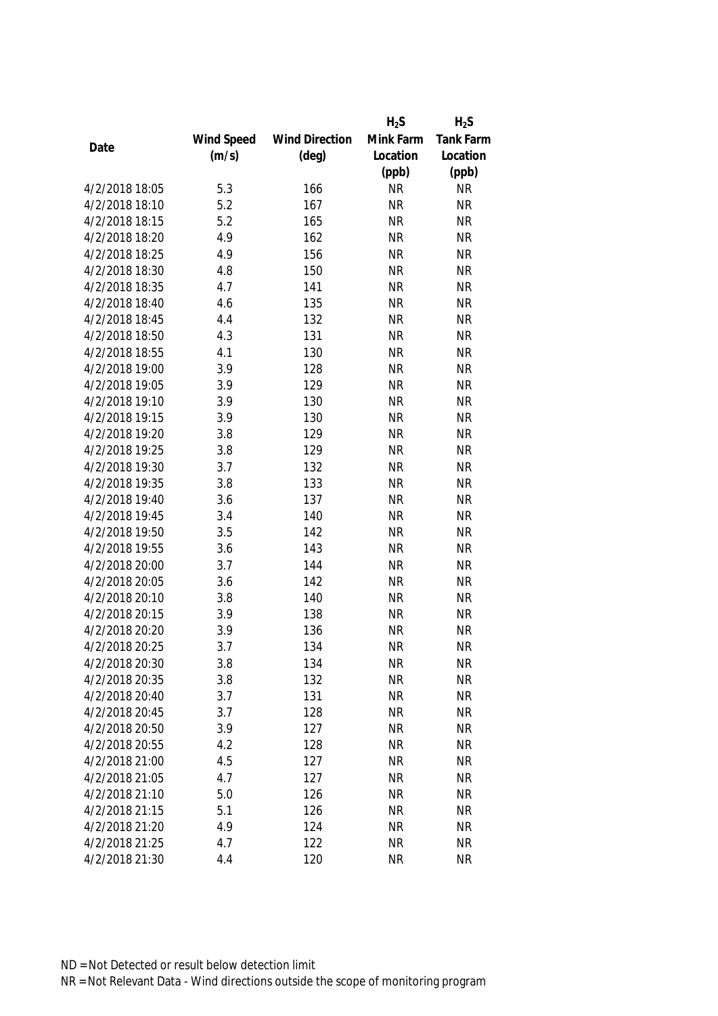|                |            |                       | $H_2S$    | $H_2S$    |
|----------------|------------|-----------------------|-----------|-----------|
|                | Wind Speed | <b>Wind Direction</b> | Mink Farm | Tank Farm |
| Date           | (m/s)      | $(\text{deg})$        | Location  | Location  |
|                |            |                       | (ppb)     | (ppb)     |
| 4/2/2018 18:05 | 5.3        | 166                   | <b>NR</b> | <b>NR</b> |
| 4/2/2018 18:10 | 5.2        | 167                   | <b>NR</b> | <b>NR</b> |
| 4/2/2018 18:15 | 5.2        | 165                   | <b>NR</b> | <b>NR</b> |
| 4/2/2018 18:20 | 4.9        | 162                   | <b>NR</b> | <b>NR</b> |
| 4/2/2018 18:25 | 4.9        | 156                   | <b>NR</b> | <b>NR</b> |
| 4/2/2018 18:30 | 4.8        | 150                   | <b>NR</b> | <b>NR</b> |
| 4/2/2018 18:35 | 4.7        | 141                   | <b>NR</b> | <b>NR</b> |
| 4/2/2018 18:40 | 4.6        | 135                   | <b>NR</b> | <b>NR</b> |
| 4/2/2018 18:45 | 4.4        | 132                   | <b>NR</b> | <b>NR</b> |
| 4/2/2018 18:50 | 4.3        | 131                   | <b>NR</b> | <b>NR</b> |
| 4/2/2018 18:55 | 4.1        | 130                   | <b>NR</b> | <b>NR</b> |
| 4/2/2018 19:00 | 3.9        | 128                   | <b>NR</b> | <b>NR</b> |
| 4/2/2018 19:05 | 3.9        | 129                   | <b>NR</b> | <b>NR</b> |
| 4/2/2018 19:10 | 3.9        | 130                   | <b>NR</b> | <b>NR</b> |
| 4/2/2018 19:15 | 3.9        | 130                   | <b>NR</b> | <b>NR</b> |
| 4/2/2018 19:20 | 3.8        | 129                   | <b>NR</b> | <b>NR</b> |
| 4/2/2018 19:25 | 3.8        | 129                   | <b>NR</b> | <b>NR</b> |
| 4/2/2018 19:30 | 3.7        | 132                   | <b>NR</b> | <b>NR</b> |
| 4/2/2018 19:35 | 3.8        | 133                   | <b>NR</b> | <b>NR</b> |
| 4/2/2018 19:40 | 3.6        | 137                   | <b>NR</b> | <b>NR</b> |
| 4/2/2018 19:45 | 3.4        | 140                   | <b>NR</b> | <b>NR</b> |
| 4/2/2018 19:50 | 3.5        | 142                   | <b>NR</b> | <b>NR</b> |
| 4/2/2018 19:55 | 3.6        | 143                   | <b>NR</b> | <b>NR</b> |
| 4/2/2018 20:00 | 3.7        | 144                   | <b>NR</b> | <b>NR</b> |
| 4/2/2018 20:05 | 3.6        | 142                   | <b>NR</b> | <b>NR</b> |
| 4/2/2018 20:10 | 3.8        | 140                   | <b>NR</b> | <b>NR</b> |
| 4/2/2018 20:15 | 3.9        | 138                   | <b>NR</b> | <b>NR</b> |
| 4/2/2018 20:20 | 3.9        | 136                   | <b>NR</b> | <b>NR</b> |
| 4/2/2018 20:25 | 3.7        | 134                   | <b>NR</b> | <b>NR</b> |
| 4/2/2018 20:30 | 3.8        | 134                   | <b>NR</b> | <b>NR</b> |
| 4/2/2018 20:35 | 3.8        | 132                   | <b>NR</b> | <b>NR</b> |
| 4/2/2018 20:40 | 3.7        | 131                   | <b>NR</b> | <b>NR</b> |
| 4/2/2018 20:45 | 3.7        | 128                   | <b>NR</b> | <b>NR</b> |
| 4/2/2018 20:50 | 3.9        | 127                   | <b>NR</b> | <b>NR</b> |
| 4/2/2018 20:55 | 4.2        | 128                   | <b>NR</b> | <b>NR</b> |
| 4/2/2018 21:00 | 4.5        | 127                   | <b>NR</b> | <b>NR</b> |
| 4/2/2018 21:05 | 4.7        | 127                   | <b>NR</b> | <b>NR</b> |
| 4/2/2018 21:10 | 5.0        | 126                   | <b>NR</b> | <b>NR</b> |
| 4/2/2018 21:15 | 5.1        | 126                   | <b>NR</b> | <b>NR</b> |
| 4/2/2018 21:20 | 4.9        | 124                   | <b>NR</b> | <b>NR</b> |
| 4/2/2018 21:25 | 4.7        | 122                   | <b>NR</b> | <b>NR</b> |
| 4/2/2018 21:30 | 4.4        |                       |           |           |
|                |            | 120                   | <b>NR</b> | <b>NR</b> |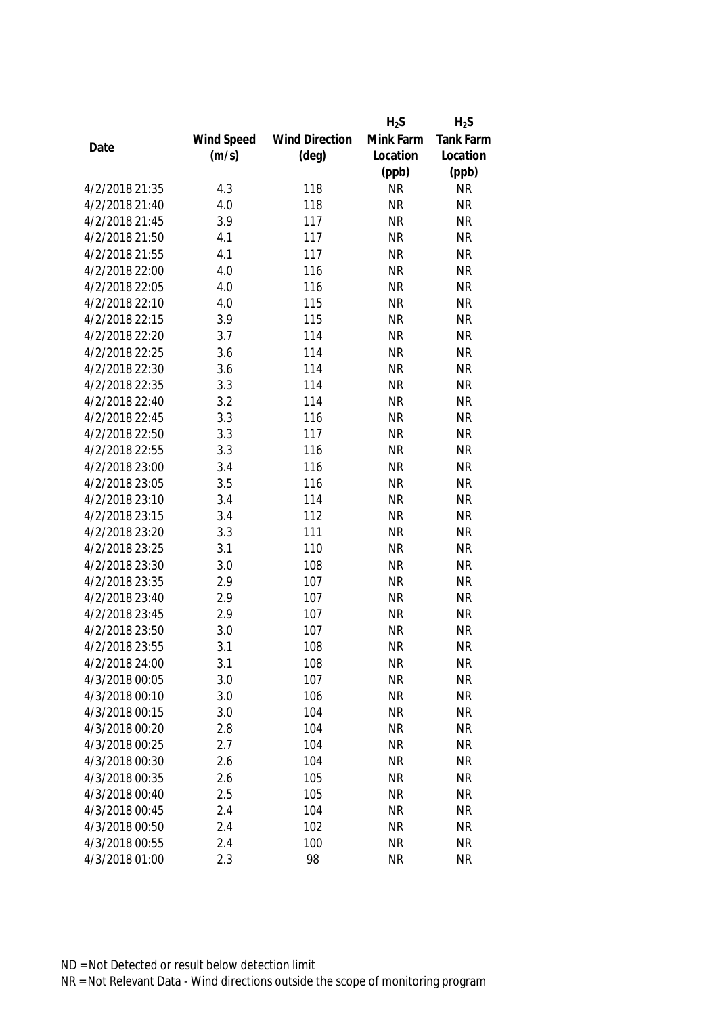|                |            |                       | $H_2S$    | $H_2S$           |
|----------------|------------|-----------------------|-----------|------------------|
|                | Wind Speed | <b>Wind Direction</b> | Mink Farm | <b>Tank Farm</b> |
| Date           | (m/s)      | $(\text{deg})$        | Location  | Location         |
|                |            |                       | (ppb)     | (ppb)            |
| 4/2/2018 21:35 | 4.3        | 118                   | <b>NR</b> | <b>NR</b>        |
| 4/2/2018 21:40 | 4.0        | 118                   | <b>NR</b> | <b>NR</b>        |
| 4/2/2018 21:45 | 3.9        | 117                   | <b>NR</b> | <b>NR</b>        |
| 4/2/2018 21:50 | 4.1        | 117                   | <b>NR</b> | <b>NR</b>        |
| 4/2/2018 21:55 | 4.1        | 117                   | <b>NR</b> | <b>NR</b>        |
| 4/2/2018 22:00 | 4.0        | 116                   | <b>NR</b> | <b>NR</b>        |
| 4/2/2018 22:05 | 4.0        | 116                   | <b>NR</b> | <b>NR</b>        |
| 4/2/2018 22:10 | 4.0        | 115                   | <b>NR</b> | <b>NR</b>        |
| 4/2/2018 22:15 | 3.9        | 115                   | <b>NR</b> | <b>NR</b>        |
| 4/2/2018 22:20 | 3.7        | 114                   | <b>NR</b> | <b>NR</b>        |
| 4/2/2018 22:25 | 3.6        | 114                   | <b>NR</b> | <b>NR</b>        |
| 4/2/2018 22:30 | 3.6        | 114                   | <b>NR</b> | <b>NR</b>        |
| 4/2/2018 22:35 | 3.3        | 114                   | <b>NR</b> | <b>NR</b>        |
| 4/2/2018 22:40 | 3.2        | 114                   | <b>NR</b> | <b>NR</b>        |
| 4/2/2018 22:45 | 3.3        | 116                   | <b>NR</b> | <b>NR</b>        |
| 4/2/2018 22:50 | 3.3        | 117                   | <b>NR</b> | <b>NR</b>        |
| 4/2/2018 22:55 | 3.3        | 116                   | <b>NR</b> | <b>NR</b>        |
| 4/2/2018 23:00 | 3.4        | 116                   | <b>NR</b> | <b>NR</b>        |
| 4/2/2018 23:05 | 3.5        | 116                   | <b>NR</b> | <b>NR</b>        |
| 4/2/2018 23:10 | 3.4        | 114                   | <b>NR</b> | <b>NR</b>        |
| 4/2/2018 23:15 | 3.4        | 112                   | <b>NR</b> | <b>NR</b>        |
| 4/2/2018 23:20 | 3.3        | 111                   | <b>NR</b> | <b>NR</b>        |
| 4/2/2018 23:25 | 3.1        | 110                   | <b>NR</b> | <b>NR</b>        |
| 4/2/2018 23:30 | 3.0        | 108                   | <b>NR</b> | <b>NR</b>        |
| 4/2/2018 23:35 | 2.9        | 107                   | <b>NR</b> | <b>NR</b>        |
| 4/2/2018 23:40 | 2.9        | 107                   | <b>NR</b> | <b>NR</b>        |
| 4/2/2018 23:45 | 2.9        | 107                   | <b>NR</b> | <b>NR</b>        |
| 4/2/2018 23:50 | 3.0        | 107                   | <b>NR</b> | <b>NR</b>        |
| 4/2/2018 23:55 | 3.1        | 108                   | <b>NR</b> | <b>NR</b>        |
| 4/2/2018 24:00 | 3.1        | 108                   | <b>NR</b> | <b>NR</b>        |
| 4/3/2018 00:05 | 3.0        | 107                   | <b>NR</b> | <b>NR</b>        |
| 4/3/2018 00:10 | 3.0        | 106                   | <b>NR</b> | <b>NR</b>        |
| 4/3/2018 00:15 | 3.0        | 104                   | <b>NR</b> | <b>NR</b>        |
| 4/3/2018 00:20 | 2.8        | 104                   | <b>NR</b> | <b>NR</b>        |
| 4/3/2018 00:25 | 2.7        | 104                   | <b>NR</b> | <b>NR</b>        |
| 4/3/2018 00:30 | 2.6        | 104                   | <b>NR</b> | <b>NR</b>        |
| 4/3/2018 00:35 | 2.6        | 105                   | <b>NR</b> | <b>NR</b>        |
| 4/3/2018 00:40 | 2.5        | 105                   | <b>NR</b> | <b>NR</b>        |
| 4/3/2018 00:45 | 2.4        | 104                   | <b>NR</b> | <b>NR</b>        |
| 4/3/2018 00:50 | 2.4        | 102                   | <b>NR</b> | <b>NR</b>        |
| 4/3/2018 00:55 | 2.4        | 100                   | <b>NR</b> | <b>NR</b>        |
| 4/3/2018 01:00 | 2.3        | 98                    | <b>NR</b> | <b>NR</b>        |
|                |            |                       |           |                  |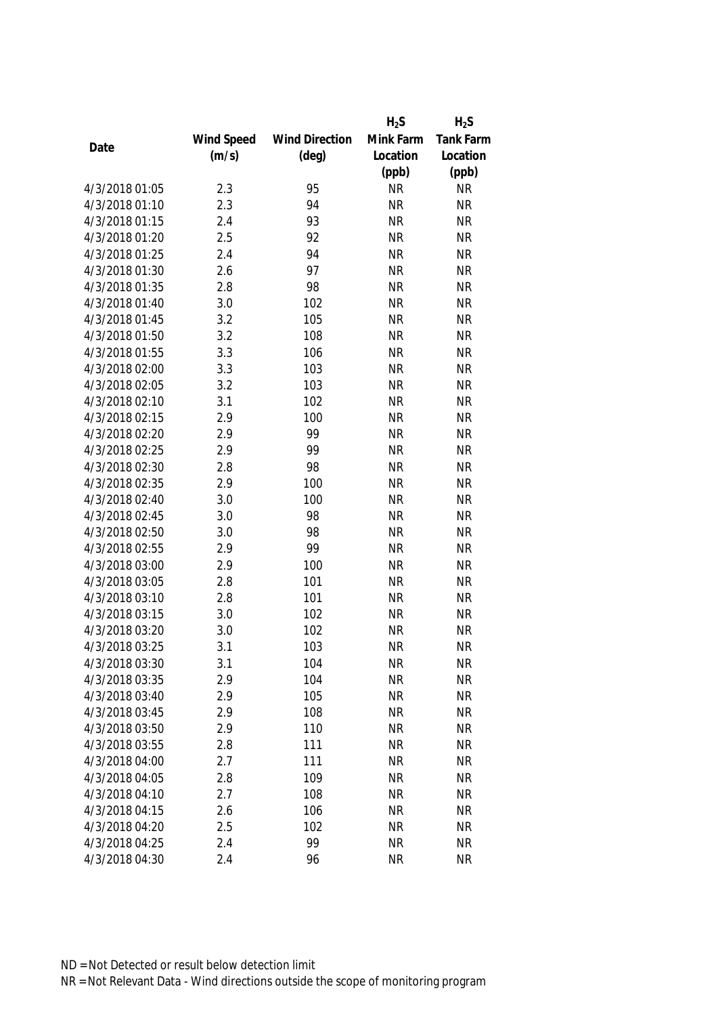|                |            |                       | $H_2S$    | $H_2S$    |
|----------------|------------|-----------------------|-----------|-----------|
|                | Wind Speed | <b>Wind Direction</b> | Mink Farm | Tank Farm |
| Date           | (m/s)      | $(\text{deg})$        | Location  | Location  |
|                |            |                       | (ppb)     | (ppb)     |
| 4/3/2018 01:05 | 2.3        | 95                    | <b>NR</b> | <b>NR</b> |
| 4/3/2018 01:10 | 2.3        | 94                    | <b>NR</b> | <b>NR</b> |
| 4/3/2018 01:15 | 2.4        | 93                    | <b>NR</b> | <b>NR</b> |
| 4/3/2018 01:20 | 2.5        | 92                    | <b>NR</b> | <b>NR</b> |
| 4/3/2018 01:25 | 2.4        | 94                    | <b>NR</b> | <b>NR</b> |
| 4/3/2018 01:30 | 2.6        | 97                    | <b>NR</b> | <b>NR</b> |
| 4/3/2018 01:35 | 2.8        | 98                    | <b>NR</b> | <b>NR</b> |
| 4/3/2018 01:40 | 3.0        | 102                   | <b>NR</b> | <b>NR</b> |
| 4/3/2018 01:45 | 3.2        | 105                   | <b>NR</b> | <b>NR</b> |
| 4/3/2018 01:50 | 3.2        | 108                   | <b>NR</b> | <b>NR</b> |
| 4/3/2018 01:55 | 3.3        | 106                   | <b>NR</b> | <b>NR</b> |
| 4/3/2018 02:00 | 3.3        | 103                   | <b>NR</b> | <b>NR</b> |
| 4/3/2018 02:05 | 3.2        | 103                   | <b>NR</b> | <b>NR</b> |
| 4/3/2018 02:10 | 3.1        | 102                   | <b>NR</b> | <b>NR</b> |
| 4/3/2018 02:15 | 2.9        | 100                   | <b>NR</b> | <b>NR</b> |
| 4/3/2018 02:20 | 2.9        | 99                    | <b>NR</b> | <b>NR</b> |
| 4/3/2018 02:25 | 2.9        | 99                    | <b>NR</b> | <b>NR</b> |
| 4/3/2018 02:30 | 2.8        | 98                    | <b>NR</b> | <b>NR</b> |
| 4/3/2018 02:35 | 2.9        | 100                   | <b>NR</b> | <b>NR</b> |
| 4/3/2018 02:40 | 3.0        | 100                   | <b>NR</b> | <b>NR</b> |
| 4/3/2018 02:45 | 3.0        | 98                    | <b>NR</b> | <b>NR</b> |
| 4/3/2018 02:50 | 3.0        | 98                    | <b>NR</b> | <b>NR</b> |
| 4/3/2018 02:55 | 2.9        | 99                    | <b>NR</b> | <b>NR</b> |
| 4/3/2018 03:00 | 2.9        | 100                   | <b>NR</b> | <b>NR</b> |
| 4/3/2018 03:05 | 2.8        | 101                   | <b>NR</b> | <b>NR</b> |
| 4/3/2018 03:10 | 2.8        | 101                   | <b>NR</b> | <b>NR</b> |
| 4/3/2018 03:15 | 3.0        | 102                   | <b>NR</b> | <b>NR</b> |
| 4/3/2018 03:20 | 3.0        | 102                   | <b>NR</b> | <b>NR</b> |
| 4/3/2018 03:25 | 3.1        | 103                   | <b>NR</b> | <b>NR</b> |
| 4/3/2018 03:30 | 3.1        | 104                   | <b>NR</b> | <b>NR</b> |
| 4/3/2018 03:35 | 2.9        | 104                   | <b>NR</b> | <b>NR</b> |
| 4/3/2018 03:40 | 2.9        | 105                   | <b>NR</b> | <b>NR</b> |
| 4/3/2018 03:45 | 2.9        | 108                   | <b>NR</b> | <b>NR</b> |
| 4/3/2018 03:50 | 2.9        | 110                   | <b>NR</b> | <b>NR</b> |
| 4/3/2018 03:55 | 2.8        | 111                   | <b>NR</b> | <b>NR</b> |
| 4/3/2018 04:00 | 2.7        | 111                   | <b>NR</b> | <b>NR</b> |
| 4/3/2018 04:05 | 2.8        | 109                   | <b>NR</b> | <b>NR</b> |
| 4/3/2018 04:10 | 2.7        | 108                   | <b>NR</b> | <b>NR</b> |
| 4/3/2018 04:15 | 2.6        | 106                   | <b>NR</b> | <b>NR</b> |
| 4/3/2018 04:20 | 2.5        | 102                   | <b>NR</b> | <b>NR</b> |
| 4/3/2018 04:25 | 2.4        | 99                    | <b>NR</b> | <b>NR</b> |
| 4/3/2018 04:30 | 2.4        | 96                    | <b>NR</b> | <b>NR</b> |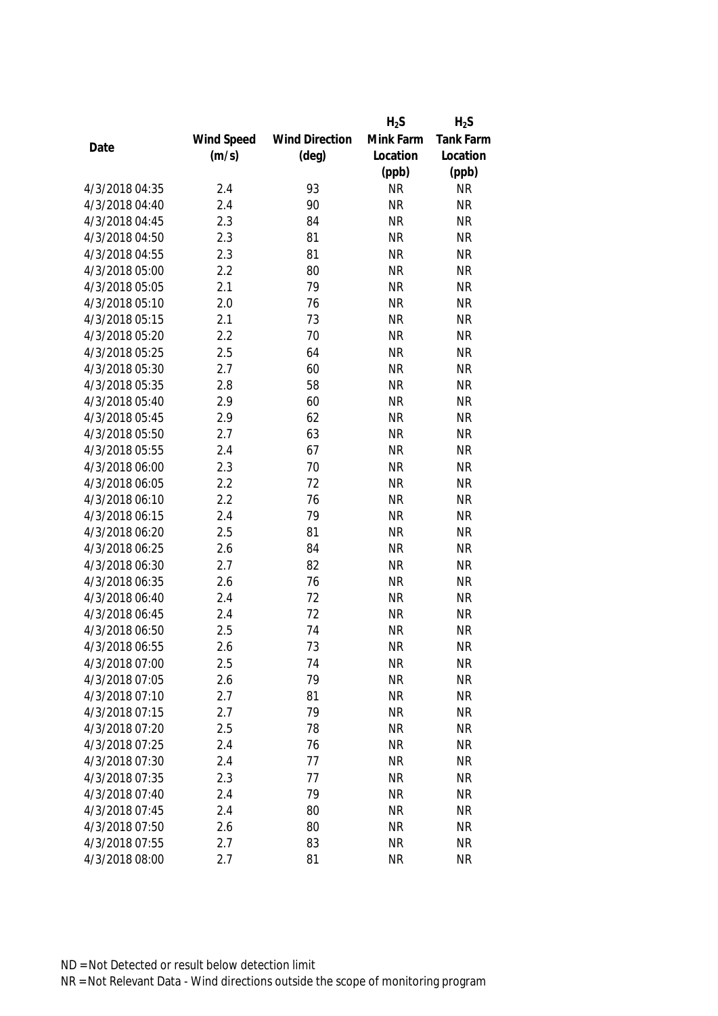|                |            |                       | $H_2S$    | $H_2S$           |
|----------------|------------|-----------------------|-----------|------------------|
|                | Wind Speed | <b>Wind Direction</b> | Mink Farm | <b>Tank Farm</b> |
| Date           | (m/s)      | $(\text{deg})$        | Location  | Location         |
|                |            |                       | (ppb)     | (ppb)            |
| 4/3/2018 04:35 | 2.4        | 93                    | <b>NR</b> | <b>NR</b>        |
| 4/3/2018 04:40 | 2.4        | 90                    | <b>NR</b> | <b>NR</b>        |
| 4/3/2018 04:45 | 2.3        | 84                    | <b>NR</b> | <b>NR</b>        |
| 4/3/2018 04:50 | 2.3        | 81                    | <b>NR</b> | <b>NR</b>        |
| 4/3/2018 04:55 | 2.3        | 81                    | <b>NR</b> | <b>NR</b>        |
| 4/3/2018 05:00 | 2.2        | 80                    | <b>NR</b> | <b>NR</b>        |
| 4/3/2018 05:05 | 2.1        | 79                    | <b>NR</b> | <b>NR</b>        |
| 4/3/2018 05:10 | 2.0        | 76                    | <b>NR</b> | <b>NR</b>        |
| 4/3/2018 05:15 | 2.1        | 73                    | <b>NR</b> | <b>NR</b>        |
| 4/3/2018 05:20 | 2.2        | 70                    | <b>NR</b> | <b>NR</b>        |
| 4/3/2018 05:25 | 2.5        | 64                    | <b>NR</b> | <b>NR</b>        |
| 4/3/2018 05:30 | 2.7        | 60                    | <b>NR</b> | <b>NR</b>        |
| 4/3/2018 05:35 | 2.8        | 58                    | <b>NR</b> | <b>NR</b>        |
| 4/3/2018 05:40 | 2.9        | 60                    | <b>NR</b> | <b>NR</b>        |
| 4/3/2018 05:45 | 2.9        | 62                    | <b>NR</b> | <b>NR</b>        |
| 4/3/2018 05:50 | 2.7        | 63                    | <b>NR</b> | <b>NR</b>        |
| 4/3/2018 05:55 | 2.4        | 67                    | <b>NR</b> | <b>NR</b>        |
| 4/3/2018 06:00 | 2.3        | 70                    | <b>NR</b> | <b>NR</b>        |
| 4/3/2018 06:05 | 2.2        | 72                    | <b>NR</b> | <b>NR</b>        |
| 4/3/2018 06:10 | 2.2        | 76                    | <b>NR</b> | <b>NR</b>        |
| 4/3/2018 06:15 | 2.4        | 79                    | <b>NR</b> | <b>NR</b>        |
| 4/3/2018 06:20 | 2.5        | 81                    | <b>NR</b> | <b>NR</b>        |
| 4/3/2018 06:25 | 2.6        | 84                    | <b>NR</b> | <b>NR</b>        |
| 4/3/2018 06:30 | 2.7        | 82                    | <b>NR</b> | <b>NR</b>        |
| 4/3/2018 06:35 | 2.6        | 76                    | <b>NR</b> | <b>NR</b>        |
| 4/3/2018 06:40 | 2.4        | 72                    | <b>NR</b> | <b>NR</b>        |
| 4/3/2018 06:45 | 2.4        | 72                    | <b>NR</b> | <b>NR</b>        |
| 4/3/2018 06:50 | 2.5        | 74                    | <b>NR</b> | <b>NR</b>        |
| 4/3/2018 06:55 | 2.6        | 73                    | <b>NR</b> | <b>NR</b>        |
| 4/3/2018 07:00 | 2.5        | 74                    | <b>NR</b> | <b>NR</b>        |
| 4/3/2018 07:05 | 2.6        | 79                    | <b>NR</b> | <b>NR</b>        |
| 4/3/2018 07:10 | 2.7        | 81                    | <b>NR</b> | <b>NR</b>        |
| 4/3/2018 07:15 | 2.7        | 79                    | <b>NR</b> | <b>NR</b>        |
| 4/3/2018 07:20 | 2.5        | 78                    | <b>NR</b> | <b>NR</b>        |
| 4/3/2018 07:25 | 2.4        | 76                    | <b>NR</b> | <b>NR</b>        |
| 4/3/2018 07:30 | 2.4        | 77                    | <b>NR</b> | <b>NR</b>        |
| 4/3/2018 07:35 | 2.3        | 77                    | <b>NR</b> | <b>NR</b>        |
| 4/3/2018 07:40 | 2.4        | 79                    | <b>NR</b> | <b>NR</b>        |
| 4/3/2018 07:45 | 2.4        | 80                    | <b>NR</b> | <b>NR</b>        |
| 4/3/2018 07:50 | 2.6        | 80                    | <b>NR</b> | <b>NR</b>        |
| 4/3/2018 07:55 | 2.7        | 83                    | <b>NR</b> | <b>NR</b>        |
| 4/3/2018 08:00 | 2.7        | 81                    | <b>NR</b> | <b>NR</b>        |
|                |            |                       |           |                  |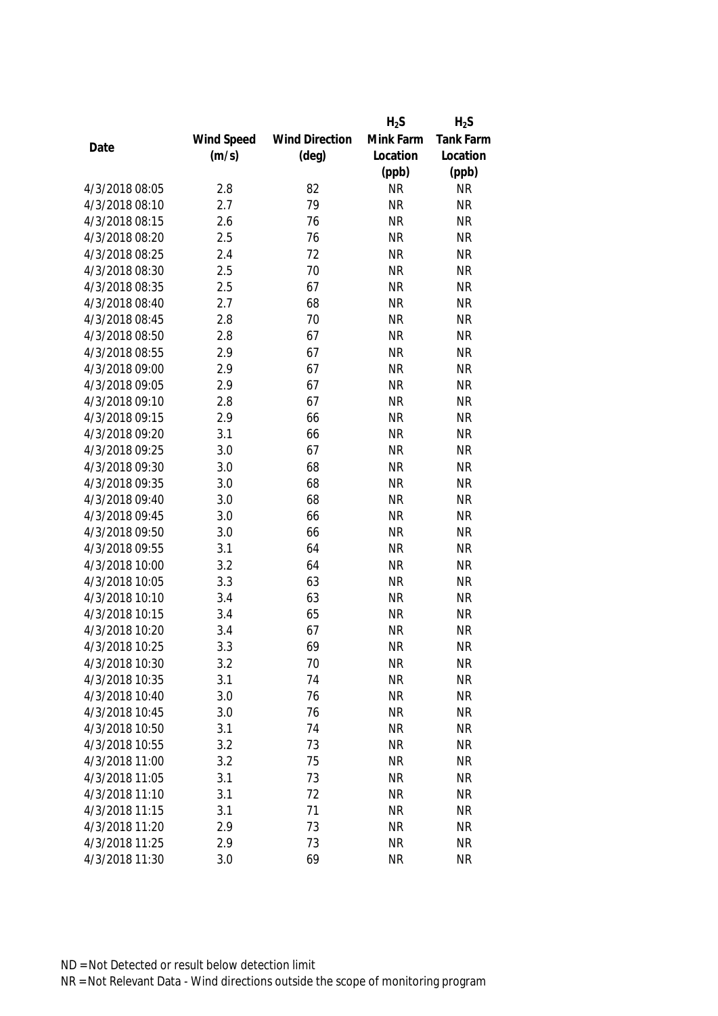|                |            |                       | $H_2S$    | $H_2S$           |
|----------------|------------|-----------------------|-----------|------------------|
|                | Wind Speed | <b>Wind Direction</b> | Mink Farm | <b>Tank Farm</b> |
| Date           | (m/s)      | $(\text{deg})$        | Location  | Location         |
|                |            |                       | (ppb)     | (ppb)            |
| 4/3/2018 08:05 | 2.8        | 82                    | <b>NR</b> | <b>NR</b>        |
| 4/3/2018 08:10 | 2.7        | 79                    | <b>NR</b> | <b>NR</b>        |
| 4/3/2018 08:15 | 2.6        | 76                    | <b>NR</b> | <b>NR</b>        |
| 4/3/2018 08:20 | 2.5        | 76                    | <b>NR</b> | <b>NR</b>        |
| 4/3/2018 08:25 | 2.4        | 72                    | <b>NR</b> | <b>NR</b>        |
| 4/3/2018 08:30 | 2.5        | 70                    | <b>NR</b> | <b>NR</b>        |
| 4/3/2018 08:35 | 2.5        | 67                    | <b>NR</b> | <b>NR</b>        |
| 4/3/2018 08:40 | 2.7        | 68                    | <b>NR</b> | <b>NR</b>        |
| 4/3/2018 08:45 | 2.8        | 70                    | <b>NR</b> | <b>NR</b>        |
| 4/3/2018 08:50 | 2.8        | 67                    | <b>NR</b> | <b>NR</b>        |
| 4/3/2018 08:55 | 2.9        | 67                    | <b>NR</b> | <b>NR</b>        |
| 4/3/2018 09:00 | 2.9        | 67                    | <b>NR</b> | <b>NR</b>        |
| 4/3/2018 09:05 | 2.9        | 67                    | <b>NR</b> | <b>NR</b>        |
| 4/3/2018 09:10 | 2.8        | 67                    | <b>NR</b> | <b>NR</b>        |
| 4/3/2018 09:15 | 2.9        | 66                    | <b>NR</b> | <b>NR</b>        |
| 4/3/2018 09:20 | 3.1        | 66                    | <b>NR</b> | <b>NR</b>        |
| 4/3/2018 09:25 | 3.0        | 67                    | <b>NR</b> | <b>NR</b>        |
| 4/3/2018 09:30 | 3.0        | 68                    | <b>NR</b> | <b>NR</b>        |
| 4/3/2018 09:35 | 3.0        | 68                    | <b>NR</b> | <b>NR</b>        |
| 4/3/2018 09:40 | 3.0        | 68                    | <b>NR</b> | <b>NR</b>        |
| 4/3/2018 09:45 | 3.0        | 66                    | <b>NR</b> | <b>NR</b>        |
| 4/3/2018 09:50 | 3.0        | 66                    | <b>NR</b> | <b>NR</b>        |
| 4/3/2018 09:55 | 3.1        | 64                    | <b>NR</b> | <b>NR</b>        |
| 4/3/2018 10:00 | 3.2        | 64                    | <b>NR</b> | <b>NR</b>        |
| 4/3/2018 10:05 | 3.3        | 63                    | <b>NR</b> | <b>NR</b>        |
| 4/3/2018 10:10 | 3.4        | 63                    | <b>NR</b> | <b>NR</b>        |
| 4/3/2018 10:15 | 3.4        | 65                    | <b>NR</b> | <b>NR</b>        |
| 4/3/2018 10:20 | 3.4        | 67                    | <b>NR</b> | <b>NR</b>        |
| 4/3/2018 10:25 | 3.3        | 69                    | <b>NR</b> | <b>NR</b>        |
| 4/3/2018 10:30 | 3.2        | 70                    | <b>NR</b> | <b>NR</b>        |
| 4/3/2018 10:35 | 3.1        | 74                    | <b>NR</b> | <b>NR</b>        |
| 4/3/2018 10:40 | 3.0        | 76                    | <b>NR</b> | <b>NR</b>        |
| 4/3/2018 10:45 | 3.0        | 76                    | <b>NR</b> | <b>NR</b>        |
| 4/3/2018 10:50 | 3.1        | 74                    | <b>NR</b> | <b>NR</b>        |
| 4/3/2018 10:55 | 3.2        | 73                    | <b>NR</b> | <b>NR</b>        |
| 4/3/2018 11:00 | 3.2        | 75                    | <b>NR</b> | <b>NR</b>        |
| 4/3/2018 11:05 | 3.1        | 73                    | <b>NR</b> | <b>NR</b>        |
| 4/3/2018 11:10 | 3.1        | 72                    | <b>NR</b> | <b>NR</b>        |
| 4/3/2018 11:15 | 3.1        | 71                    | <b>NR</b> | <b>NR</b>        |
| 4/3/2018 11:20 | 2.9        | 73                    | <b>NR</b> | <b>NR</b>        |
| 4/3/2018 11:25 | 2.9        | 73                    | <b>NR</b> | <b>NR</b>        |
| 4/3/2018 11:30 | 3.0        | 69                    | <b>NR</b> | <b>NR</b>        |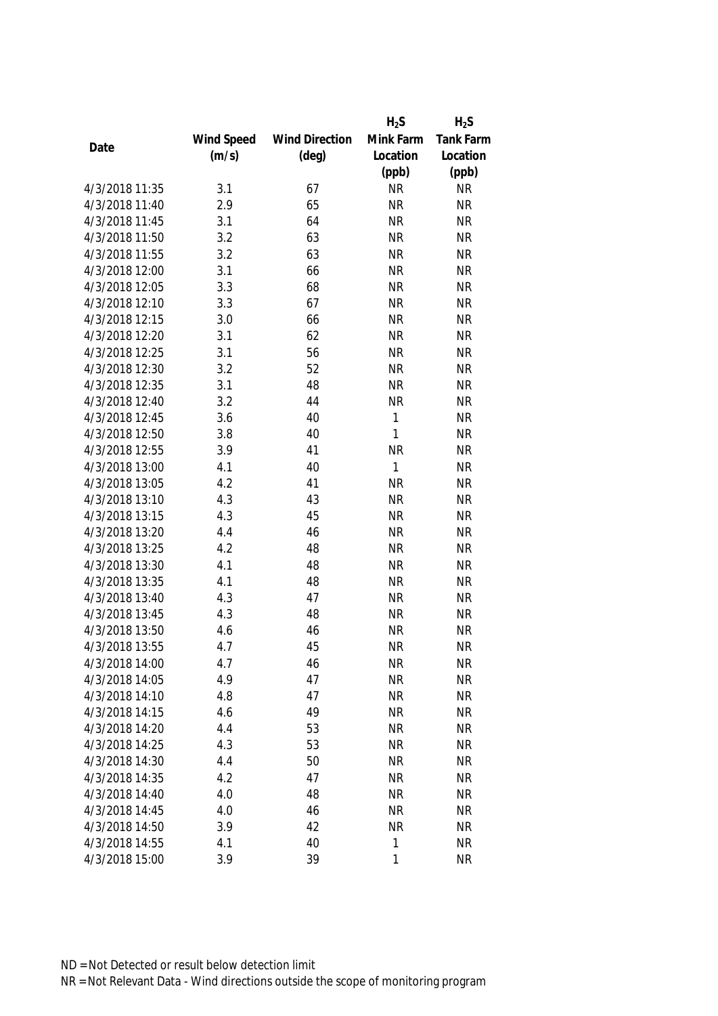|                |            |                       | $H_2S$       | $H_2S$    |
|----------------|------------|-----------------------|--------------|-----------|
|                | Wind Speed | <b>Wind Direction</b> | Mink Farm    | Tank Farm |
| Date           | (m/s)      | $(\text{deg})$        | Location     | Location  |
|                |            |                       | (ppb)        | (ppb)     |
| 4/3/2018 11:35 | 3.1        | 67                    | <b>NR</b>    | <b>NR</b> |
| 4/3/2018 11:40 | 2.9        | 65                    | <b>NR</b>    | <b>NR</b> |
| 4/3/2018 11:45 | 3.1        | 64                    | <b>NR</b>    | <b>NR</b> |
| 4/3/2018 11:50 | 3.2        | 63                    | <b>NR</b>    | <b>NR</b> |
| 4/3/2018 11:55 | 3.2        | 63                    | <b>NR</b>    | <b>NR</b> |
| 4/3/2018 12:00 | 3.1        | 66                    | <b>NR</b>    | <b>NR</b> |
| 4/3/2018 12:05 | 3.3        | 68                    | <b>NR</b>    | <b>NR</b> |
| 4/3/2018 12:10 | 3.3        | 67                    | <b>NR</b>    | <b>NR</b> |
| 4/3/2018 12:15 | 3.0        | 66                    | <b>NR</b>    | <b>NR</b> |
| 4/3/2018 12:20 | 3.1        | 62                    | <b>NR</b>    | <b>NR</b> |
| 4/3/2018 12:25 | 3.1        | 56                    | <b>NR</b>    | <b>NR</b> |
| 4/3/2018 12:30 | 3.2        | 52                    | <b>NR</b>    | <b>NR</b> |
| 4/3/2018 12:35 | 3.1        | 48                    | <b>NR</b>    | <b>NR</b> |
| 4/3/2018 12:40 | 3.2        | 44                    | <b>NR</b>    | <b>NR</b> |
| 4/3/2018 12:45 | 3.6        | 40                    | $\mathbf{1}$ | <b>NR</b> |
| 4/3/2018 12:50 | 3.8        | 40                    | $\mathbf{1}$ | <b>NR</b> |
| 4/3/2018 12:55 | 3.9        | 41                    | <b>NR</b>    | <b>NR</b> |
| 4/3/2018 13:00 | 4.1        | 40                    | $\mathbf{1}$ | <b>NR</b> |
| 4/3/2018 13:05 | 4.2        | 41                    | <b>NR</b>    | <b>NR</b> |
| 4/3/2018 13:10 | 4.3        | 43                    | <b>NR</b>    | <b>NR</b> |
| 4/3/2018 13:15 | 4.3        | 45                    | <b>NR</b>    | <b>NR</b> |
| 4/3/2018 13:20 | 4.4        | 46                    | <b>NR</b>    | <b>NR</b> |
| 4/3/2018 13:25 | 4.2        | 48                    | <b>NR</b>    | <b>NR</b> |
| 4/3/2018 13:30 | 4.1        | 48                    | <b>NR</b>    | <b>NR</b> |
| 4/3/2018 13:35 | 4.1        | 48                    | <b>NR</b>    | <b>NR</b> |
| 4/3/2018 13:40 | 4.3        | 47                    | <b>NR</b>    | <b>NR</b> |
| 4/3/2018 13:45 | 4.3        | 48                    | <b>NR</b>    | <b>NR</b> |
| 4/3/2018 13:50 | 4.6        | 46                    | <b>NR</b>    | <b>NR</b> |
| 4/3/2018 13:55 | 4.7        | 45                    | <b>NR</b>    | <b>NR</b> |
| 4/3/2018 14:00 | 4.7        | 46                    | <b>NR</b>    | <b>NR</b> |
| 4/3/2018 14:05 | 4.9        | 47                    | <b>NR</b>    | <b>NR</b> |
| 4/3/2018 14:10 | 4.8        | 47                    | <b>NR</b>    | <b>NR</b> |
| 4/3/2018 14:15 | 4.6        | 49                    | <b>NR</b>    | <b>NR</b> |
| 4/3/2018 14:20 | 4.4        | 53                    | <b>NR</b>    | <b>NR</b> |
| 4/3/2018 14:25 | 4.3        | 53                    | <b>NR</b>    | <b>NR</b> |
| 4/3/2018 14:30 | 4.4        | 50                    | <b>NR</b>    | <b>NR</b> |
| 4/3/2018 14:35 | 4.2        | 47                    | <b>NR</b>    | <b>NR</b> |
| 4/3/2018 14:40 | 4.0        | 48                    | <b>NR</b>    | <b>NR</b> |
| 4/3/2018 14:45 | 4.0        | 46                    | <b>NR</b>    | <b>NR</b> |
| 4/3/2018 14:50 | 3.9        | 42                    | <b>NR</b>    | <b>NR</b> |
| 4/3/2018 14:55 | 4.1        | 40                    | 1            | <b>NR</b> |
| 4/3/2018 15:00 |            | 39                    | 1            |           |
|                | 3.9        |                       |              | <b>NR</b> |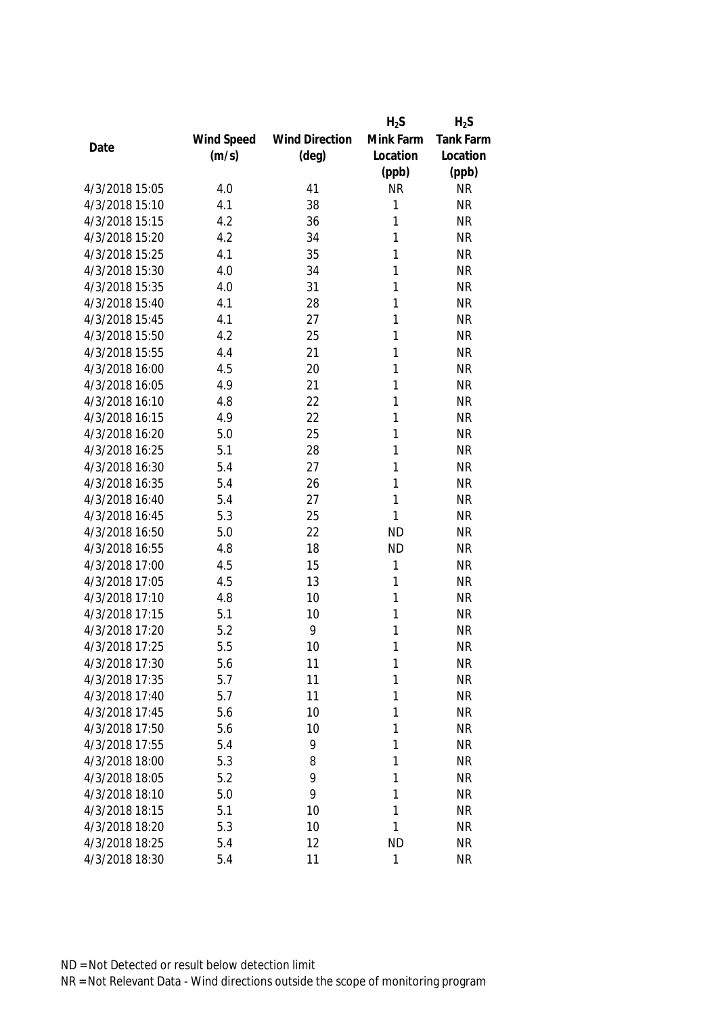|                |            |                       | $H_2S$    | $H_2S$    |
|----------------|------------|-----------------------|-----------|-----------|
|                | Wind Speed | <b>Wind Direction</b> | Mink Farm | Tank Farm |
| Date           | (m/s)      | $(\text{deg})$        | Location  | Location  |
|                |            |                       | (ppb)     | (ppb)     |
| 4/3/2018 15:05 | 4.0        | 41                    | <b>NR</b> | <b>NR</b> |
| 4/3/2018 15:10 | 4.1        | 38                    | 1         | <b>NR</b> |
| 4/3/2018 15:15 | 4.2        | 36                    | 1         | <b>NR</b> |
| 4/3/2018 15:20 | 4.2        | 34                    | 1         | <b>NR</b> |
| 4/3/2018 15:25 | 4.1        | 35                    | 1         | <b>NR</b> |
| 4/3/2018 15:30 | 4.0        | 34                    | 1         | <b>NR</b> |
| 4/3/2018 15:35 | 4.0        | 31                    | 1         | <b>NR</b> |
| 4/3/2018 15:40 | 4.1        | 28                    | 1         | <b>NR</b> |
| 4/3/2018 15:45 | 4.1        | 27                    | 1         | <b>NR</b> |
| 4/3/2018 15:50 | 4.2        | 25                    | 1         | <b>NR</b> |
| 4/3/2018 15:55 | 4.4        | 21                    | 1         | <b>NR</b> |
| 4/3/2018 16:00 | 4.5        | 20                    | 1         | <b>NR</b> |
| 4/3/2018 16:05 | 4.9        | 21                    | 1         | <b>NR</b> |
| 4/3/2018 16:10 | 4.8        | 22                    | 1         | <b>NR</b> |
| 4/3/2018 16:15 | 4.9        | 22                    | 1         | <b>NR</b> |
| 4/3/2018 16:20 | 5.0        | 25                    | 1         | <b>NR</b> |
| 4/3/2018 16:25 | 5.1        | 28                    | 1         | <b>NR</b> |
| 4/3/2018 16:30 | 5.4        | 27                    | 1         | <b>NR</b> |
| 4/3/2018 16:35 | 5.4        | 26                    | 1         | <b>NR</b> |
| 4/3/2018 16:40 | 5.4        | 27                    | 1         | <b>NR</b> |
| 4/3/2018 16:45 | 5.3        | 25                    | 1         | <b>NR</b> |
| 4/3/2018 16:50 | 5.0        | 22                    | <b>ND</b> | <b>NR</b> |
| 4/3/2018 16:55 | 4.8        | 18                    | <b>ND</b> | <b>NR</b> |
| 4/3/2018 17:00 | 4.5        | 15                    | 1         | <b>NR</b> |
| 4/3/2018 17:05 | 4.5        | 13                    | 1         | <b>NR</b> |
| 4/3/2018 17:10 | 4.8        | 10                    | 1         | <b>NR</b> |
| 4/3/2018 17:15 | 5.1        | 10                    | 1         | <b>NR</b> |
| 4/3/2018 17:20 | 5.2        | 9                     | 1         | <b>NR</b> |
| 4/3/2018 17:25 | 5.5        | 10                    | 1         | <b>NR</b> |
| 4/3/2018 17:30 | 5.6        | 11                    | 1         | <b>NR</b> |
| 4/3/2018 17:35 | 5.7        | 11                    | 1         | <b>NR</b> |
| 4/3/2018 17:40 | 5.7        | 11                    | 1         | <b>NR</b> |
| 4/3/2018 17:45 | 5.6        | 10                    | 1         | <b>NR</b> |
| 4/3/2018 17:50 | 5.6        | 10                    | 1         | <b>NR</b> |
| 4/3/2018 17:55 | 5.4        | 9                     | 1         | <b>NR</b> |
| 4/3/2018 18:00 | 5.3        | 8                     | 1         | <b>NR</b> |
| 4/3/2018 18:05 | 5.2        | 9                     | 1         | <b>NR</b> |
| 4/3/2018 18:10 | 5.0        | 9                     | 1         | <b>NR</b> |
| 4/3/2018 18:15 | 5.1        | 10                    | 1         | <b>NR</b> |
| 4/3/2018 18:20 | 5.3        | 10                    | 1         | <b>NR</b> |
| 4/3/2018 18:25 | 5.4        | 12                    | <b>ND</b> | <b>NR</b> |
| 4/3/2018 18:30 | 5.4        | 11                    | 1         | <b>NR</b> |
|                |            |                       |           |           |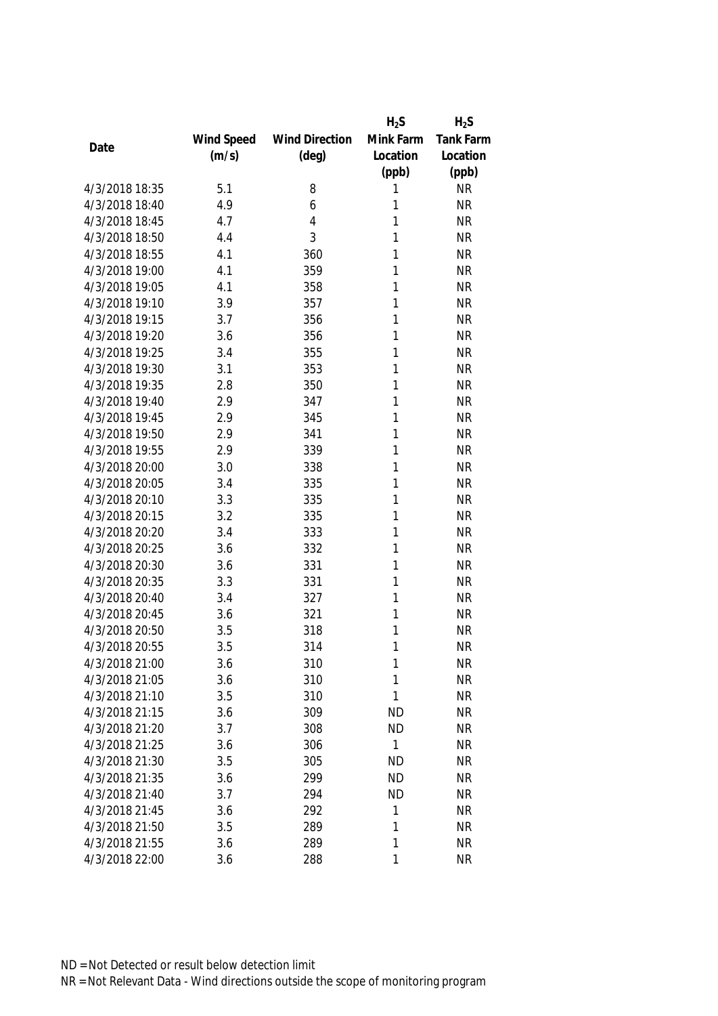|                |            |                       | $H_2S$    | $H_2S$    |
|----------------|------------|-----------------------|-----------|-----------|
|                | Wind Speed | <b>Wind Direction</b> | Mink Farm | Tank Farm |
| Date           | (m/s)      | $(\text{deg})$        | Location  | Location  |
|                |            |                       | (ppb)     | (ppb)     |
| 4/3/2018 18:35 | 5.1        | 8                     | 1         | <b>NR</b> |
| 4/3/2018 18:40 | 4.9        | 6                     | 1         | <b>NR</b> |
| 4/3/2018 18:45 | 4.7        | $\overline{4}$        | 1         | <b>NR</b> |
| 4/3/2018 18:50 | 4.4        | 3                     | 1         | <b>NR</b> |
| 4/3/2018 18:55 | 4.1        | 360                   | 1         | <b>NR</b> |
| 4/3/2018 19:00 | 4.1        | 359                   | 1         | <b>NR</b> |
| 4/3/2018 19:05 | 4.1        | 358                   | 1         | <b>NR</b> |
| 4/3/2018 19:10 | 3.9        | 357                   | 1         | <b>NR</b> |
| 4/3/2018 19:15 | 3.7        | 356                   | 1         | <b>NR</b> |
| 4/3/2018 19:20 | 3.6        | 356                   | 1         | <b>NR</b> |
| 4/3/2018 19:25 | 3.4        | 355                   | 1         | <b>NR</b> |
| 4/3/2018 19:30 | 3.1        | 353                   | 1         | <b>NR</b> |
| 4/3/2018 19:35 | 2.8        | 350                   | 1         | <b>NR</b> |
| 4/3/2018 19:40 | 2.9        | 347                   | 1         | <b>NR</b> |
| 4/3/2018 19:45 | 2.9        | 345                   | 1         | <b>NR</b> |
| 4/3/2018 19:50 | 2.9        | 341                   | 1         | <b>NR</b> |
| 4/3/2018 19:55 | 2.9        | 339                   | 1         | <b>NR</b> |
| 4/3/2018 20:00 | 3.0        | 338                   | 1         | <b>NR</b> |
| 4/3/2018 20:05 | 3.4        | 335                   | 1         | <b>NR</b> |
| 4/3/2018 20:10 | 3.3        | 335                   | 1         | <b>NR</b> |
| 4/3/2018 20:15 | 3.2        | 335                   | 1         | <b>NR</b> |
| 4/3/2018 20:20 | 3.4        | 333                   | 1         | <b>NR</b> |
| 4/3/2018 20:25 | 3.6        | 332                   | 1         | <b>NR</b> |
| 4/3/2018 20:30 | 3.6        | 331                   | 1         | <b>NR</b> |
| 4/3/2018 20:35 | 3.3        | 331                   | 1         | <b>NR</b> |
| 4/3/2018 20:40 | 3.4        | 327                   | 1         | <b>NR</b> |
| 4/3/2018 20:45 | 3.6        | 321                   | 1         | <b>NR</b> |
| 4/3/2018 20:50 | 3.5        | 318                   | 1         | <b>NR</b> |
| 4/3/2018 20:55 | 3.5        | 314                   | 1         | <b>NR</b> |
| 4/3/2018 21:00 | 3.6        | 310                   | 1         | <b>NR</b> |
| 4/3/2018 21:05 | 3.6        | 310                   | 1         | <b>NR</b> |
| 4/3/2018 21:10 | 3.5        | 310                   | 1         | <b>NR</b> |
| 4/3/2018 21:15 | 3.6        | 309                   | <b>ND</b> | <b>NR</b> |
| 4/3/2018 21:20 | 3.7        | 308                   | <b>ND</b> | <b>NR</b> |
| 4/3/2018 21:25 | 3.6        | 306                   | 1         | <b>NR</b> |
| 4/3/2018 21:30 | 3.5        | 305                   | <b>ND</b> | <b>NR</b> |
| 4/3/2018 21:35 | 3.6        | 299                   | <b>ND</b> | <b>NR</b> |
| 4/3/2018 21:40 | 3.7        | 294                   | <b>ND</b> | <b>NR</b> |
| 4/3/2018 21:45 | 3.6        | 292                   | 1         | <b>NR</b> |
| 4/3/2018 21:50 | 3.5        | 289                   | 1         | <b>NR</b> |
| 4/3/2018 21:55 | 3.6        | 289                   | 1         | <b>NR</b> |
| 4/3/2018 22:00 | 3.6        | 288                   | 1         | <b>NR</b> |
|                |            |                       |           |           |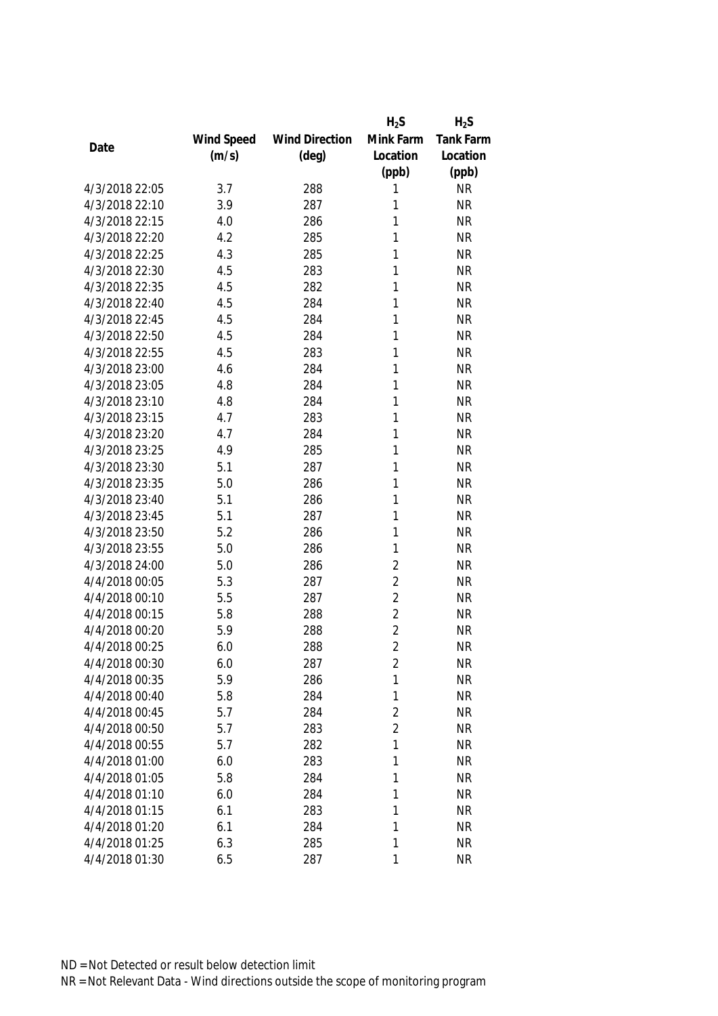|                |            |                       | $H_2S$         | $H_2S$    |
|----------------|------------|-----------------------|----------------|-----------|
|                | Wind Speed | <b>Wind Direction</b> | Mink Farm      | Tank Farm |
| Date           | (m/s)      | $(\text{deg})$        | Location       | Location  |
|                |            |                       | (ppb)          | (ppb)     |
| 4/3/2018 22:05 | 3.7        | 288                   | 1              | <b>NR</b> |
| 4/3/2018 22:10 | 3.9        | 287                   | 1              | <b>NR</b> |
| 4/3/2018 22:15 | 4.0        | 286                   | 1              | <b>NR</b> |
| 4/3/2018 22:20 | 4.2        | 285                   | 1              | <b>NR</b> |
| 4/3/2018 22:25 | 4.3        | 285                   | 1              | <b>NR</b> |
| 4/3/2018 22:30 | 4.5        | 283                   | 1              | <b>NR</b> |
| 4/3/2018 22:35 | 4.5        | 282                   | 1              | <b>NR</b> |
| 4/3/2018 22:40 | 4.5        | 284                   | 1              | <b>NR</b> |
| 4/3/2018 22:45 | 4.5        | 284                   | 1              | <b>NR</b> |
| 4/3/2018 22:50 | 4.5        | 284                   | 1              | <b>NR</b> |
| 4/3/2018 22:55 | 4.5        | 283                   | 1              | <b>NR</b> |
| 4/3/2018 23:00 | 4.6        | 284                   | 1              | <b>NR</b> |
| 4/3/2018 23:05 | 4.8        | 284                   | 1              | <b>NR</b> |
| 4/3/2018 23:10 | 4.8        | 284                   | 1              | <b>NR</b> |
| 4/3/2018 23:15 | 4.7        | 283                   | 1              | <b>NR</b> |
| 4/3/2018 23:20 | 4.7        | 284                   | 1              | <b>NR</b> |
| 4/3/2018 23:25 | 4.9        | 285                   | 1              | <b>NR</b> |
| 4/3/2018 23:30 | 5.1        | 287                   | 1              | <b>NR</b> |
| 4/3/2018 23:35 | 5.0        | 286                   | 1              | <b>NR</b> |
| 4/3/2018 23:40 | 5.1        | 286                   | 1              | <b>NR</b> |
| 4/3/2018 23:45 | 5.1        | 287                   | 1              | <b>NR</b> |
| 4/3/2018 23:50 | 5.2        | 286                   | 1              | <b>NR</b> |
| 4/3/2018 23:55 | 5.0        | 286                   | 1              | <b>NR</b> |
| 4/3/2018 24:00 | 5.0        | 286                   | $\overline{2}$ | <b>NR</b> |
| 4/4/2018 00:05 | 5.3        | 287                   | $\overline{2}$ | <b>NR</b> |
| 4/4/2018 00:10 | 5.5        | 287                   | $\overline{2}$ | <b>NR</b> |
| 4/4/2018 00:15 | 5.8        | 288                   | $\overline{2}$ | <b>NR</b> |
| 4/4/2018 00:20 | 5.9        | 288                   | $\overline{2}$ | <b>NR</b> |
| 4/4/2018 00:25 | 6.0        | 288                   | $\overline{2}$ | <b>NR</b> |
| 4/4/2018 00:30 | 6.0        | 287                   | $\overline{2}$ | <b>NR</b> |
| 4/4/2018 00:35 | 5.9        | 286                   | 1              | <b>NR</b> |
| 4/4/2018 00:40 | 5.8        | 284                   | 1              | <b>NR</b> |
| 4/4/2018 00:45 | 5.7        | 284                   | $\overline{2}$ | <b>NR</b> |
| 4/4/2018 00:50 | 5.7        | 283                   | $\overline{2}$ | <b>NR</b> |
| 4/4/2018 00:55 | 5.7        | 282                   | 1              | <b>NR</b> |
| 4/4/2018 01:00 | 6.0        | 283                   | 1              | <b>NR</b> |
| 4/4/2018 01:05 | 5.8        | 284                   | 1              | <b>NR</b> |
| 4/4/2018 01:10 | 6.0        | 284                   | 1              | <b>NR</b> |
| 4/4/2018 01:15 | 6.1        | 283                   | 1              | <b>NR</b> |
| 4/4/2018 01:20 | 6.1        | 284                   | 1              | <b>NR</b> |
| 4/4/2018 01:25 | 6.3        | 285                   | 1              | <b>NR</b> |
| 4/4/2018 01:30 | 6.5        | 287                   | 1              | <b>NR</b> |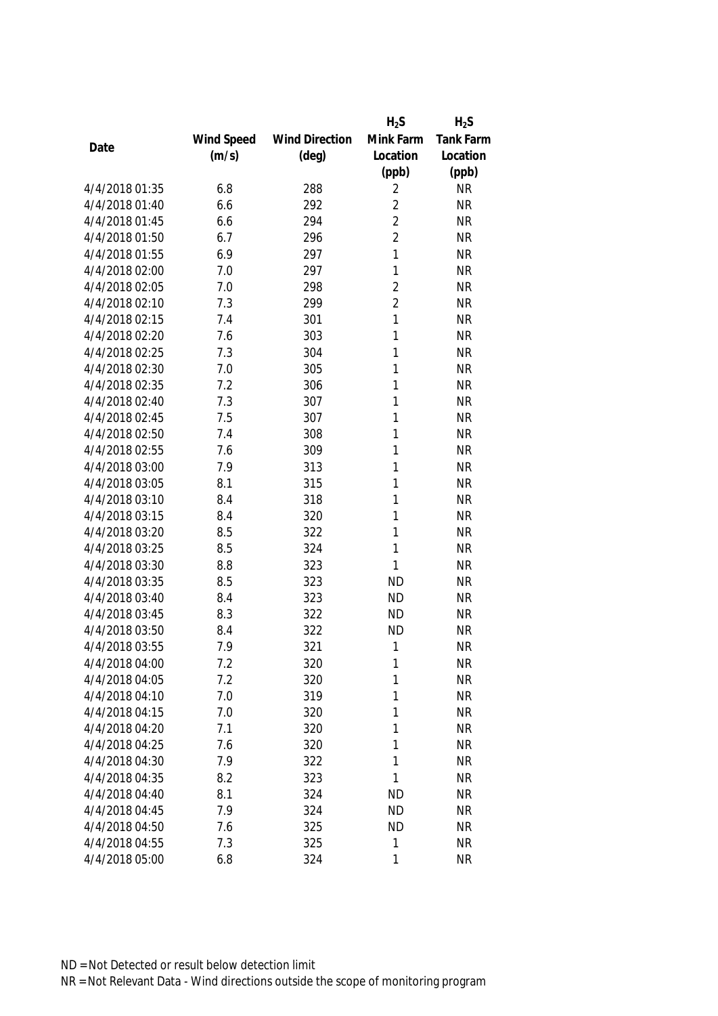|                |            |                       | $H_2S$         | $H_2S$           |
|----------------|------------|-----------------------|----------------|------------------|
|                | Wind Speed | <b>Wind Direction</b> | Mink Farm      | <b>Tank Farm</b> |
| Date           | (m/s)      | $(\text{deg})$        | Location       | Location         |
|                |            |                       | (ppb)          | (ppb)            |
| 4/4/2018 01:35 | 6.8        | 288                   | 2              | <b>NR</b>        |
| 4/4/2018 01:40 | 6.6        | 292                   | $\overline{2}$ | <b>NR</b>        |
| 4/4/2018 01:45 | 6.6        | 294                   | $\overline{2}$ | <b>NR</b>        |
| 4/4/2018 01:50 | 6.7        | 296                   | $\overline{2}$ | <b>NR</b>        |
| 4/4/2018 01:55 | 6.9        | 297                   | 1              | <b>NR</b>        |
| 4/4/2018 02:00 | 7.0        | 297                   | 1              | <b>NR</b>        |
| 4/4/2018 02:05 | 7.0        | 298                   | $\overline{2}$ | <b>NR</b>        |
| 4/4/2018 02:10 | 7.3        | 299                   | $\overline{2}$ | <b>NR</b>        |
| 4/4/2018 02:15 | 7.4        | 301                   | 1              | <b>NR</b>        |
| 4/4/2018 02:20 | 7.6        | 303                   | 1              | <b>NR</b>        |
| 4/4/2018 02:25 | 7.3        | 304                   | 1              | <b>NR</b>        |
| 4/4/2018 02:30 | 7.0        | 305                   | 1              | <b>NR</b>        |
| 4/4/2018 02:35 | 7.2        | 306                   | 1              | <b>NR</b>        |
| 4/4/2018 02:40 | 7.3        | 307                   | 1              | <b>NR</b>        |
| 4/4/2018 02:45 | 7.5        | 307                   | 1              | <b>NR</b>        |
| 4/4/2018 02:50 | 7.4        | 308                   | 1              | <b>NR</b>        |
| 4/4/2018 02:55 | 7.6        | 309                   | 1              | <b>NR</b>        |
| 4/4/2018 03:00 | 7.9        | 313                   | 1              | <b>NR</b>        |
| 4/4/2018 03:05 | 8.1        | 315                   | 1              | <b>NR</b>        |
| 4/4/2018 03:10 | 8.4        | 318                   | 1              | <b>NR</b>        |
| 4/4/2018 03:15 | 8.4        | 320                   | 1              | <b>NR</b>        |
| 4/4/2018 03:20 | 8.5        | 322                   | 1              | <b>NR</b>        |
| 4/4/2018 03:25 | 8.5        | 324                   | 1              | <b>NR</b>        |
| 4/4/2018 03:30 | 8.8        | 323                   | 1              | <b>NR</b>        |
| 4/4/2018 03:35 | 8.5        | 323                   | <b>ND</b>      | <b>NR</b>        |
| 4/4/2018 03:40 | 8.4        | 323                   | <b>ND</b>      | <b>NR</b>        |
| 4/4/2018 03:45 | 8.3        | 322                   | <b>ND</b>      | <b>NR</b>        |
| 4/4/2018 03:50 | 8.4        | 322                   | <b>ND</b>      | <b>NR</b>        |
| 4/4/2018 03:55 | 7.9        | 321                   | 1              | <b>NR</b>        |
| 4/4/2018 04:00 | 7.2        | 320                   | 1              | <b>NR</b>        |
| 4/4/2018 04:05 | 7.2        | 320                   | 1              | <b>NR</b>        |
| 4/4/2018 04:10 | 7.0        | 319                   | 1              | <b>NR</b>        |
| 4/4/2018 04:15 | 7.0        | 320                   | 1              | <b>NR</b>        |
| 4/4/2018 04:20 | 7.1        | 320                   | 1              | <b>NR</b>        |
| 4/4/2018 04:25 | 7.6        | 320                   | 1              | <b>NR</b>        |
| 4/4/2018 04:30 | 7.9        | 322                   | 1              | <b>NR</b>        |
| 4/4/2018 04:35 | 8.2        | 323                   | 1              | <b>NR</b>        |
| 4/4/2018 04:40 | 8.1        | 324                   | <b>ND</b>      | <b>NR</b>        |
| 4/4/2018 04:45 | 7.9        | 324                   | <b>ND</b>      | <b>NR</b>        |
| 4/4/2018 04:50 | 7.6        | 325                   | <b>ND</b>      | <b>NR</b>        |
| 4/4/2018 04:55 | 7.3        | 325                   | 1              | <b>NR</b>        |
| 4/4/2018 05:00 | 6.8        | 324                   | $\mathbf{1}$   | <b>NR</b>        |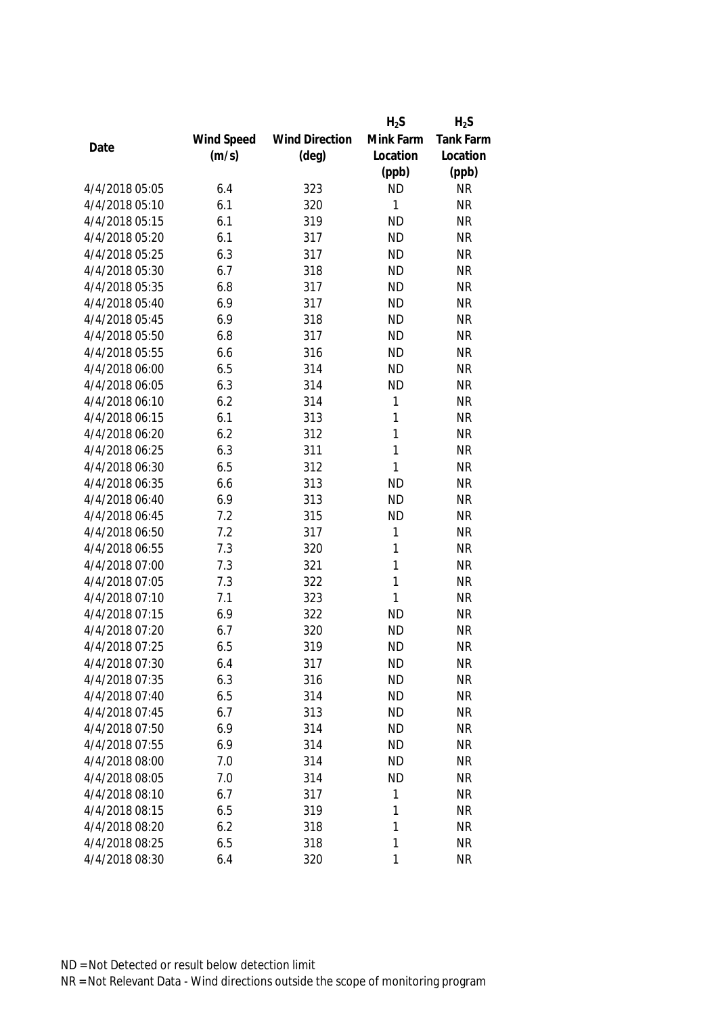|                |            |                       | $H_2S$       | $H_2S$           |
|----------------|------------|-----------------------|--------------|------------------|
|                | Wind Speed | <b>Wind Direction</b> | Mink Farm    | <b>Tank Farm</b> |
| Date           | (m/s)      | $(\text{deg})$        | Location     | Location         |
|                |            |                       | (ppb)        | (ppb)            |
| 4/4/2018 05:05 | 6.4        | 323                   | <b>ND</b>    | <b>NR</b>        |
| 4/4/2018 05:10 | 6.1        | 320                   | 1            | <b>NR</b>        |
| 4/4/2018 05:15 | 6.1        | 319                   | <b>ND</b>    | <b>NR</b>        |
| 4/4/2018 05:20 | 6.1        | 317                   | <b>ND</b>    | <b>NR</b>        |
| 4/4/2018 05:25 | 6.3        | 317                   | <b>ND</b>    | <b>NR</b>        |
| 4/4/2018 05:30 | 6.7        | 318                   | <b>ND</b>    | <b>NR</b>        |
| 4/4/2018 05:35 | 6.8        | 317                   | <b>ND</b>    | <b>NR</b>        |
| 4/4/2018 05:40 | 6.9        | 317                   | <b>ND</b>    | <b>NR</b>        |
| 4/4/2018 05:45 | 6.9        | 318                   | <b>ND</b>    | <b>NR</b>        |
| 4/4/2018 05:50 | 6.8        | 317                   | <b>ND</b>    | <b>NR</b>        |
| 4/4/2018 05:55 | 6.6        | 316                   | <b>ND</b>    | <b>NR</b>        |
| 4/4/2018 06:00 | 6.5        | 314                   | <b>ND</b>    | <b>NR</b>        |
| 4/4/2018 06:05 | 6.3        | 314                   | <b>ND</b>    | <b>NR</b>        |
| 4/4/2018 06:10 | 6.2        | 314                   | 1            | <b>NR</b>        |
| 4/4/2018 06:15 | 6.1        | 313                   | 1            | <b>NR</b>        |
| 4/4/2018 06:20 | 6.2        | 312                   | $\mathbf{1}$ | <b>NR</b>        |
| 4/4/2018 06:25 | 6.3        | 311                   | $\mathbf{1}$ | <b>NR</b>        |
| 4/4/2018 06:30 | 6.5        | 312                   | $\mathbf{1}$ | <b>NR</b>        |
| 4/4/2018 06:35 | 6.6        | 313                   | <b>ND</b>    | <b>NR</b>        |
| 4/4/2018 06:40 | 6.9        | 313                   | <b>ND</b>    | <b>NR</b>        |
| 4/4/2018 06:45 | 7.2        | 315                   | <b>ND</b>    | <b>NR</b>        |
| 4/4/2018 06:50 | 7.2        | 317                   | 1            | <b>NR</b>        |
| 4/4/2018 06:55 | 7.3        | 320                   | $\mathbf{1}$ | <b>NR</b>        |
| 4/4/2018 07:00 | 7.3        | 321                   | $\mathbf{1}$ | <b>NR</b>        |
| 4/4/2018 07:05 | 7.3        | 322                   | 1            | <b>NR</b>        |
| 4/4/2018 07:10 | 7.1        | 323                   | $\mathbf{1}$ | <b>NR</b>        |
| 4/4/2018 07:15 | 6.9        | 322                   | <b>ND</b>    | <b>NR</b>        |
| 4/4/2018 07:20 | 6.7        | 320                   | <b>ND</b>    | <b>NR</b>        |
| 4/4/2018 07:25 | 6.5        | 319                   | <b>ND</b>    | <b>NR</b>        |
| 4/4/2018 07:30 | 6.4        | 317                   | <b>ND</b>    | <b>NR</b>        |
| 4/4/2018 07:35 | 6.3        | 316                   | <b>ND</b>    | <b>NR</b>        |
| 4/4/2018 07:40 | 6.5        | 314                   | <b>ND</b>    | <b>NR</b>        |
| 4/4/2018 07:45 | 6.7        | 313                   | <b>ND</b>    | <b>NR</b>        |
| 4/4/2018 07:50 | 6.9        | 314                   | <b>ND</b>    | <b>NR</b>        |
| 4/4/2018 07:55 | 6.9        | 314                   | <b>ND</b>    | <b>NR</b>        |
| 4/4/2018 08:00 | 7.0        | 314                   | <b>ND</b>    | <b>NR</b>        |
| 4/4/2018 08:05 | 7.0        | 314                   | <b>ND</b>    | <b>NR</b>        |
| 4/4/2018 08:10 | 6.7        | 317                   | 1            | <b>NR</b>        |
| 4/4/2018 08:15 | 6.5        | 319                   | 1            | <b>NR</b>        |
| 4/4/2018 08:20 | 6.2        | 318                   | 1            | <b>NR</b>        |
| 4/4/2018 08:25 | 6.5        | 318                   | 1            | <b>NR</b>        |
| 4/4/2018 08:30 | 6.4        | 320                   | $\mathbf{1}$ | <b>NR</b>        |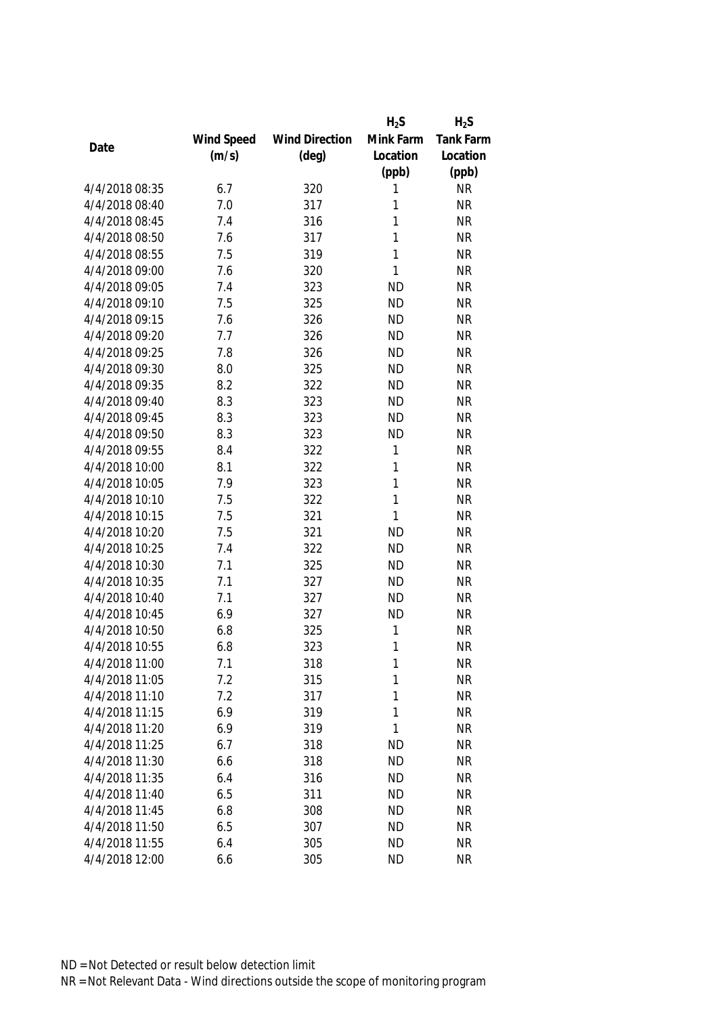|                |            |                       | $H_2S$       | $H_2S$           |
|----------------|------------|-----------------------|--------------|------------------|
|                | Wind Speed | <b>Wind Direction</b> | Mink Farm    | <b>Tank Farm</b> |
| Date           | (m/s)      | $(\text{deg})$        | Location     | Location         |
|                |            |                       | (ppb)        | (ppb)            |
| 4/4/2018 08:35 | 6.7        | 320                   | 1            | <b>NR</b>        |
| 4/4/2018 08:40 | 7.0        | 317                   | 1            | <b>NR</b>        |
| 4/4/2018 08:45 | 7.4        | 316                   | 1            | <b>NR</b>        |
| 4/4/2018 08:50 | 7.6        | 317                   | 1            | <b>NR</b>        |
| 4/4/2018 08:55 | 7.5        | 319                   | 1            | <b>NR</b>        |
| 4/4/2018 09:00 | 7.6        | 320                   | $\mathbf{1}$ | <b>NR</b>        |
| 4/4/2018 09:05 | 7.4        | 323                   | <b>ND</b>    | <b>NR</b>        |
| 4/4/2018 09:10 | 7.5        | 325                   | <b>ND</b>    | <b>NR</b>        |
| 4/4/2018 09:15 | 7.6        | 326                   | <b>ND</b>    | <b>NR</b>        |
| 4/4/2018 09:20 | 7.7        | 326                   | <b>ND</b>    | <b>NR</b>        |
| 4/4/2018 09:25 | 7.8        | 326                   | <b>ND</b>    | <b>NR</b>        |
| 4/4/2018 09:30 | 8.0        | 325                   | <b>ND</b>    | <b>NR</b>        |
| 4/4/2018 09:35 | 8.2        | 322                   | <b>ND</b>    | <b>NR</b>        |
| 4/4/2018 09:40 | 8.3        | 323                   | <b>ND</b>    | <b>NR</b>        |
| 4/4/2018 09:45 | 8.3        | 323                   | <b>ND</b>    | <b>NR</b>        |
| 4/4/2018 09:50 | 8.3        | 323                   | <b>ND</b>    | <b>NR</b>        |
| 4/4/2018 09:55 | 8.4        | 322                   | 1            | <b>NR</b>        |
| 4/4/2018 10:00 | 8.1        | 322                   | 1            | <b>NR</b>        |
| 4/4/2018 10:05 | 7.9        | 323                   | 1            | <b>NR</b>        |
| 4/4/2018 10:10 | 7.5        | 322                   | 1            | <b>NR</b>        |
| 4/4/2018 10:15 | 7.5        | 321                   | 1            | <b>NR</b>        |
| 4/4/2018 10:20 | 7.5        | 321                   | <b>ND</b>    | <b>NR</b>        |
| 4/4/2018 10:25 | 7.4        | 322                   | <b>ND</b>    | <b>NR</b>        |
| 4/4/2018 10:30 | 7.1        | 325                   | <b>ND</b>    | <b>NR</b>        |
| 4/4/2018 10:35 | 7.1        | 327                   | <b>ND</b>    | <b>NR</b>        |
| 4/4/2018 10:40 | 7.1        | 327                   | <b>ND</b>    | <b>NR</b>        |
| 4/4/2018 10:45 | 6.9        | 327                   | <b>ND</b>    | <b>NR</b>        |
| 4/4/2018 10:50 | 6.8        | 325                   | 1            | <b>NR</b>        |
| 4/4/2018 10:55 | 6.8        | 323                   | 1            | <b>NR</b>        |
| 4/4/2018 11:00 | 7.1        | 318                   | 1            | <b>NR</b>        |
| 4/4/2018 11:05 | 7.2        | 315                   | 1            | <b>NR</b>        |
| 4/4/2018 11:10 | 7.2        | 317                   | 1            | <b>NR</b>        |
| 4/4/2018 11:15 | 6.9        | 319                   | 1            | <b>NR</b>        |
| 4/4/2018 11:20 | 6.9        | 319                   | 1            | <b>NR</b>        |
| 4/4/2018 11:25 | 6.7        | 318                   | <b>ND</b>    | <b>NR</b>        |
| 4/4/2018 11:30 | 6.6        | 318                   | <b>ND</b>    | <b>NR</b>        |
| 4/4/2018 11:35 | 6.4        | 316                   | <b>ND</b>    | <b>NR</b>        |
| 4/4/2018 11:40 | 6.5        | 311                   | <b>ND</b>    | <b>NR</b>        |
| 4/4/2018 11:45 | 6.8        | 308                   | <b>ND</b>    | <b>NR</b>        |
| 4/4/2018 11:50 | 6.5        | 307                   | <b>ND</b>    | <b>NR</b>        |
| 4/4/2018 11:55 | 6.4        | 305                   | <b>ND</b>    | <b>NR</b>        |
| 4/4/2018 12:00 | 6.6        | 305                   | <b>ND</b>    | <b>NR</b>        |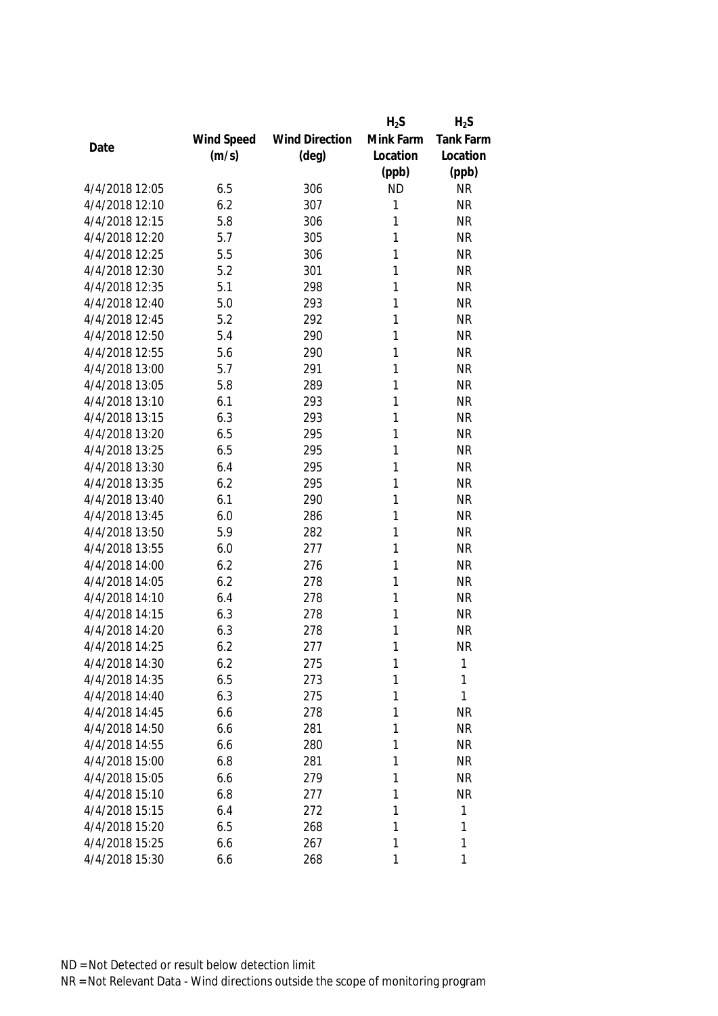|                |            |                       | $H_2S$    | $H_2S$           |
|----------------|------------|-----------------------|-----------|------------------|
|                | Wind Speed | <b>Wind Direction</b> | Mink Farm | <b>Tank Farm</b> |
| Date           | (m/s)      | $(\text{deg})$        | Location  | Location         |
|                |            |                       | (ppb)     | (ppb)            |
| 4/4/2018 12:05 | 6.5        | 306                   | <b>ND</b> | <b>NR</b>        |
| 4/4/2018 12:10 | 6.2        | 307                   | 1         | <b>NR</b>        |
| 4/4/2018 12:15 | 5.8        | 306                   | 1         | <b>NR</b>        |
| 4/4/2018 12:20 | 5.7        | 305                   | 1         | <b>NR</b>        |
| 4/4/2018 12:25 | 5.5        | 306                   | 1         | <b>NR</b>        |
| 4/4/2018 12:30 | 5.2        | 301                   | 1         | <b>NR</b>        |
| 4/4/2018 12:35 | 5.1        | 298                   | 1         | <b>NR</b>        |
| 4/4/2018 12:40 | 5.0        | 293                   | 1         | <b>NR</b>        |
| 4/4/2018 12:45 | 5.2        | 292                   | 1         | <b>NR</b>        |
| 4/4/2018 12:50 | 5.4        | 290                   | 1         | <b>NR</b>        |
| 4/4/2018 12:55 | 5.6        | 290                   | 1         | <b>NR</b>        |
| 4/4/2018 13:00 | 5.7        | 291                   | 1         | <b>NR</b>        |
| 4/4/2018 13:05 | 5.8        | 289                   | 1         | <b>NR</b>        |
| 4/4/2018 13:10 | 6.1        | 293                   | 1         | <b>NR</b>        |
| 4/4/2018 13:15 | 6.3        | 293                   | 1         | <b>NR</b>        |
| 4/4/2018 13:20 | 6.5        | 295                   | 1         | <b>NR</b>        |
| 4/4/2018 13:25 | 6.5        | 295                   | 1         | <b>NR</b>        |
| 4/4/2018 13:30 | 6.4        | 295                   | 1         | <b>NR</b>        |
| 4/4/2018 13:35 | 6.2        | 295                   | 1         | <b>NR</b>        |
| 4/4/2018 13:40 | 6.1        | 290                   | 1         | <b>NR</b>        |
| 4/4/2018 13:45 | 6.0        | 286                   | 1         | <b>NR</b>        |
| 4/4/2018 13:50 | 5.9        | 282                   | 1         | <b>NR</b>        |
| 4/4/2018 13:55 | 6.0        | 277                   | 1         | <b>NR</b>        |
| 4/4/2018 14:00 | 6.2        | 276                   | 1         | <b>NR</b>        |
| 4/4/2018 14:05 | 6.2        | 278                   | 1         | <b>NR</b>        |
| 4/4/2018 14:10 | 6.4        | 278                   | 1         | <b>NR</b>        |
| 4/4/2018 14:15 | 6.3        | 278                   | 1         | <b>NR</b>        |
| 4/4/2018 14:20 | 6.3        | 278                   | 1         | <b>NR</b>        |
| 4/4/2018 14:25 | 6.2        | 277                   | 1         | <b>NR</b>        |
| 4/4/2018 14:30 | 6.2        | 275                   | 1         | 1                |
| 4/4/2018 14:35 | 6.5        | 273                   | 1         | 1                |
| 4/4/2018 14:40 | 6.3        | 275                   | 1         | 1                |
| 4/4/2018 14:45 | 6.6        | 278                   | 1         | <b>NR</b>        |
| 4/4/2018 14:50 | 6.6        | 281                   | 1         | <b>NR</b>        |
| 4/4/2018 14:55 | 6.6        | 280                   | 1         | <b>NR</b>        |
| 4/4/2018 15:00 | 6.8        | 281                   | 1         | <b>NR</b>        |
| 4/4/2018 15:05 | 6.6        | 279                   | 1         | <b>NR</b>        |
| 4/4/2018 15:10 | 6.8        | 277                   | 1         | <b>NR</b>        |
| 4/4/2018 15:15 | 6.4        | 272                   | 1         | 1                |
| 4/4/2018 15:20 | 6.5        | 268                   | 1         | 1                |
| 4/4/2018 15:25 | 6.6        | 267                   | 1         | 1                |
| 4/4/2018 15:30 | 6.6        | 268                   | 1         | 1                |
|                |            |                       |           |                  |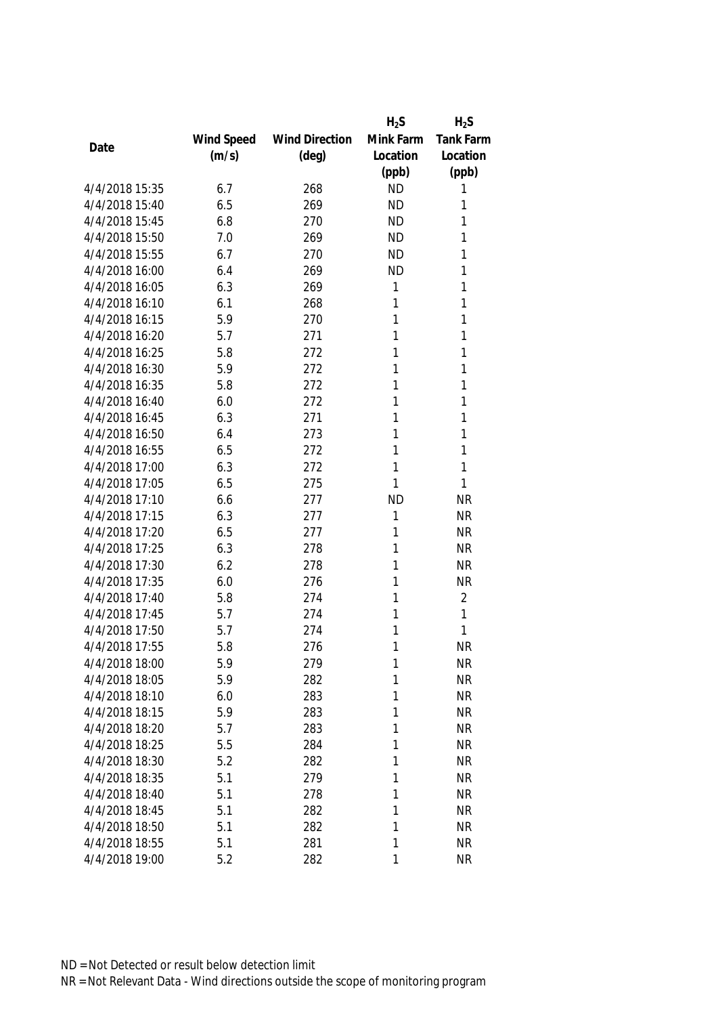|                |            |                       | $H_2S$    | $H_2S$           |
|----------------|------------|-----------------------|-----------|------------------|
|                | Wind Speed | <b>Wind Direction</b> | Mink Farm | <b>Tank Farm</b> |
| Date           | (m/s)      | $(\text{deg})$        | Location  | Location         |
|                |            |                       | (ppb)     | (ppb)            |
| 4/4/2018 15:35 | 6.7        | 268                   | <b>ND</b> | 1                |
| 4/4/2018 15:40 | 6.5        | 269                   | <b>ND</b> | 1                |
| 4/4/2018 15:45 | 6.8        | 270                   | <b>ND</b> | 1                |
| 4/4/2018 15:50 | 7.0        | 269                   | <b>ND</b> | 1                |
| 4/4/2018 15:55 | 6.7        | 270                   | <b>ND</b> | 1                |
| 4/4/2018 16:00 | 6.4        | 269                   | <b>ND</b> | 1                |
| 4/4/2018 16:05 | 6.3        | 269                   | 1         | 1                |
| 4/4/2018 16:10 | 6.1        | 268                   | 1         | 1                |
| 4/4/2018 16:15 | 5.9        | 270                   | 1         | 1                |
| 4/4/2018 16:20 | 5.7        | 271                   | 1         | 1                |
| 4/4/2018 16:25 | 5.8        | 272                   | 1         | 1                |
| 4/4/2018 16:30 | 5.9        | 272                   | 1         | 1                |
| 4/4/2018 16:35 | 5.8        | 272                   | 1         | 1                |
| 4/4/2018 16:40 | 6.0        | 272                   | 1         | 1                |
| 4/4/2018 16:45 | 6.3        | 271                   | 1         | 1                |
| 4/4/2018 16:50 | 6.4        | 273                   | 1         | 1                |
| 4/4/2018 16:55 | 6.5        | 272                   | 1         | 1                |
| 4/4/2018 17:00 | 6.3        | 272                   | 1         | 1                |
| 4/4/2018 17:05 | 6.5        | 275                   | 1         | 1                |
| 4/4/2018 17:10 | 6.6        | 277                   | <b>ND</b> | <b>NR</b>        |
| 4/4/2018 17:15 | 6.3        | 277                   | 1         | <b>NR</b>        |
| 4/4/2018 17:20 | 6.5        | 277                   | 1         | <b>NR</b>        |
| 4/4/2018 17:25 | 6.3        | 278                   | 1         | <b>NR</b>        |
| 4/4/2018 17:30 | 6.2        | 278                   | 1         | <b>NR</b>        |
| 4/4/2018 17:35 | 6.0        | 276                   | 1         | <b>NR</b>        |
| 4/4/2018 17:40 | 5.8        | 274                   | 1         | $\overline{2}$   |
| 4/4/2018 17:45 | 5.7        | 274                   | 1         | 1                |
| 4/4/2018 17:50 | 5.7        | 274                   | 1         | 1                |
| 4/4/2018 17:55 | 5.8        | 276                   | 1         | <b>NR</b>        |
| 4/4/2018 18:00 | 5.9        | 279                   | 1         | <b>NR</b>        |
| 4/4/2018 18:05 | 5.9        | 282                   | 1         | <b>NR</b>        |
| 4/4/2018 18:10 | 6.0        | 283                   | 1         | <b>NR</b>        |
| 4/4/2018 18:15 | 5.9        | 283                   | 1         | <b>NR</b>        |
| 4/4/2018 18:20 | 5.7        | 283                   | 1         | <b>NR</b>        |
| 4/4/2018 18:25 | 5.5        | 284                   | 1         | <b>NR</b>        |
| 4/4/2018 18:30 | 5.2        | 282                   | 1         | <b>NR</b>        |
| 4/4/2018 18:35 | 5.1        | 279                   | 1         | <b>NR</b>        |
| 4/4/2018 18:40 | 5.1        | 278                   | 1         | <b>NR</b>        |
| 4/4/2018 18:45 | 5.1        | 282                   | 1         | <b>NR</b>        |
| 4/4/2018 18:50 | 5.1        | 282                   | 1         | <b>NR</b>        |
| 4/4/2018 18:55 | 5.1        | 281                   | 1         | <b>NR</b>        |
| 4/4/2018 19:00 | 5.2        | 282                   | 1         | <b>NR</b>        |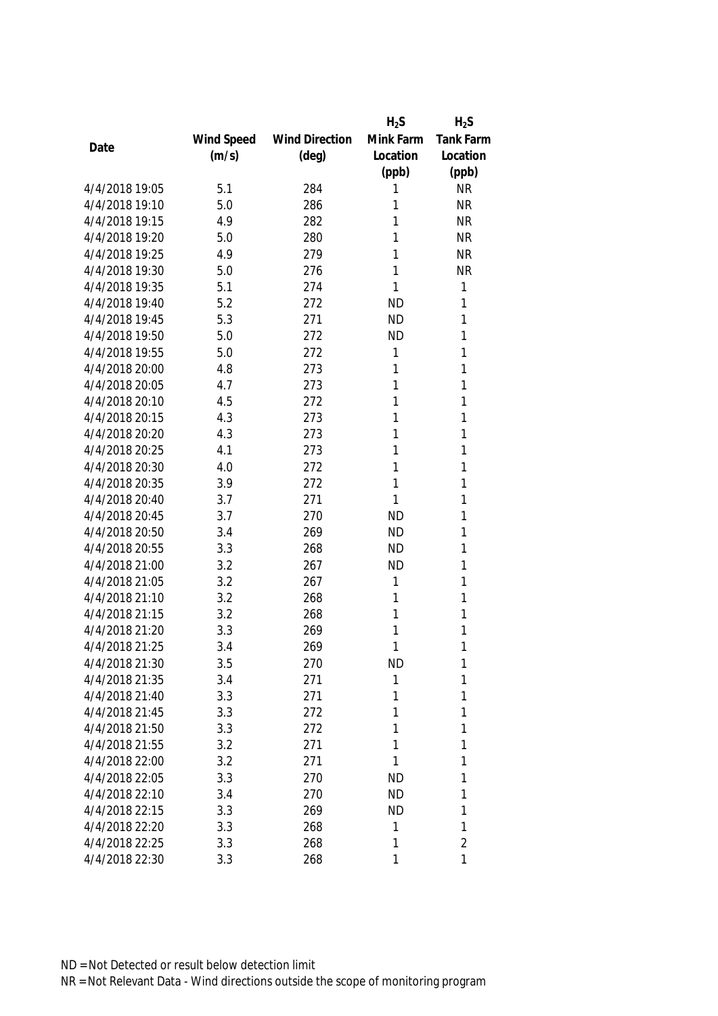|                |            |                       | $H_2S$    | $H_2S$           |
|----------------|------------|-----------------------|-----------|------------------|
|                | Wind Speed | <b>Wind Direction</b> | Mink Farm | <b>Tank Farm</b> |
| Date           | (m/s)      | (deg)                 | Location  | Location         |
|                |            |                       | (ppb)     | (ppb)            |
| 4/4/2018 19:05 | 5.1        | 284                   | 1         | <b>NR</b>        |
| 4/4/2018 19:10 | 5.0        | 286                   | 1         | <b>NR</b>        |
| 4/4/2018 19:15 | 4.9        | 282                   | 1         | <b>NR</b>        |
| 4/4/2018 19:20 | 5.0        | 280                   | 1         | <b>NR</b>        |
| 4/4/2018 19:25 | 4.9        | 279                   | 1         | <b>NR</b>        |
| 4/4/2018 19:30 | 5.0        | 276                   | 1         | <b>NR</b>        |
| 4/4/2018 19:35 | 5.1        | 274                   | 1         | $\mathbf{1}$     |
| 4/4/2018 19:40 | 5.2        | 272                   | <b>ND</b> | 1                |
| 4/4/2018 19:45 | 5.3        | 271                   | <b>ND</b> | 1                |
| 4/4/2018 19:50 | 5.0        | 272                   | <b>ND</b> | 1                |
| 4/4/2018 19:55 | 5.0        | 272                   | 1         | 1                |
| 4/4/2018 20:00 | 4.8        | 273                   | 1         | 1                |
| 4/4/2018 20:05 | 4.7        | 273                   | 1         | 1                |
| 4/4/2018 20:10 | 4.5        | 272                   | 1         | 1                |
| 4/4/2018 20:15 | 4.3        | 273                   | 1         | 1                |
| 4/4/2018 20:20 | 4.3        | 273                   | 1         | 1                |
| 4/4/2018 20:25 | 4.1        | 273                   | 1         | 1                |
| 4/4/2018 20:30 | 4.0        | 272                   | 1         | 1                |
| 4/4/2018 20:35 | 3.9        | 272                   | 1         | 1                |
| 4/4/2018 20:40 | 3.7        | 271                   | 1         | 1                |
| 4/4/2018 20:45 | 3.7        | 270                   | <b>ND</b> | 1                |
| 4/4/2018 20:50 | 3.4        | 269                   | <b>ND</b> | 1                |
| 4/4/2018 20:55 | 3.3        | 268                   | <b>ND</b> | 1                |
| 4/4/2018 21:00 | 3.2        | 267                   | <b>ND</b> | 1                |
| 4/4/2018 21:05 | 3.2        | 267                   | 1         | 1                |
| 4/4/2018 21:10 | 3.2        | 268                   | 1         | 1                |
| 4/4/2018 21:15 | 3.2        | 268                   | 1         | 1                |
| 4/4/2018 21:20 | 3.3        | 269                   | 1         | 1                |
| 4/4/2018 21:25 | 3.4        | 269                   | 1         | 1                |
| 4/4/2018 21:30 | 3.5        | 270                   | <b>ND</b> | 1                |
| 4/4/2018 21:35 | 3.4        | 271                   | 1         | 1                |
| 4/4/2018 21:40 | 3.3        | 271                   | 1         | 1                |
| 4/4/2018 21:45 | 3.3        | 272                   | 1         | 1                |
| 4/4/2018 21:50 | 3.3        | 272                   | 1         | 1                |
| 4/4/2018 21:55 | 3.2        | 271                   | 1         | 1                |
| 4/4/2018 22:00 | 3.2        | 271                   | 1         | 1                |
| 4/4/2018 22:05 | 3.3        | 270                   | <b>ND</b> | 1                |
| 4/4/2018 22:10 | 3.4        | 270                   | <b>ND</b> | 1                |
| 4/4/2018 22:15 | 3.3        | 269                   | <b>ND</b> | 1                |
| 4/4/2018 22:20 | 3.3        | 268                   | 1         | 1                |
| 4/4/2018 22:25 | 3.3        | 268                   | 1         | $\overline{2}$   |
| 4/4/2018 22:30 | 3.3        | 268                   | 1         | 1                |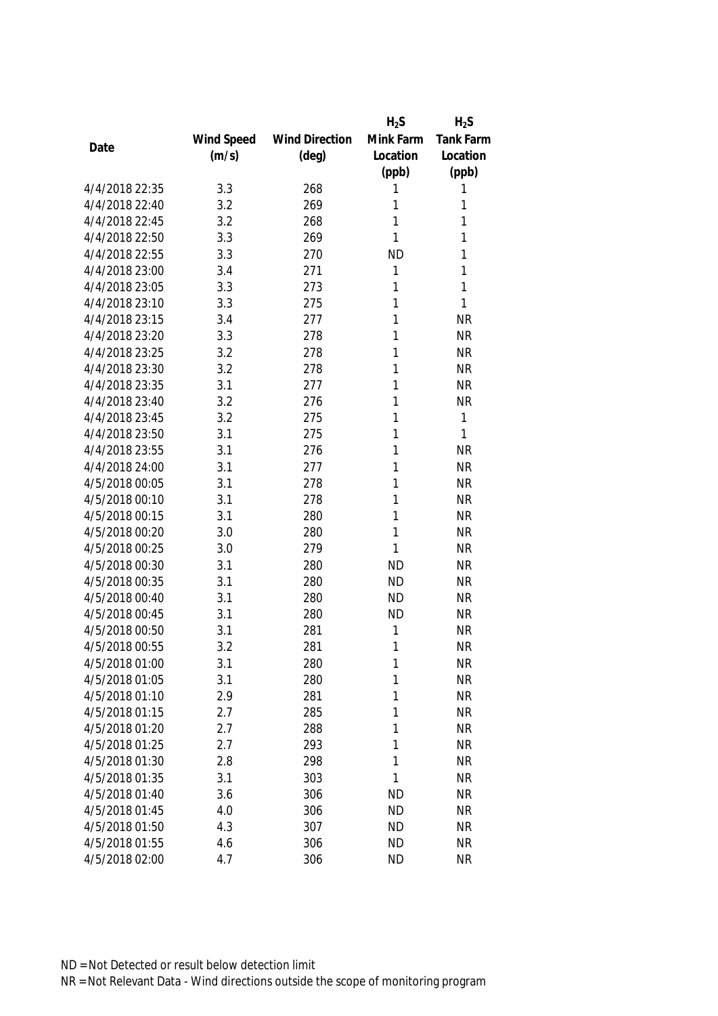|                |            |                       | $H_2S$    | $H_2S$           |
|----------------|------------|-----------------------|-----------|------------------|
|                | Wind Speed | <b>Wind Direction</b> | Mink Farm | <b>Tank Farm</b> |
| Date           | (m/s)      | $(\text{deg})$        | Location  | Location         |
|                |            |                       | (ppb)     | (ppb)            |
| 4/4/2018 22:35 | 3.3        | 268                   | 1         | 1                |
| 4/4/2018 22:40 | 3.2        | 269                   | 1         | 1                |
| 4/4/2018 22:45 | 3.2        | 268                   | 1         | 1                |
| 4/4/2018 22:50 | 3.3        | 269                   | 1         | 1                |
| 4/4/2018 22:55 | 3.3        | 270                   | <b>ND</b> | 1                |
| 4/4/2018 23:00 | 3.4        | 271                   | 1         | 1                |
| 4/4/2018 23:05 | 3.3        | 273                   | 1         | 1                |
| 4/4/2018 23:10 | 3.3        | 275                   | 1         | $\mathbf{1}$     |
| 4/4/2018 23:15 | 3.4        | 277                   | 1         | <b>NR</b>        |
| 4/4/2018 23:20 | 3.3        | 278                   | 1         | <b>NR</b>        |
| 4/4/2018 23:25 | 3.2        | 278                   | 1         | <b>NR</b>        |
| 4/4/2018 23:30 | 3.2        | 278                   | 1         | <b>NR</b>        |
| 4/4/2018 23:35 | 3.1        | 277                   | 1         | <b>NR</b>        |
| 4/4/2018 23:40 | 3.2        | 276                   | 1         | <b>NR</b>        |
| 4/4/2018 23:45 | 3.2        | 275                   | 1         | $\mathbf{1}$     |
| 4/4/2018 23:50 | 3.1        | 275                   | 1         | $\mathbf{1}$     |
| 4/4/2018 23:55 | 3.1        | 276                   | 1         | <b>NR</b>        |
| 4/4/2018 24:00 | 3.1        | 277                   | 1         | <b>NR</b>        |
| 4/5/2018 00:05 | 3.1        | 278                   | 1         | <b>NR</b>        |
| 4/5/2018 00:10 | 3.1        | 278                   | 1         | <b>NR</b>        |
| 4/5/2018 00:15 | 3.1        | 280                   | 1         | <b>NR</b>        |
| 4/5/2018 00:20 | 3.0        | 280                   | 1         | <b>NR</b>        |
| 4/5/2018 00:25 | 3.0        | 279                   | 1         | <b>NR</b>        |
| 4/5/2018 00:30 | 3.1        | 280                   | <b>ND</b> | <b>NR</b>        |
| 4/5/2018 00:35 | 3.1        | 280                   | <b>ND</b> | <b>NR</b>        |
| 4/5/2018 00:40 | 3.1        | 280                   | <b>ND</b> | <b>NR</b>        |
| 4/5/2018 00:45 | 3.1        | 280                   | <b>ND</b> | <b>NR</b>        |
| 4/5/2018 00:50 | 3.1        | 281                   | 1         | <b>NR</b>        |
| 4/5/2018 00:55 | 3.2        | 281                   | 1         | <b>NR</b>        |
| 4/5/2018 01:00 | 3.1        | 280                   | 1         | <b>NR</b>        |
| 4/5/2018 01:05 | 3.1        | 280                   | 1         | <b>NR</b>        |
| 4/5/2018 01:10 | 2.9        | 281                   | 1         | <b>NR</b>        |
| 4/5/2018 01:15 | 2.7        | 285                   | 1         | <b>NR</b>        |
| 4/5/2018 01:20 | 2.7        | 288                   | 1         | <b>NR</b>        |
| 4/5/2018 01:25 | 2.7        | 293                   | 1         | <b>NR</b>        |
| 4/5/2018 01:30 | 2.8        | 298                   | 1         | <b>NR</b>        |
| 4/5/2018 01:35 | 3.1        | 303                   | 1         | <b>NR</b>        |
| 4/5/2018 01:40 | 3.6        | 306                   | <b>ND</b> | <b>NR</b>        |
| 4/5/2018 01:45 | 4.0        | 306                   | <b>ND</b> | <b>NR</b>        |
| 4/5/2018 01:50 | 4.3        | 307                   | <b>ND</b> | <b>NR</b>        |
| 4/5/2018 01:55 | 4.6        | 306                   | <b>ND</b> | <b>NR</b>        |
| 4/5/2018 02:00 | 4.7        | 306                   | <b>ND</b> | <b>NR</b>        |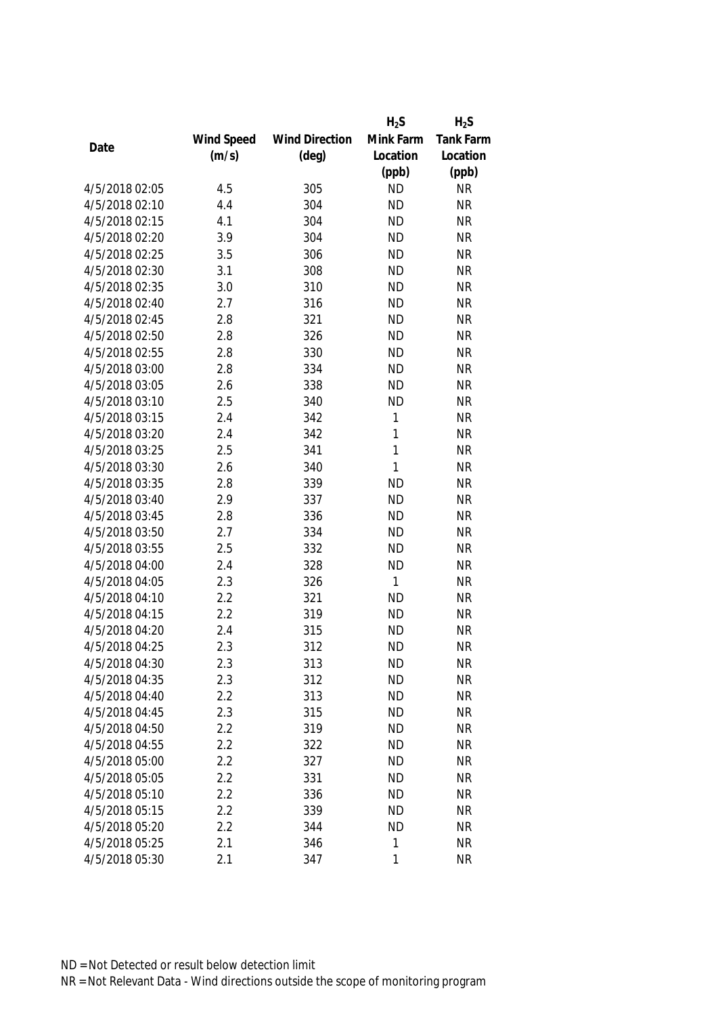|                |            |                       | $H_2S$       | $H_2S$    |
|----------------|------------|-----------------------|--------------|-----------|
|                | Wind Speed | <b>Wind Direction</b> | Mink Farm    | Tank Farm |
| Date           | (m/s)      | $(\text{deg})$        | Location     | Location  |
|                |            |                       | (ppb)        | (ppb)     |
| 4/5/2018 02:05 | 4.5        | 305                   | <b>ND</b>    | <b>NR</b> |
| 4/5/2018 02:10 | 4.4        | 304                   | <b>ND</b>    | <b>NR</b> |
| 4/5/2018 02:15 | 4.1        | 304                   | <b>ND</b>    | <b>NR</b> |
| 4/5/2018 02:20 | 3.9        | 304                   | <b>ND</b>    | <b>NR</b> |
| 4/5/2018 02:25 | 3.5        | 306                   | <b>ND</b>    | <b>NR</b> |
| 4/5/2018 02:30 | 3.1        | 308                   | <b>ND</b>    | <b>NR</b> |
| 4/5/2018 02:35 | 3.0        | 310                   | <b>ND</b>    | <b>NR</b> |
| 4/5/2018 02:40 | 2.7        | 316                   | <b>ND</b>    | <b>NR</b> |
| 4/5/2018 02:45 | 2.8        | 321                   | <b>ND</b>    | <b>NR</b> |
| 4/5/2018 02:50 | 2.8        | 326                   | <b>ND</b>    | <b>NR</b> |
| 4/5/2018 02:55 | 2.8        | 330                   | <b>ND</b>    | <b>NR</b> |
| 4/5/2018 03:00 | 2.8        | 334                   | <b>ND</b>    | <b>NR</b> |
| 4/5/2018 03:05 | 2.6        | 338                   | <b>ND</b>    | <b>NR</b> |
| 4/5/2018 03:10 | 2.5        | 340                   | <b>ND</b>    | <b>NR</b> |
| 4/5/2018 03:15 | 2.4        | 342                   | 1            | <b>NR</b> |
| 4/5/2018 03:20 | 2.4        | 342                   | $\mathbf{1}$ | <b>NR</b> |
| 4/5/2018 03:25 | 2.5        | 341                   | $\mathbf{1}$ | <b>NR</b> |
| 4/5/2018 03:30 | 2.6        | 340                   | $\mathbf{1}$ | <b>NR</b> |
| 4/5/2018 03:35 | 2.8        | 339                   | <b>ND</b>    | <b>NR</b> |
| 4/5/2018 03:40 | 2.9        | 337                   | <b>ND</b>    | <b>NR</b> |
| 4/5/2018 03:45 | 2.8        | 336                   | <b>ND</b>    | <b>NR</b> |
| 4/5/2018 03:50 | 2.7        | 334                   | <b>ND</b>    | <b>NR</b> |
| 4/5/2018 03:55 | 2.5        | 332                   | <b>ND</b>    | <b>NR</b> |
| 4/5/2018 04:00 | 2.4        | 328                   | <b>ND</b>    | <b>NR</b> |
| 4/5/2018 04:05 | 2.3        | 326                   | $\mathbf{1}$ | <b>NR</b> |
| 4/5/2018 04:10 | 2.2        | 321                   | <b>ND</b>    | <b>NR</b> |
| 4/5/2018 04:15 | 2.2        | 319                   | <b>ND</b>    | <b>NR</b> |
| 4/5/2018 04:20 | 2.4        | 315                   | <b>ND</b>    | <b>NR</b> |
| 4/5/2018 04:25 | 2.3        | 312                   | <b>ND</b>    | <b>NR</b> |
| 4/5/2018 04:30 | 2.3        | 313                   | <b>ND</b>    | <b>NR</b> |
| 4/5/2018 04:35 | 2.3        | 312                   | <b>ND</b>    | <b>NR</b> |
| 4/5/2018 04:40 | 2.2        | 313                   | <b>ND</b>    | <b>NR</b> |
| 4/5/2018 04:45 | 2.3        | 315                   | <b>ND</b>    | <b>NR</b> |
| 4/5/2018 04:50 | 2.2        | 319                   | <b>ND</b>    | <b>NR</b> |
| 4/5/2018 04:55 | 2.2        | 322                   | <b>ND</b>    | <b>NR</b> |
| 4/5/2018 05:00 | 2.2        | 327                   | <b>ND</b>    | <b>NR</b> |
| 4/5/2018 05:05 | 2.2        | 331                   | <b>ND</b>    | <b>NR</b> |
| 4/5/2018 05:10 | 2.2        | 336                   | <b>ND</b>    | <b>NR</b> |
| 4/5/2018 05:15 | 2.2        | 339                   | <b>ND</b>    | <b>NR</b> |
| 4/5/2018 05:20 | 2.2        | 344                   | <b>ND</b>    | <b>NR</b> |
| 4/5/2018 05:25 | 2.1        | 346                   | 1            | <b>NR</b> |
| 4/5/2018 05:30 | 2.1        | 347                   | $\mathbf{1}$ | <b>NR</b> |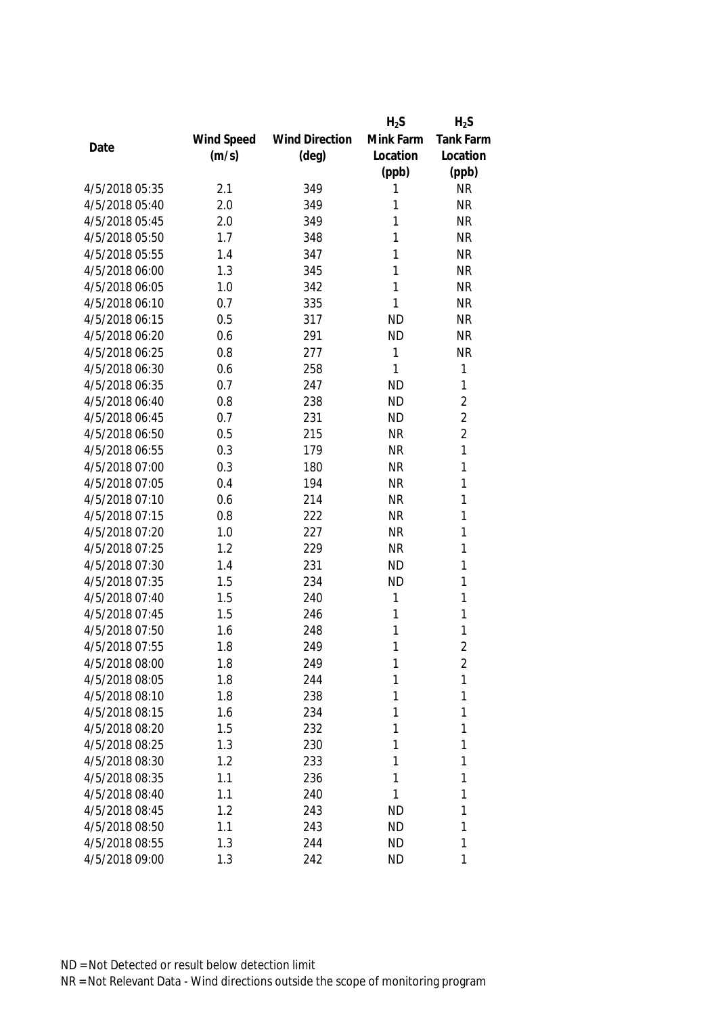|                |            |                       | $H_2S$    | $H_2S$           |
|----------------|------------|-----------------------|-----------|------------------|
|                | Wind Speed | <b>Wind Direction</b> | Mink Farm | <b>Tank Farm</b> |
| Date           | (m/s)      | $(\text{deg})$        | Location  | Location         |
|                |            |                       | (ppb)     | (ppb)            |
| 4/5/2018 05:35 | 2.1        | 349                   | 1         | <b>NR</b>        |
| 4/5/2018 05:40 | 2.0        | 349                   | 1         | <b>NR</b>        |
| 4/5/2018 05:45 | 2.0        | 349                   | 1         | <b>NR</b>        |
| 4/5/2018 05:50 | 1.7        | 348                   | 1         | <b>NR</b>        |
| 4/5/2018 05:55 | 1.4        | 347                   | 1         | <b>NR</b>        |
| 4/5/2018 06:00 | 1.3        | 345                   | 1         | <b>NR</b>        |
| 4/5/2018 06:05 | 1.0        | 342                   | 1         | <b>NR</b>        |
| 4/5/2018 06:10 | 0.7        | 335                   | 1         | <b>NR</b>        |
| 4/5/2018 06:15 | 0.5        | 317                   | <b>ND</b> | <b>NR</b>        |
| 4/5/2018 06:20 | 0.6        | 291                   | <b>ND</b> | <b>NR</b>        |
| 4/5/2018 06:25 | 0.8        | 277                   | 1         | <b>NR</b>        |
| 4/5/2018 06:30 | 0.6        | 258                   | 1         | $\mathbf{1}$     |
| 4/5/2018 06:35 | 0.7        | 247                   | <b>ND</b> | 1                |
| 4/5/2018 06:40 | 0.8        | 238                   | <b>ND</b> | $\overline{2}$   |
| 4/5/2018 06:45 | 0.7        | 231                   | <b>ND</b> | $\overline{2}$   |
| 4/5/2018 06:50 | 0.5        | 215                   | <b>NR</b> | $\overline{2}$   |
| 4/5/2018 06:55 | 0.3        | 179                   | <b>NR</b> | 1                |
| 4/5/2018 07:00 | 0.3        | 180                   | <b>NR</b> | $\mathbf{1}$     |
| 4/5/2018 07:05 | 0.4        | 194                   | <b>NR</b> | 1                |
| 4/5/2018 07:10 | 0.6        | 214                   | <b>NR</b> | 1                |
| 4/5/2018 07:15 | 0.8        | 222                   | <b>NR</b> | $\mathbf{1}$     |
| 4/5/2018 07:20 | 1.0        | 227                   | <b>NR</b> | $\mathbf{1}$     |
| 4/5/2018 07:25 | 1.2        | 229                   | <b>NR</b> | 1                |
| 4/5/2018 07:30 | 1.4        | 231                   | <b>ND</b> | 1                |
| 4/5/2018 07:35 | 1.5        | 234                   | <b>ND</b> | 1                |
| 4/5/2018 07:40 | 1.5        | 240                   | 1         | 1                |
| 4/5/2018 07:45 | 1.5        | 246                   | 1         | 1                |
| 4/5/2018 07:50 | 1.6        | 248                   | 1         | 1                |
| 4/5/2018 07:55 | 1.8        | 249                   | 1         | $\overline{2}$   |
| 4/5/2018 08:00 | 1.8        | 249                   | 1         | 2                |
| 4/5/2018 08:05 | 1.8        | 244                   | 1         | 1                |
| 4/5/2018 08:10 | 1.8        | 238                   | 1         | 1                |
| 4/5/2018 08:15 | 1.6        | 234                   | 1         | 1                |
| 4/5/2018 08:20 | 1.5        | 232                   | 1         | 1                |
| 4/5/2018 08:25 | 1.3        | 230                   | 1         | 1                |
| 4/5/2018 08:30 | 1.2        | 233                   | 1         | 1                |
| 4/5/2018 08:35 | 1.1        | 236                   | 1         | 1                |
| 4/5/2018 08:40 | 1.1        | 240                   | 1         | 1                |
| 4/5/2018 08:45 | 1.2        | 243                   | <b>ND</b> | 1                |
| 4/5/2018 08:50 | 1.1        | 243                   | <b>ND</b> | 1                |
| 4/5/2018 08:55 | 1.3        | 244                   | <b>ND</b> | 1                |
| 4/5/2018 09:00 | 1.3        | 242                   | <b>ND</b> | 1                |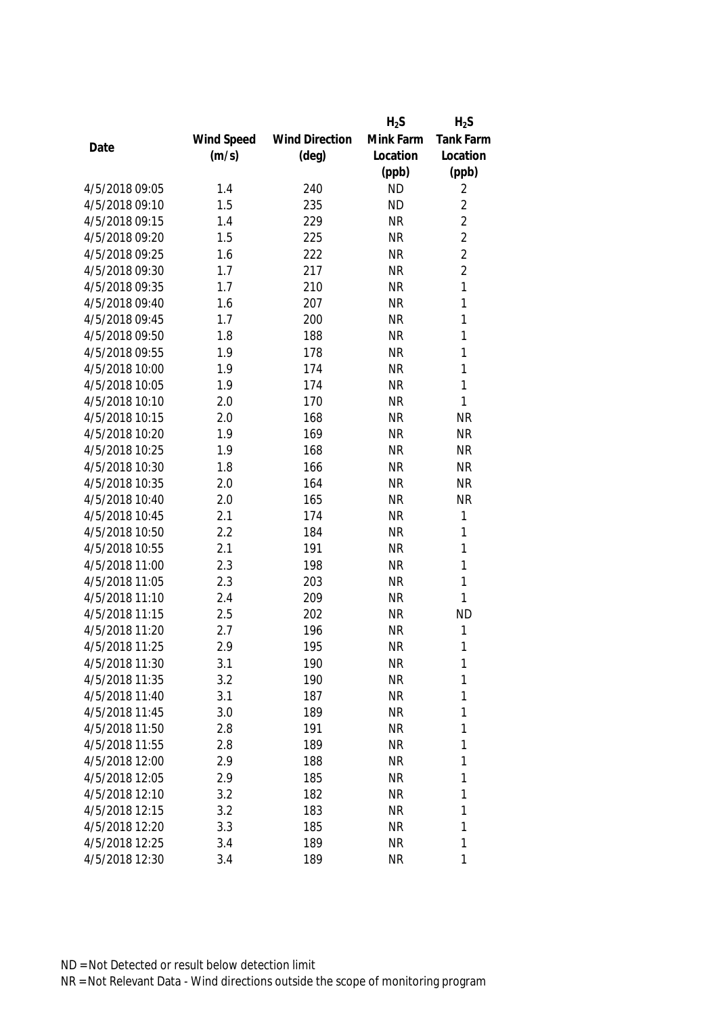|                |            |                       | $H_2S$    | $H_2S$           |
|----------------|------------|-----------------------|-----------|------------------|
|                | Wind Speed | <b>Wind Direction</b> | Mink Farm | <b>Tank Farm</b> |
| Date           | (m/s)      | $(\text{deg})$        | Location  | Location         |
|                |            |                       | (ppb)     | (ppb)            |
| 4/5/2018 09:05 | 1.4        | 240                   | <b>ND</b> | 2                |
| 4/5/2018 09:10 | 1.5        | 235                   | <b>ND</b> | $\overline{2}$   |
| 4/5/2018 09:15 | 1.4        | 229                   | <b>NR</b> | $\overline{2}$   |
| 4/5/2018 09:20 | 1.5        | 225                   | <b>NR</b> | $\overline{2}$   |
| 4/5/2018 09:25 | 1.6        | 222                   | <b>NR</b> | $\overline{2}$   |
| 4/5/2018 09:30 | 1.7        | 217                   | <b>NR</b> | $\overline{2}$   |
| 4/5/2018 09:35 | 1.7        | 210                   | <b>NR</b> | 1                |
| 4/5/2018 09:40 | 1.6        | 207                   | <b>NR</b> | $\mathbf{1}$     |
| 4/5/2018 09:45 | 1.7        | 200                   | <b>NR</b> | 1                |
| 4/5/2018 09:50 | 1.8        | 188                   | <b>NR</b> | $\mathbf{1}$     |
| 4/5/2018 09:55 | 1.9        | 178                   | <b>NR</b> | 1                |
| 4/5/2018 10:00 | 1.9        | 174                   | <b>NR</b> | 1                |
| 4/5/2018 10:05 | 1.9        | 174                   | <b>NR</b> | $\mathbf{1}$     |
| 4/5/2018 10:10 | 2.0        | 170                   | <b>NR</b> | $\mathbf{1}$     |
| 4/5/2018 10:15 | 2.0        | 168                   | <b>NR</b> | <b>NR</b>        |
| 4/5/2018 10:20 | 1.9        | 169                   | <b>NR</b> | <b>NR</b>        |
| 4/5/2018 10:25 | 1.9        | 168                   | <b>NR</b> | <b>NR</b>        |
| 4/5/2018 10:30 | 1.8        | 166                   | <b>NR</b> | <b>NR</b>        |
| 4/5/2018 10:35 | 2.0        | 164                   | <b>NR</b> | <b>NR</b>        |
| 4/5/2018 10:40 | 2.0        | 165                   | <b>NR</b> | <b>NR</b>        |
| 4/5/2018 10:45 | 2.1        | 174                   | <b>NR</b> | $\mathbf{1}$     |
| 4/5/2018 10:50 | 2.2        | 184                   | <b>NR</b> | 1                |
| 4/5/2018 10:55 | 2.1        | 191                   | <b>NR</b> | 1                |
| 4/5/2018 11:00 | 2.3        | 198                   | <b>NR</b> | $\mathbf{1}$     |
| 4/5/2018 11:05 | 2.3        | 203                   | <b>NR</b> | $\mathbf{1}$     |
| 4/5/2018 11:10 | 2.4        | 209                   | <b>NR</b> | 1                |
| 4/5/2018 11:15 | 2.5        | 202                   | <b>NR</b> | <b>ND</b>        |
| 4/5/2018 11:20 | 2.7        | 196                   | <b>NR</b> | 1                |
| 4/5/2018 11:25 | 2.9        | 195                   | <b>NR</b> | 1                |
| 4/5/2018 11:30 | 3.1        | 190                   | <b>NR</b> | 1                |
| 4/5/2018 11:35 | 3.2        | 190                   | <b>NR</b> | 1                |
| 4/5/2018 11:40 | 3.1        | 187                   | <b>NR</b> | 1                |
| 4/5/2018 11:45 | 3.0        | 189                   | <b>NR</b> | 1                |
| 4/5/2018 11:50 | 2.8        | 191                   | <b>NR</b> | 1                |
| 4/5/2018 11:55 | 2.8        | 189                   | <b>NR</b> | 1                |
| 4/5/2018 12:00 | 2.9        | 188                   | <b>NR</b> | 1                |
| 4/5/2018 12:05 | 2.9        | 185                   | <b>NR</b> | 1                |
| 4/5/2018 12:10 | 3.2        | 182                   | <b>NR</b> | 1                |
| 4/5/2018 12:15 | 3.2        | 183                   | <b>NR</b> | 1                |
| 4/5/2018 12:20 | 3.3        | 185                   | <b>NR</b> | 1                |
| 4/5/2018 12:25 | 3.4        | 189                   | <b>NR</b> | 1                |
| 4/5/2018 12:30 | 3.4        | 189                   | <b>NR</b> | 1                |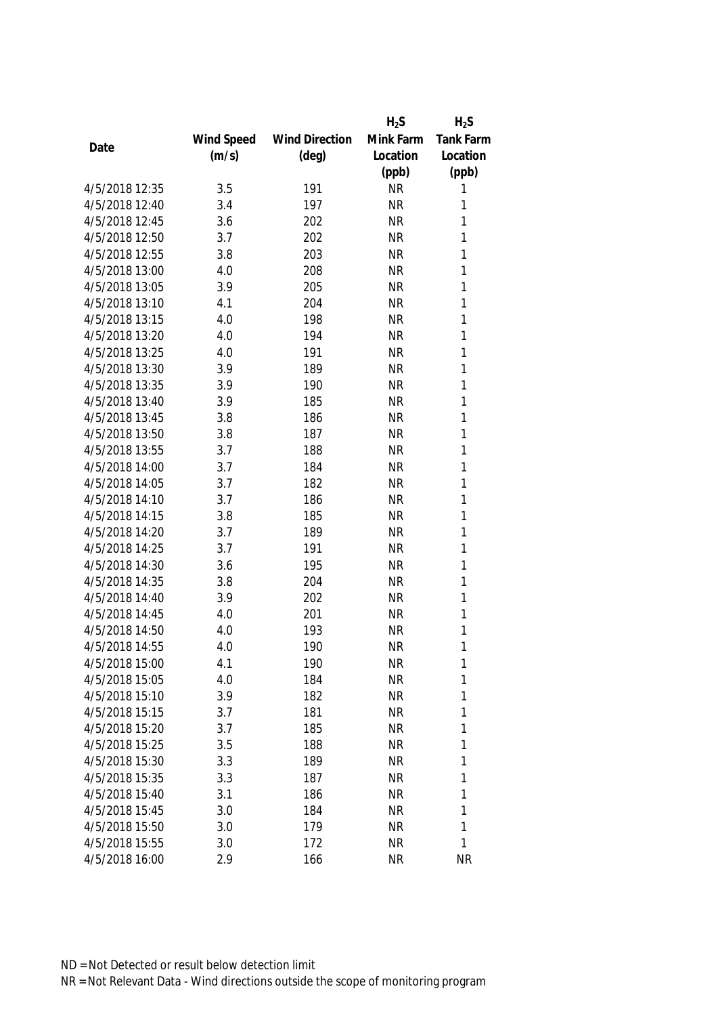|                |            |                       | $H_2S$    | $H_2S$           |
|----------------|------------|-----------------------|-----------|------------------|
|                | Wind Speed | <b>Wind Direction</b> | Mink Farm | <b>Tank Farm</b> |
| Date           | (m/s)      | $(\text{deg})$        | Location  | Location         |
|                |            |                       | (ppb)     | (ppb)            |
| 4/5/2018 12:35 | 3.5        | 191                   | <b>NR</b> | 1                |
| 4/5/2018 12:40 | 3.4        | 197                   | <b>NR</b> | 1                |
| 4/5/2018 12:45 | 3.6        | 202                   | <b>NR</b> | 1                |
| 4/5/2018 12:50 | 3.7        | 202                   | <b>NR</b> | 1                |
| 4/5/2018 12:55 | 3.8        | 203                   | <b>NR</b> | 1                |
| 4/5/2018 13:00 | 4.0        | 208                   | <b>NR</b> | 1                |
| 4/5/2018 13:05 | 3.9        | 205                   | <b>NR</b> | 1                |
| 4/5/2018 13:10 | 4.1        | 204                   | <b>NR</b> | 1                |
| 4/5/2018 13:15 | 4.0        | 198                   | <b>NR</b> | $\mathbf{1}$     |
| 4/5/2018 13:20 | 4.0        | 194                   | <b>NR</b> | 1                |
| 4/5/2018 13:25 | 4.0        | 191                   | <b>NR</b> | 1                |
| 4/5/2018 13:30 | 3.9        | 189                   | <b>NR</b> | 1                |
| 4/5/2018 13:35 | 3.9        | 190                   | <b>NR</b> | 1                |
| 4/5/2018 13:40 | 3.9        | 185                   | <b>NR</b> | 1                |
| 4/5/2018 13:45 | 3.8        | 186                   | <b>NR</b> | 1                |
| 4/5/2018 13:50 | 3.8        | 187                   | <b>NR</b> | $\mathbf{1}$     |
| 4/5/2018 13:55 | 3.7        | 188                   | <b>NR</b> | 1                |
| 4/5/2018 14:00 | 3.7        | 184                   | <b>NR</b> | $\mathbf{1}$     |
| 4/5/2018 14:05 | 3.7        | 182                   | <b>NR</b> | 1                |
| 4/5/2018 14:10 | 3.7        | 186                   | <b>NR</b> | 1                |
| 4/5/2018 14:15 | 3.8        | 185                   | <b>NR</b> | $\mathbf{1}$     |
| 4/5/2018 14:20 | 3.7        | 189                   | <b>NR</b> | $\mathbf{1}$     |
| 4/5/2018 14:25 | 3.7        | 191                   | <b>NR</b> | 1                |
| 4/5/2018 14:30 | 3.6        | 195                   | <b>NR</b> | 1                |
| 4/5/2018 14:35 | 3.8        | 204                   | <b>NR</b> | 1                |
| 4/5/2018 14:40 | 3.9        | 202                   | <b>NR</b> | 1                |
| 4/5/2018 14:45 | 4.0        | 201                   | <b>NR</b> | 1                |
| 4/5/2018 14:50 | 4.0        | 193                   | <b>NR</b> | 1                |
| 4/5/2018 14:55 | 4.0        | 190                   | <b>NR</b> | 1                |
| 4/5/2018 15:00 | 4.1        | 190                   | <b>NR</b> | 1                |
| 4/5/2018 15:05 | 4.0        | 184                   | <b>NR</b> | 1                |
| 4/5/2018 15:10 | 3.9        | 182                   | <b>NR</b> | 1                |
| 4/5/2018 15:15 | 3.7        | 181                   | <b>NR</b> | 1                |
| 4/5/2018 15:20 | 3.7        | 185                   | <b>NR</b> | 1                |
| 4/5/2018 15:25 | 3.5        | 188                   | <b>NR</b> | 1                |
| 4/5/2018 15:30 | 3.3        | 189                   | <b>NR</b> | 1                |
| 4/5/2018 15:35 | 3.3        | 187                   | <b>NR</b> | 1                |
| 4/5/2018 15:40 | 3.1        | 186                   | <b>NR</b> | 1                |
| 4/5/2018 15:45 | 3.0        | 184                   | <b>NR</b> | 1                |
| 4/5/2018 15:50 | 3.0        | 179                   | <b>NR</b> | 1                |
| 4/5/2018 15:55 | 3.0        | 172                   | <b>NR</b> | 1                |
| 4/5/2018 16:00 | 2.9        | 166                   | <b>NR</b> | <b>NR</b>        |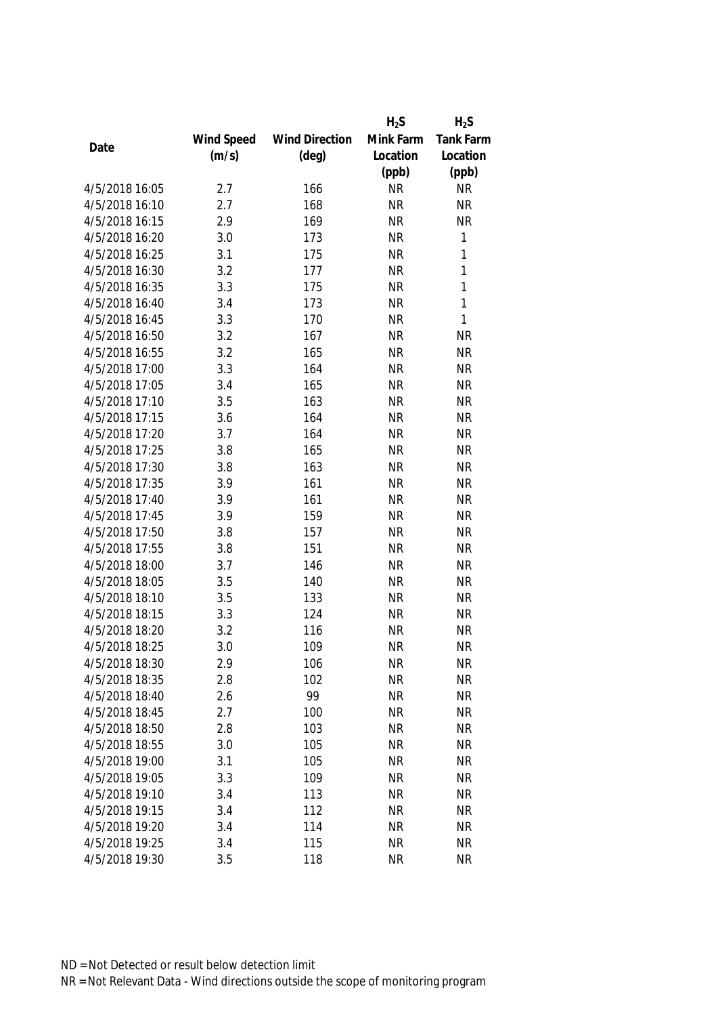|                                  |            |                       | $H_2S$    | $H_2S$                 |
|----------------------------------|------------|-----------------------|-----------|------------------------|
|                                  | Wind Speed | <b>Wind Direction</b> | Mink Farm | Tank Farm              |
| Date                             | (m/s)      | $(\text{deg})$        | Location  | Location               |
|                                  |            |                       | (ppb)     | (ppb)                  |
| 4/5/2018 16:05                   | 2.7        | 166                   | <b>NR</b> | <b>NR</b>              |
| 4/5/2018 16:10                   | 2.7        | 168                   | <b>NR</b> | <b>NR</b>              |
| 4/5/2018 16:15                   | 2.9        | 169                   | <b>NR</b> | <b>NR</b>              |
| 4/5/2018 16:20                   | 3.0        | 173                   | <b>NR</b> | 1                      |
| 4/5/2018 16:25                   | 3.1        | 175                   | <b>NR</b> | 1                      |
| 4/5/2018 16:30                   | 3.2        | 177                   | <b>NR</b> | 1                      |
| 4/5/2018 16:35                   | 3.3        | 175                   | <b>NR</b> | 1                      |
| 4/5/2018 16:40                   | 3.4        | 173                   | <b>NR</b> | 1                      |
| 4/5/2018 16:45                   | 3.3        | 170                   | <b>NR</b> | $\mathbf{1}$           |
| 4/5/2018 16:50                   | 3.2        | 167                   | <b>NR</b> | <b>NR</b>              |
| 4/5/2018 16:55                   | 3.2        | 165                   | <b>NR</b> | <b>NR</b>              |
| 4/5/2018 17:00                   | 3.3        | 164                   | <b>NR</b> | <b>NR</b>              |
| 4/5/2018 17:05                   | 3.4        | 165                   | <b>NR</b> | <b>NR</b>              |
| 4/5/2018 17:10                   | 3.5        | 163                   | <b>NR</b> | <b>NR</b>              |
| 4/5/2018 17:15                   | 3.6        | 164                   | <b>NR</b> | <b>NR</b>              |
| 4/5/2018 17:20                   | 3.7        | 164                   | <b>NR</b> | <b>NR</b>              |
| 4/5/2018 17:25                   | 3.8        | 165                   | <b>NR</b> | <b>NR</b>              |
| 4/5/2018 17:30                   | 3.8        | 163                   | <b>NR</b> | <b>NR</b>              |
| 4/5/2018 17:35                   | 3.9        | 161                   | <b>NR</b> | <b>NR</b>              |
| 4/5/2018 17:40                   | 3.9        | 161                   | <b>NR</b> | <b>NR</b>              |
| 4/5/2018 17:45                   | 3.9        | 159                   | <b>NR</b> | <b>NR</b>              |
| 4/5/2018 17:50                   | 3.8        | 157                   | <b>NR</b> | <b>NR</b>              |
| 4/5/2018 17:55                   | 3.8        | 151                   | <b>NR</b> | <b>NR</b>              |
| 4/5/2018 18:00                   | 3.7        | 146                   | <b>NR</b> | <b>NR</b>              |
| 4/5/2018 18:05                   | 3.5        | 140                   | <b>NR</b> | <b>NR</b>              |
| 4/5/2018 18:10                   | 3.5        | 133                   | <b>NR</b> | <b>NR</b>              |
| 4/5/2018 18:15                   | 3.3        | 124                   | <b>NR</b> | <b>NR</b>              |
| 4/5/2018 18:20                   | 3.2        | 116                   | <b>NR</b> | <b>NR</b>              |
| 4/5/2018 18:25                   | 3.0        | 109                   | <b>NR</b> | <b>NR</b>              |
| 4/5/2018 18:30                   | 2.9        | 106                   | <b>NR</b> | <b>NR</b>              |
| 4/5/2018 18:35                   | 2.8        | 102                   | <b>NR</b> | <b>NR</b>              |
| 4/5/2018 18:40                   | 2.6        | 99                    | <b>NR</b> | <b>NR</b>              |
| 4/5/2018 18:45                   | 2.7        | 100                   | <b>NR</b> | <b>NR</b>              |
| 4/5/2018 18:50                   | 2.8        | 103                   | <b>NR</b> | <b>NR</b>              |
| 4/5/2018 18:55                   | 3.0        | 105                   | <b>NR</b> | <b>NR</b>              |
| 4/5/2018 19:00                   | 3.1        | 105                   | <b>NR</b> | <b>NR</b>              |
|                                  |            |                       |           |                        |
| 4/5/2018 19:05<br>4/5/2018 19:10 | 3.3        | 109                   | <b>NR</b> | <b>NR</b>              |
| 4/5/2018 19:15                   | 3.4        | 113                   | <b>NR</b> | <b>NR</b><br><b>NR</b> |
|                                  | 3.4        | 112                   | <b>NR</b> |                        |
| 4/5/2018 19:20                   | 3.4        | 114                   | <b>NR</b> | <b>NR</b>              |
| 4/5/2018 19:25                   | 3.4        | 115                   | <b>NR</b> | <b>NR</b>              |
| 4/5/2018 19:30                   | 3.5        | 118                   | <b>NR</b> | <b>NR</b>              |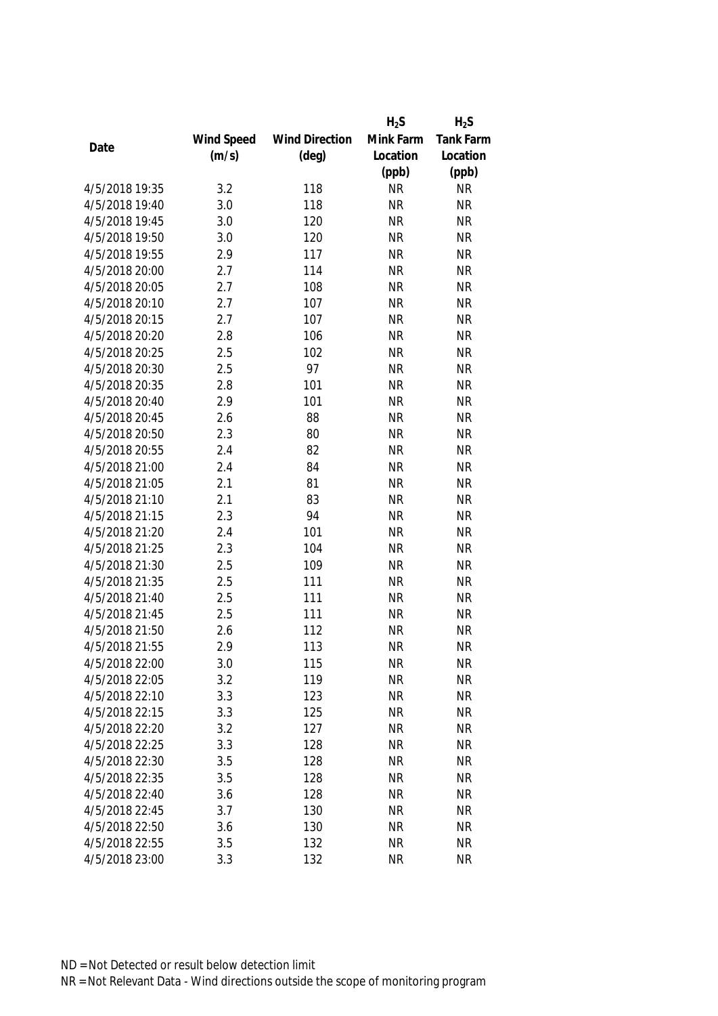|                |            |                       | $H_2S$    | $H_2S$    |
|----------------|------------|-----------------------|-----------|-----------|
|                | Wind Speed | <b>Wind Direction</b> | Mink Farm | Tank Farm |
| Date           | (m/s)      | $(\text{deg})$        | Location  | Location  |
|                |            |                       | (ppb)     | (ppb)     |
| 4/5/2018 19:35 | 3.2        | 118                   | <b>NR</b> | <b>NR</b> |
| 4/5/2018 19:40 | 3.0        | 118                   | <b>NR</b> | <b>NR</b> |
| 4/5/2018 19:45 | 3.0        | 120                   | <b>NR</b> | <b>NR</b> |
| 4/5/2018 19:50 | 3.0        | 120                   | <b>NR</b> | <b>NR</b> |
| 4/5/2018 19:55 | 2.9        | 117                   | <b>NR</b> | <b>NR</b> |
| 4/5/2018 20:00 | 2.7        | 114                   | <b>NR</b> | <b>NR</b> |
| 4/5/2018 20:05 | 2.7        | 108                   | <b>NR</b> | <b>NR</b> |
| 4/5/2018 20:10 | 2.7        | 107                   | <b>NR</b> | <b>NR</b> |
| 4/5/2018 20:15 | 2.7        | 107                   | <b>NR</b> | <b>NR</b> |
| 4/5/2018 20:20 | 2.8        | 106                   | <b>NR</b> | <b>NR</b> |
| 4/5/2018 20:25 | 2.5        | 102                   | <b>NR</b> | <b>NR</b> |
| 4/5/2018 20:30 | 2.5        | 97                    | <b>NR</b> | <b>NR</b> |
| 4/5/2018 20:35 | 2.8        | 101                   | <b>NR</b> | <b>NR</b> |
| 4/5/2018 20:40 | 2.9        | 101                   | <b>NR</b> | <b>NR</b> |
| 4/5/2018 20:45 | 2.6        | 88                    | <b>NR</b> | <b>NR</b> |
| 4/5/2018 20:50 | 2.3        | 80                    | <b>NR</b> | <b>NR</b> |
| 4/5/2018 20:55 | 2.4        | 82                    | <b>NR</b> | <b>NR</b> |
| 4/5/2018 21:00 | 2.4        | 84                    | <b>NR</b> | <b>NR</b> |
| 4/5/2018 21:05 | 2.1        | 81                    | <b>NR</b> | <b>NR</b> |
| 4/5/2018 21:10 | 2.1        | 83                    | <b>NR</b> | <b>NR</b> |
| 4/5/2018 21:15 | 2.3        | 94                    | <b>NR</b> | <b>NR</b> |
| 4/5/2018 21:20 | 2.4        | 101                   | <b>NR</b> | <b>NR</b> |
| 4/5/2018 21:25 | 2.3        | 104                   | <b>NR</b> | <b>NR</b> |
| 4/5/2018 21:30 | 2.5        | 109                   | <b>NR</b> | <b>NR</b> |
| 4/5/2018 21:35 | 2.5        | 111                   | <b>NR</b> | <b>NR</b> |
| 4/5/2018 21:40 | 2.5        | 111                   | <b>NR</b> | <b>NR</b> |
| 4/5/2018 21:45 | 2.5        | 111                   | <b>NR</b> | <b>NR</b> |
| 4/5/2018 21:50 | 2.6        | 112                   | <b>NR</b> | <b>NR</b> |
| 4/5/2018 21:55 | 2.9        | 113                   | <b>NR</b> | <b>NR</b> |
| 4/5/2018 22:00 | 3.0        | 115                   | <b>NR</b> | <b>NR</b> |
| 4/5/2018 22:05 | 3.2        | 119                   | <b>NR</b> | <b>NR</b> |
| 4/5/2018 22:10 | 3.3        | 123                   | <b>NR</b> | <b>NR</b> |
| 4/5/2018 22:15 | 3.3        | 125                   | <b>NR</b> | <b>NR</b> |
| 4/5/2018 22:20 | 3.2        | 127                   | <b>NR</b> | <b>NR</b> |
| 4/5/2018 22:25 | 3.3        | 128                   | <b>NR</b> | <b>NR</b> |
| 4/5/2018 22:30 | 3.5        | 128                   | <b>NR</b> | <b>NR</b> |
| 4/5/2018 22:35 | 3.5        | 128                   | <b>NR</b> | <b>NR</b> |
| 4/5/2018 22:40 | 3.6        | 128                   | <b>NR</b> | <b>NR</b> |
| 4/5/2018 22:45 | 3.7        | 130                   | <b>NR</b> | <b>NR</b> |
| 4/5/2018 22:50 | 3.6        | 130                   | <b>NR</b> | <b>NR</b> |
| 4/5/2018 22:55 | 3.5        | 132                   | <b>NR</b> | <b>NR</b> |
| 4/5/2018 23:00 | 3.3        | 132                   | <b>NR</b> | <b>NR</b> |
|                |            |                       |           |           |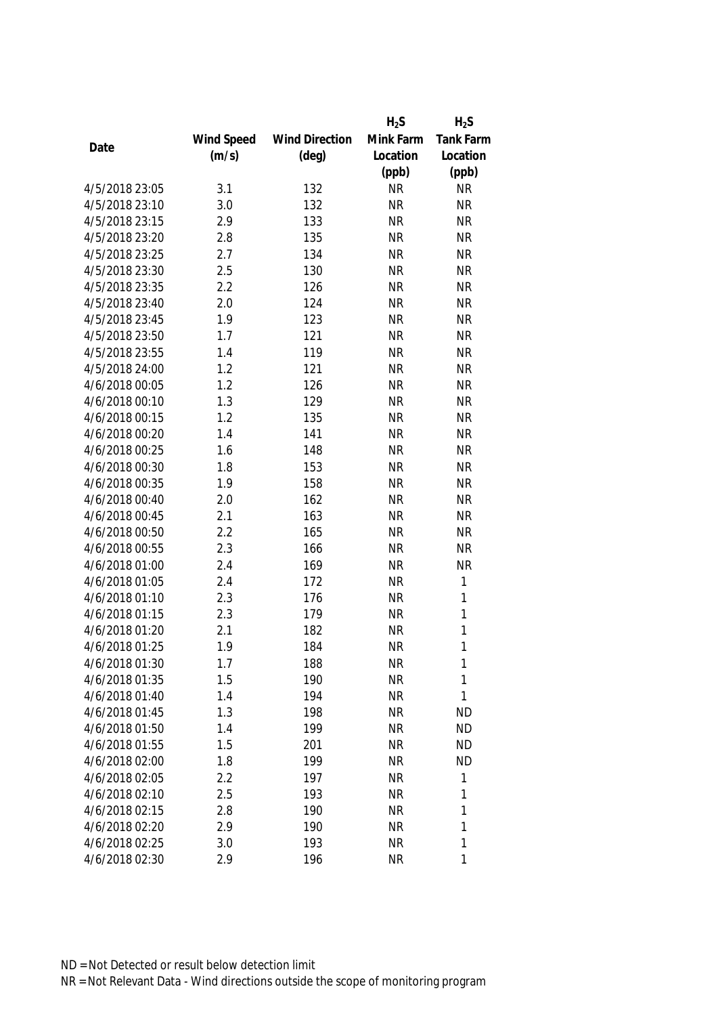|                |            |                       | $H_2S$    | $H_2S$           |
|----------------|------------|-----------------------|-----------|------------------|
|                | Wind Speed | <b>Wind Direction</b> | Mink Farm | <b>Tank Farm</b> |
| Date           | (m/s)      | $(\text{deg})$        | Location  | Location         |
|                |            |                       | (ppb)     | (ppb)            |
| 4/5/2018 23:05 | 3.1        | 132                   | <b>NR</b> | <b>NR</b>        |
| 4/5/2018 23:10 | 3.0        | 132                   | <b>NR</b> | <b>NR</b>        |
| 4/5/2018 23:15 | 2.9        | 133                   | <b>NR</b> | <b>NR</b>        |
| 4/5/2018 23:20 | 2.8        | 135                   | <b>NR</b> | <b>NR</b>        |
| 4/5/2018 23:25 | 2.7        | 134                   | <b>NR</b> | <b>NR</b>        |
| 4/5/2018 23:30 | 2.5        | 130                   | <b>NR</b> | <b>NR</b>        |
| 4/5/2018 23:35 | 2.2        | 126                   | <b>NR</b> | <b>NR</b>        |
| 4/5/2018 23:40 | 2.0        | 124                   | <b>NR</b> | <b>NR</b>        |
| 4/5/2018 23:45 | 1.9        | 123                   | <b>NR</b> | <b>NR</b>        |
| 4/5/2018 23:50 | 1.7        | 121                   | <b>NR</b> | <b>NR</b>        |
| 4/5/2018 23:55 | 1.4        | 119                   | <b>NR</b> | <b>NR</b>        |
| 4/5/2018 24:00 | 1.2        | 121                   | <b>NR</b> | <b>NR</b>        |
| 4/6/2018 00:05 | 1.2        | 126                   | <b>NR</b> | <b>NR</b>        |
| 4/6/2018 00:10 | 1.3        | 129                   | <b>NR</b> | <b>NR</b>        |
| 4/6/2018 00:15 | 1.2        | 135                   | <b>NR</b> | <b>NR</b>        |
| 4/6/2018 00:20 | 1.4        | 141                   | <b>NR</b> | <b>NR</b>        |
| 4/6/2018 00:25 | 1.6        | 148                   | <b>NR</b> | <b>NR</b>        |
| 4/6/2018 00:30 | 1.8        | 153                   | <b>NR</b> | <b>NR</b>        |
| 4/6/2018 00:35 | 1.9        | 158                   | <b>NR</b> | <b>NR</b>        |
| 4/6/2018 00:40 | 2.0        | 162                   | <b>NR</b> | <b>NR</b>        |
| 4/6/2018 00:45 | 2.1        | 163                   | <b>NR</b> | <b>NR</b>        |
| 4/6/2018 00:50 | 2.2        | 165                   | <b>NR</b> | <b>NR</b>        |
| 4/6/2018 00:55 | 2.3        | 166                   | <b>NR</b> | <b>NR</b>        |
| 4/6/2018 01:00 | 2.4        | 169                   | <b>NR</b> | <b>NR</b>        |
| 4/6/2018 01:05 | 2.4        | 172                   | <b>NR</b> | 1                |
| 4/6/2018 01:10 | 2.3        | 176                   | <b>NR</b> | 1                |
| 4/6/2018 01:15 | 2.3        | 179                   | <b>NR</b> | 1                |
| 4/6/2018 01:20 | 2.1        | 182                   | <b>NR</b> | 1                |
| 4/6/2018 01:25 | 1.9        | 184                   | <b>NR</b> | 1                |
| 4/6/2018 01:30 | 1.7        | 188                   | <b>NR</b> | 1                |
| 4/6/2018 01:35 | 1.5        | 190                   | <b>NR</b> | 1                |
| 4/6/2018 01:40 | 1.4        | 194                   | <b>NR</b> | 1                |
| 4/6/2018 01:45 | 1.3        | 198                   | <b>NR</b> | <b>ND</b>        |
| 4/6/2018 01:50 | 1.4        | 199                   | <b>NR</b> | <b>ND</b>        |
| 4/6/2018 01:55 | 1.5        | 201                   | <b>NR</b> | <b>ND</b>        |
| 4/6/2018 02:00 | 1.8        | 199                   | <b>NR</b> | <b>ND</b>        |
| 4/6/2018 02:05 | 2.2        | 197                   | <b>NR</b> | 1                |
| 4/6/2018 02:10 | 2.5        | 193                   | <b>NR</b> | 1                |
| 4/6/2018 02:15 | 2.8        | 190                   | <b>NR</b> | 1                |
| 4/6/2018 02:20 | 2.9        | 190                   | <b>NR</b> | 1                |
| 4/6/2018 02:25 | 3.0        | 193                   | <b>NR</b> | 1                |
| 4/6/2018 02:30 | 2.9        | 196                   | <b>NR</b> | 1                |
|                |            |                       |           |                  |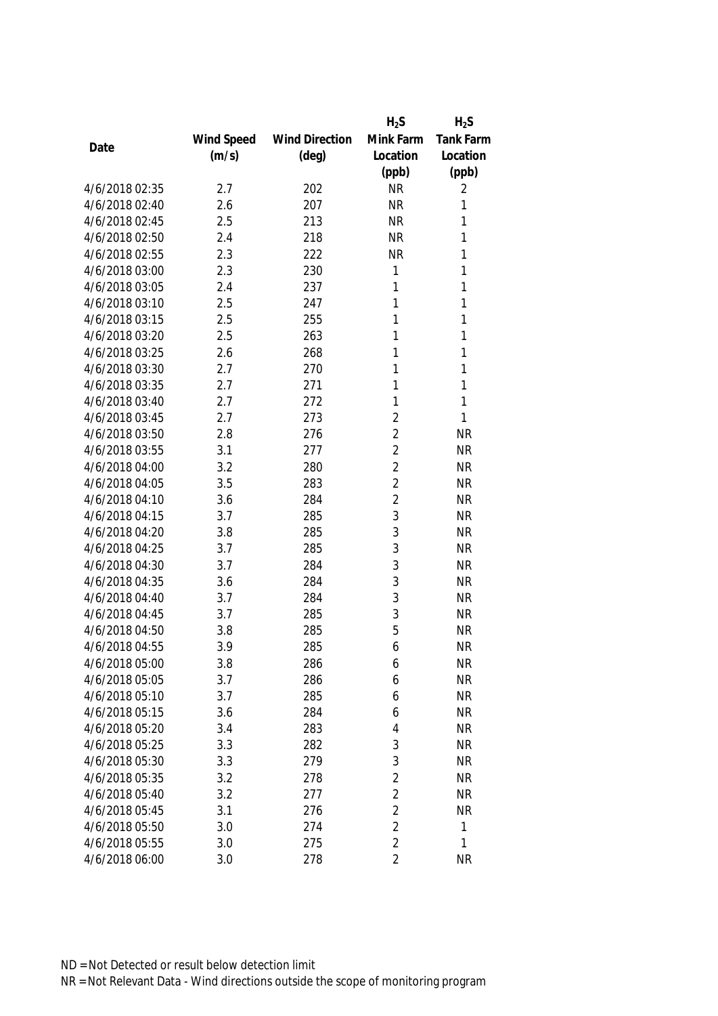|                |            |                       | $H_2S$         | $H_2S$           |
|----------------|------------|-----------------------|----------------|------------------|
|                | Wind Speed | <b>Wind Direction</b> | Mink Farm      | <b>Tank Farm</b> |
| Date           | (m/s)      | (deg)                 | Location       | Location         |
|                |            |                       | (ppb)          | (ppb)            |
| 4/6/2018 02:35 | 2.7        | 202                   | <b>NR</b>      | 2                |
| 4/6/2018 02:40 | 2.6        | 207                   | <b>NR</b>      | 1                |
| 4/6/2018 02:45 | 2.5        | 213                   | <b>NR</b>      | 1                |
| 4/6/2018 02:50 | 2.4        | 218                   | <b>NR</b>      | 1                |
| 4/6/2018 02:55 | 2.3        | 222                   | <b>NR</b>      | 1                |
| 4/6/2018 03:00 | 2.3        | 230                   | 1              | 1                |
| 4/6/2018 03:05 | 2.4        | 237                   | 1              | 1                |
| 4/6/2018 03:10 | 2.5        | 247                   | 1              | $\mathbf{1}$     |
| 4/6/2018 03:15 | 2.5        | 255                   | 1              | 1                |
| 4/6/2018 03:20 | 2.5        | 263                   | 1              | $\mathbf{1}$     |
| 4/6/2018 03:25 | 2.6        | 268                   | 1              | 1                |
| 4/6/2018 03:30 | 2.7        | 270                   | 1              | 1                |
| 4/6/2018 03:35 | 2.7        | 271                   | 1              | 1                |
| 4/6/2018 03:40 | 2.7        | 272                   | 1              | 1                |
| 4/6/2018 03:45 | 2.7        | 273                   | $\overline{2}$ | 1                |
| 4/6/2018 03:50 | 2.8        | 276                   | $\overline{2}$ | <b>NR</b>        |
| 4/6/2018 03:55 | 3.1        | 277                   | $\overline{2}$ | <b>NR</b>        |
| 4/6/2018 04:00 | 3.2        | 280                   | $\overline{2}$ | <b>NR</b>        |
| 4/6/2018 04:05 | 3.5        | 283                   | $\overline{2}$ | <b>NR</b>        |
| 4/6/2018 04:10 | 3.6        | 284                   | $\overline{2}$ | <b>NR</b>        |
| 4/6/2018 04:15 | 3.7        | 285                   | 3              | <b>NR</b>        |
| 4/6/2018 04:20 | 3.8        | 285                   | 3              | <b>NR</b>        |
| 4/6/2018 04:25 | 3.7        | 285                   | 3              | <b>NR</b>        |
| 4/6/2018 04:30 | 3.7        | 284                   | 3              | <b>NR</b>        |
| 4/6/2018 04:35 | 3.6        | 284                   | 3              | <b>NR</b>        |
| 4/6/2018 04:40 | 3.7        | 284                   | 3              | <b>NR</b>        |
| 4/6/2018 04:45 | 3.7        | 285                   | 3              | <b>NR</b>        |
| 4/6/2018 04:50 | 3.8        | 285                   | 5              | <b>NR</b>        |
| 4/6/2018 04:55 | 3.9        | 285                   | 6              | <b>NR</b>        |
| 4/6/2018 05:00 | 3.8        | 286                   | 6              | <b>NR</b>        |
| 4/6/2018 05:05 | 3.7        | 286                   | 6              | <b>NR</b>        |
| 4/6/2018 05:10 | 3.7        | 285                   | 6              | <b>NR</b>        |
| 4/6/2018 05:15 | 3.6        | 284                   | 6              | <b>NR</b>        |
| 4/6/2018 05:20 | 3.4        | 283                   | 4              | <b>NR</b>        |
| 4/6/2018 05:25 | 3.3        | 282                   | 3              | <b>NR</b>        |
| 4/6/2018 05:30 | 3.3        | 279                   | 3              | <b>NR</b>        |
| 4/6/2018 05:35 | 3.2        | 278                   | $\overline{2}$ | <b>NR</b>        |
| 4/6/2018 05:40 | 3.2        | 277                   | $\overline{2}$ | <b>NR</b>        |
| 4/6/2018 05:45 | 3.1        | 276                   | $\overline{2}$ | <b>NR</b>        |
| 4/6/2018 05:50 | 3.0        | 274                   | $\overline{2}$ | 1                |
| 4/6/2018 05:55 | 3.0        | 275                   | $\overline{2}$ | 1                |
| 4/6/2018 06:00 | 3.0        | 278                   | 2              | <b>NR</b>        |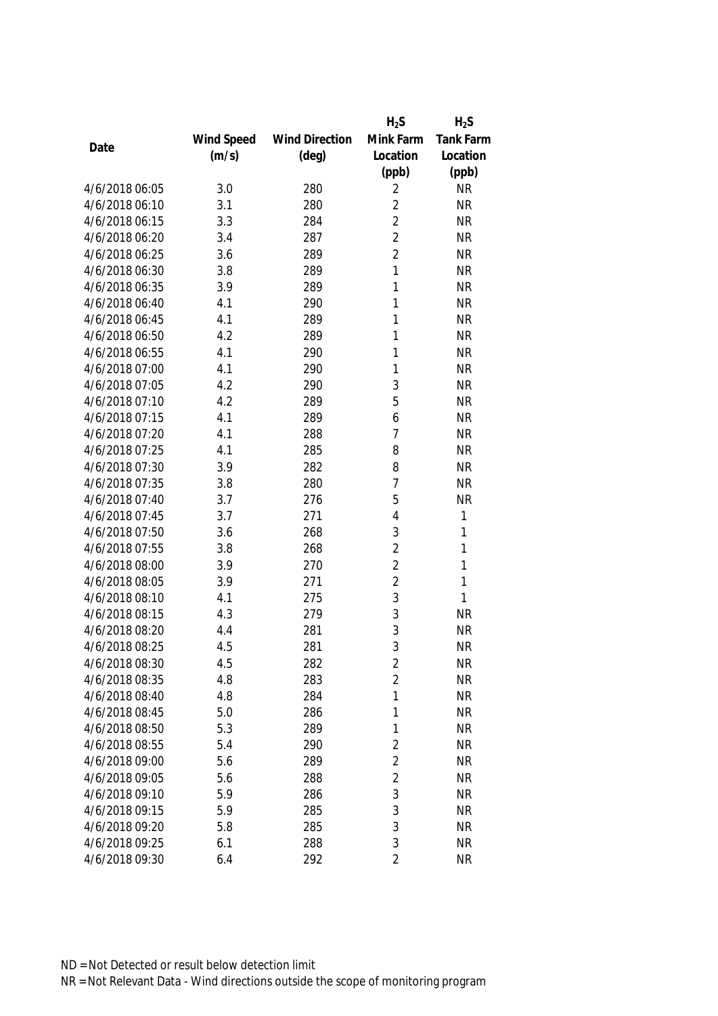|                |            |                       | $H_2S$         | $H_2S$           |
|----------------|------------|-----------------------|----------------|------------------|
|                | Wind Speed | <b>Wind Direction</b> | Mink Farm      | <b>Tank Farm</b> |
| Date           | (m/s)      | $(\text{deg})$        | Location       | Location         |
|                |            |                       | (ppb)          | (ppb)            |
| 4/6/2018 06:05 | 3.0        | 280                   | 2              | <b>NR</b>        |
| 4/6/2018 06:10 | 3.1        | 280                   | $\overline{2}$ | <b>NR</b>        |
| 4/6/2018 06:15 | 3.3        | 284                   | $\overline{2}$ | <b>NR</b>        |
| 4/6/2018 06:20 | 3.4        | 287                   | $\overline{2}$ | <b>NR</b>        |
| 4/6/2018 06:25 | 3.6        | 289                   | $\overline{2}$ | <b>NR</b>        |
| 4/6/2018 06:30 | 3.8        | 289                   | 1              | <b>NR</b>        |
| 4/6/2018 06:35 | 3.9        | 289                   | 1              | <b>NR</b>        |
| 4/6/2018 06:40 | 4.1        | 290                   | 1              | <b>NR</b>        |
| 4/6/2018 06:45 | 4.1        | 289                   | 1              | <b>NR</b>        |
| 4/6/2018 06:50 | 4.2        | 289                   | 1              | <b>NR</b>        |
| 4/6/2018 06:55 | 4.1        | 290                   | 1              | <b>NR</b>        |
| 4/6/2018 07:00 | 4.1        | 290                   | 1              | <b>NR</b>        |
| 4/6/2018 07:05 | 4.2        | 290                   | 3              | <b>NR</b>        |
| 4/6/2018 07:10 | 4.2        | 289                   | 5              | <b>NR</b>        |
| 4/6/2018 07:15 | 4.1        | 289                   | 6              | <b>NR</b>        |
| 4/6/2018 07:20 | 4.1        | 288                   | $\overline{1}$ | <b>NR</b>        |
| 4/6/2018 07:25 | 4.1        | 285                   | 8              | <b>NR</b>        |
| 4/6/2018 07:30 | 3.9        | 282                   | 8              | <b>NR</b>        |
| 4/6/2018 07:35 | 3.8        | 280                   | $\overline{7}$ | <b>NR</b>        |
| 4/6/2018 07:40 | 3.7        | 276                   | 5              | <b>NR</b>        |
| 4/6/2018 07:45 | 3.7        | 271                   | 4              | 1                |
| 4/6/2018 07:50 | 3.6        | 268                   | 3              | 1                |
| 4/6/2018 07:55 | 3.8        | 268                   | $\overline{2}$ | 1                |
| 4/6/2018 08:00 | 3.9        | 270                   | $\overline{2}$ | 1                |
| 4/6/2018 08:05 | 3.9        | 271                   | $\overline{2}$ | 1                |
| 4/6/2018 08:10 | 4.1        | 275                   | 3              | 1                |
| 4/6/2018 08:15 | 4.3        | 279                   | 3              | <b>NR</b>        |
| 4/6/2018 08:20 | 4.4        | 281                   | 3              | <b>NR</b>        |
| 4/6/2018 08:25 | 4.5        | 281                   | 3              | <b>NR</b>        |
| 4/6/2018 08:30 | 4.5        | 282                   | 2              | <b>NR</b>        |
| 4/6/2018 08:35 | 4.8        | 283                   | $\overline{2}$ | <b>NR</b>        |
| 4/6/2018 08:40 | 4.8        | 284                   | 1              | <b>NR</b>        |
| 4/6/2018 08:45 | 5.0        | 286                   | 1              | <b>NR</b>        |
| 4/6/2018 08:50 | 5.3        | 289                   | 1              | <b>NR</b>        |
| 4/6/2018 08:55 | 5.4        | 290                   | $\overline{2}$ | <b>NR</b>        |
| 4/6/2018 09:00 | 5.6        | 289                   | $\overline{2}$ | <b>NR</b>        |
| 4/6/2018 09:05 | 5.6        | 288                   | $\overline{2}$ | <b>NR</b>        |
| 4/6/2018 09:10 | 5.9        | 286                   | 3              | <b>NR</b>        |
| 4/6/2018 09:15 | 5.9        | 285                   | 3              | <b>NR</b>        |
| 4/6/2018 09:20 | 5.8        | 285                   | 3              | <b>NR</b>        |
| 4/6/2018 09:25 | 6.1        | 288                   | 3              | <b>NR</b>        |
| 4/6/2018 09:30 | 6.4        | 292                   | $\overline{2}$ | <b>NR</b>        |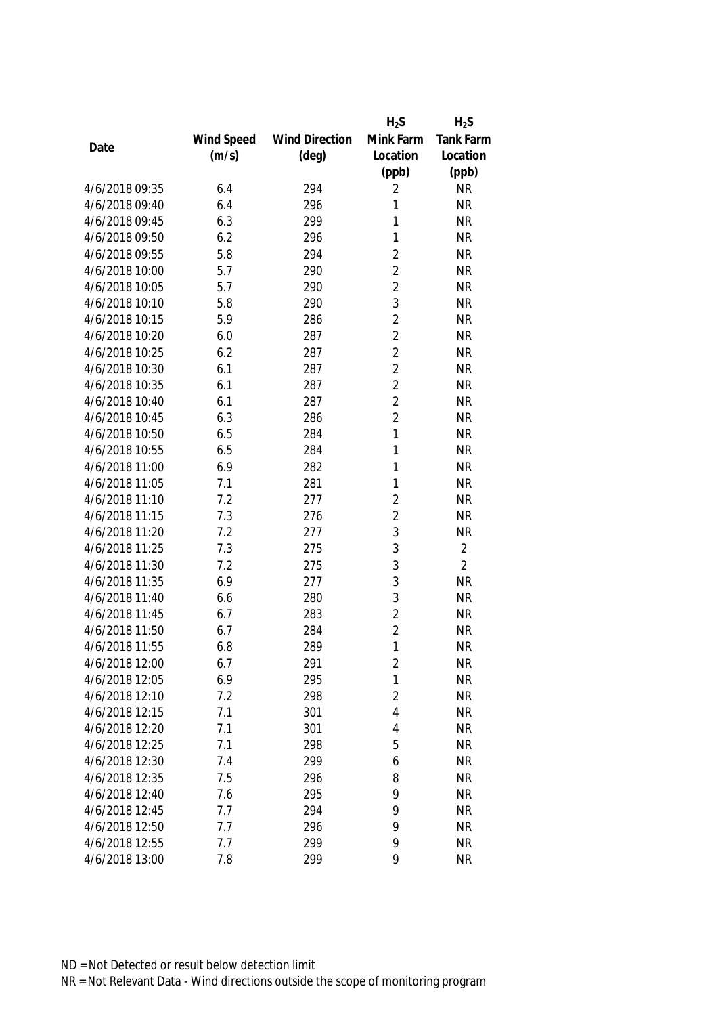|                |            |                       | $H_2S$         | $H_2S$         |
|----------------|------------|-----------------------|----------------|----------------|
|                | Wind Speed | <b>Wind Direction</b> | Mink Farm      | Tank Farm      |
| Date           | (m/s)      | $(\text{deg})$        | Location       | Location       |
|                |            |                       | (ppb)          | (ppb)          |
| 4/6/2018 09:35 | 6.4        | 294                   | 2              | <b>NR</b>      |
| 4/6/2018 09:40 | 6.4        | 296                   | 1              | <b>NR</b>      |
| 4/6/2018 09:45 | 6.3        | 299                   | 1              | <b>NR</b>      |
| 4/6/2018 09:50 | 6.2        | 296                   | 1              | <b>NR</b>      |
| 4/6/2018 09:55 | 5.8        | 294                   | $\overline{2}$ | <b>NR</b>      |
| 4/6/2018 10:00 | 5.7        | 290                   | $\overline{2}$ | <b>NR</b>      |
| 4/6/2018 10:05 | 5.7        | 290                   | $\overline{2}$ | <b>NR</b>      |
| 4/6/2018 10:10 | 5.8        | 290                   | 3              | <b>NR</b>      |
| 4/6/2018 10:15 | 5.9        | 286                   | $\overline{2}$ | <b>NR</b>      |
| 4/6/2018 10:20 | 6.0        | 287                   | $\overline{2}$ | <b>NR</b>      |
| 4/6/2018 10:25 | 6.2        | 287                   | $\overline{2}$ | <b>NR</b>      |
| 4/6/2018 10:30 | 6.1        | 287                   | $\overline{2}$ | <b>NR</b>      |
| 4/6/2018 10:35 | 6.1        | 287                   | $\overline{2}$ | <b>NR</b>      |
| 4/6/2018 10:40 | 6.1        | 287                   | $\overline{2}$ | <b>NR</b>      |
| 4/6/2018 10:45 | 6.3        | 286                   | $\overline{2}$ | <b>NR</b>      |
| 4/6/2018 10:50 | 6.5        | 284                   | $\mathbf{1}$   | <b>NR</b>      |
| 4/6/2018 10:55 | 6.5        | 284                   | 1              | <b>NR</b>      |
| 4/6/2018 11:00 | 6.9        | 282                   | 1              | <b>NR</b>      |
| 4/6/2018 11:05 | 7.1        | 281                   | 1              | <b>NR</b>      |
| 4/6/2018 11:10 | 7.2        | 277                   | $\overline{2}$ | <b>NR</b>      |
| 4/6/2018 11:15 | 7.3        | 276                   | $\overline{2}$ | <b>NR</b>      |
| 4/6/2018 11:20 | 7.2        | 277                   | 3              | <b>NR</b>      |
| 4/6/2018 11:25 | 7.3        | 275                   | 3              | $\overline{2}$ |
| 4/6/2018 11:30 | 7.2        | 275                   | 3              | $\overline{2}$ |
| 4/6/2018 11:35 | 6.9        | 277                   | 3              | <b>NR</b>      |
| 4/6/2018 11:40 | 6.6        | 280                   | 3              | <b>NR</b>      |
| 4/6/2018 11:45 | 6.7        | 283                   | $\overline{2}$ | <b>NR</b>      |
| 4/6/2018 11:50 | 6.7        | 284                   | $\overline{2}$ | <b>NR</b>      |
| 4/6/2018 11:55 | 6.8        | 289                   | 1              | <b>NR</b>      |
| 4/6/2018 12:00 | 6.7        | 291                   | $\overline{2}$ | <b>NR</b>      |
| 4/6/2018 12:05 | 6.9        | 295                   | $\mathbf{1}$   | <b>NR</b>      |
| 4/6/2018 12:10 | 7.2        | 298                   | $\overline{2}$ | <b>NR</b>      |
| 4/6/2018 12:15 | 7.1        | 301                   | 4              | <b>NR</b>      |
| 4/6/2018 12:20 | 7.1        | 301                   | 4              | <b>NR</b>      |
| 4/6/2018 12:25 | 7.1        | 298                   | 5              | <b>NR</b>      |
| 4/6/2018 12:30 | 7.4        | 299                   | 6              | <b>NR</b>      |
| 4/6/2018 12:35 | 7.5        | 296                   | 8              | <b>NR</b>      |
| 4/6/2018 12:40 | 7.6        | 295                   | 9              | <b>NR</b>      |
| 4/6/2018 12:45 | 7.7        | 294                   | 9              | <b>NR</b>      |
| 4/6/2018 12:50 | 7.7        | 296                   | 9              | <b>NR</b>      |
| 4/6/2018 12:55 | 7.7        | 299                   | 9              | <b>NR</b>      |
| 4/6/2018 13:00 | 7.8        | 299                   | 9              | <b>NR</b>      |
|                |            |                       |                |                |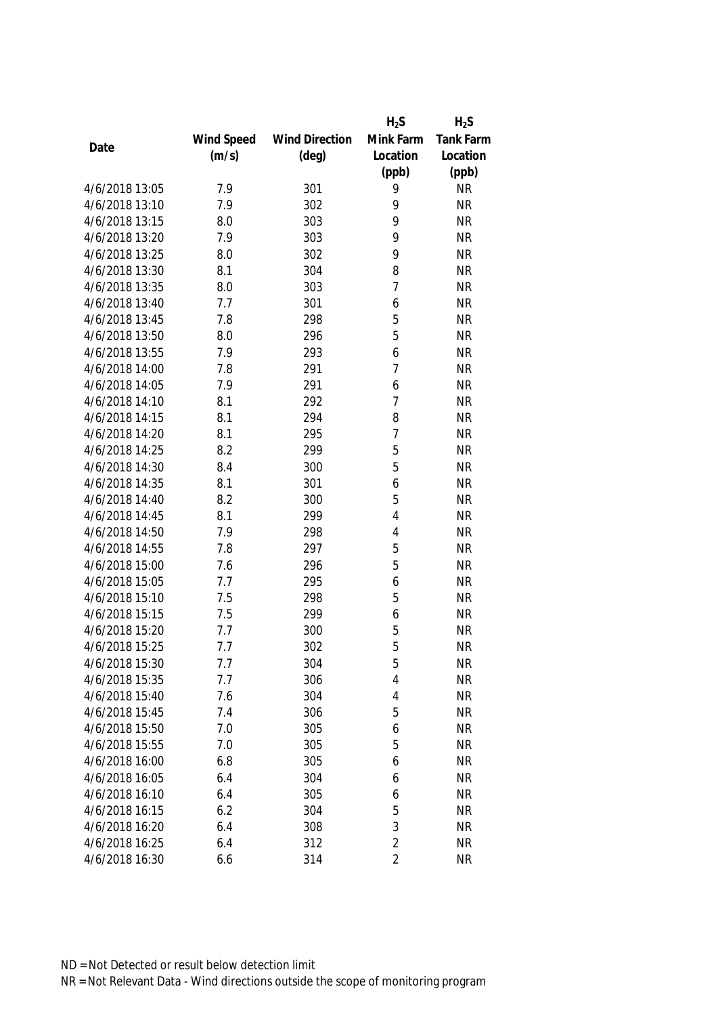|                |            |                       | $H_2S$         | $H_2S$           |
|----------------|------------|-----------------------|----------------|------------------|
|                | Wind Speed | <b>Wind Direction</b> | Mink Farm      | <b>Tank Farm</b> |
| Date           | (m/s)      | $(\text{deg})$        | Location       | Location         |
|                |            |                       | (ppb)          | (ppb)            |
| 4/6/2018 13:05 | 7.9        | 301                   | 9              | <b>NR</b>        |
| 4/6/2018 13:10 | 7.9        | 302                   | 9              | <b>NR</b>        |
| 4/6/2018 13:15 | 8.0        | 303                   | 9              | <b>NR</b>        |
| 4/6/2018 13:20 | 7.9        | 303                   | 9              | <b>NR</b>        |
| 4/6/2018 13:25 | 8.0        | 302                   | 9              | <b>NR</b>        |
| 4/6/2018 13:30 | 8.1        | 304                   | 8              | <b>NR</b>        |
| 4/6/2018 13:35 | 8.0        | 303                   | $\overline{1}$ | <b>NR</b>        |
| 4/6/2018 13:40 | 7.7        | 301                   | 6              | <b>NR</b>        |
| 4/6/2018 13:45 | 7.8        | 298                   | 5              | <b>NR</b>        |
| 4/6/2018 13:50 | 8.0        | 296                   | 5              | <b>NR</b>        |
| 4/6/2018 13:55 | 7.9        | 293                   | 6              | <b>NR</b>        |
| 4/6/2018 14:00 | 7.8        | 291                   | 7              | <b>NR</b>        |
| 4/6/2018 14:05 | 7.9        | 291                   | 6              | <b>NR</b>        |
| 4/6/2018 14:10 | 8.1        | 292                   | $\overline{1}$ | <b>NR</b>        |
| 4/6/2018 14:15 | 8.1        | 294                   | 8              | <b>NR</b>        |
| 4/6/2018 14:20 | 8.1        | 295                   | $\overline{1}$ | <b>NR</b>        |
| 4/6/2018 14:25 | 8.2        | 299                   | 5              | <b>NR</b>        |
| 4/6/2018 14:30 | 8.4        | 300                   | 5              | <b>NR</b>        |
| 4/6/2018 14:35 | 8.1        | 301                   | 6              | <b>NR</b>        |
| 4/6/2018 14:40 | 8.2        | 300                   | 5              | <b>NR</b>        |
| 4/6/2018 14:45 | 8.1        | 299                   | 4              | <b>NR</b>        |
| 4/6/2018 14:50 | 7.9        | 298                   | 4              | <b>NR</b>        |
| 4/6/2018 14:55 | 7.8        | 297                   | 5              | <b>NR</b>        |
| 4/6/2018 15:00 | 7.6        | 296                   | 5              | <b>NR</b>        |
| 4/6/2018 15:05 | 7.7        | 295                   | 6              | <b>NR</b>        |
| 4/6/2018 15:10 | 7.5        | 298                   | 5              | <b>NR</b>        |
| 4/6/2018 15:15 | 7.5        | 299                   | 6              | <b>NR</b>        |
| 4/6/2018 15:20 | 7.7        | 300                   | 5              | <b>NR</b>        |
| 4/6/2018 15:25 | 7.7        | 302                   | 5              | <b>NR</b>        |
| 4/6/2018 15:30 | 7.7        | 304                   | 5              | <b>NR</b>        |
| 4/6/2018 15:35 | 7.7        | 306                   | 4              | <b>NR</b>        |
| 4/6/2018 15:40 | 7.6        | 304                   | 4              | <b>NR</b>        |
| 4/6/2018 15:45 | 7.4        | 306                   | 5              | <b>NR</b>        |
| 4/6/2018 15:50 | 7.0        | 305                   | 6              | <b>NR</b>        |
| 4/6/2018 15:55 | 7.0        | 305                   | 5              | <b>NR</b>        |
| 4/6/2018 16:00 | 6.8        | 305                   | 6              | <b>NR</b>        |
| 4/6/2018 16:05 | 6.4        | 304                   | 6              | <b>NR</b>        |
| 4/6/2018 16:10 | 6.4        | 305                   | 6              | <b>NR</b>        |
| 4/6/2018 16:15 | 6.2        | 304                   | 5              | <b>NR</b>        |
| 4/6/2018 16:20 | 6.4        | 308                   | 3              | <b>NR</b>        |
| 4/6/2018 16:25 | 6.4        | 312                   | $\overline{2}$ | <b>NR</b>        |
| 4/6/2018 16:30 | 6.6        | 314                   | 2              | <b>NR</b>        |
|                |            |                       |                |                  |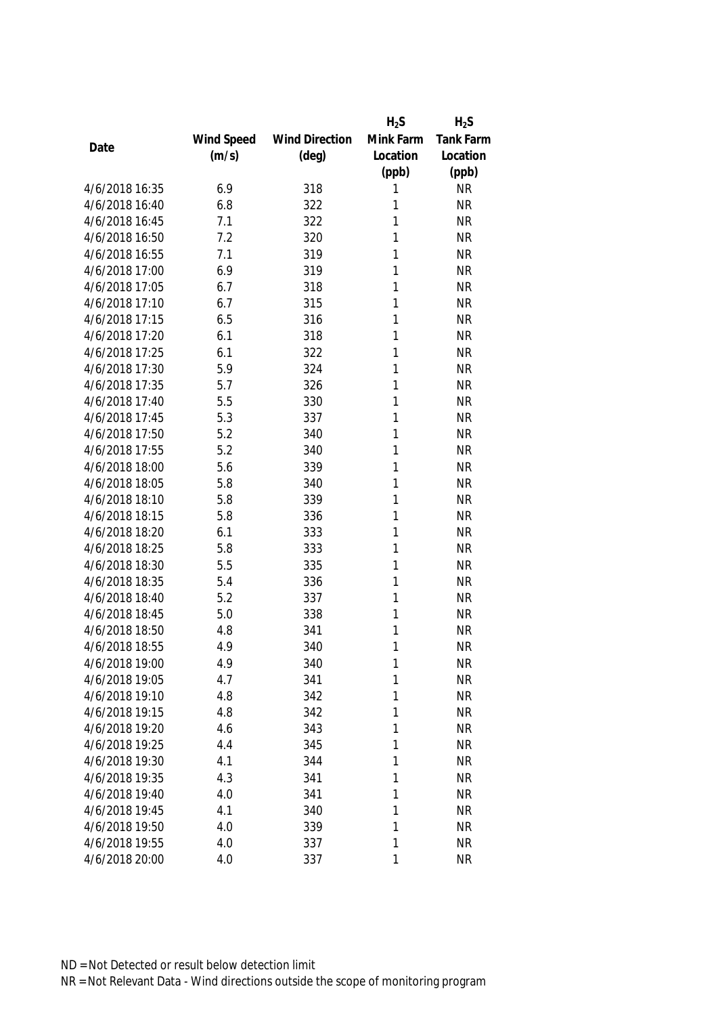|                |            |                       | $H_2S$    | $H_2S$           |
|----------------|------------|-----------------------|-----------|------------------|
|                | Wind Speed | <b>Wind Direction</b> | Mink Farm | <b>Tank Farm</b> |
| Date           | (m/s)      | $(\text{deg})$        | Location  | Location         |
|                |            |                       | (ppb)     | (ppb)            |
| 4/6/2018 16:35 | 6.9        | 318                   | 1         | <b>NR</b>        |
| 4/6/2018 16:40 | 6.8        | 322                   | 1         | <b>NR</b>        |
| 4/6/2018 16:45 | 7.1        | 322                   | 1         | <b>NR</b>        |
| 4/6/2018 16:50 | 7.2        | 320                   | 1         | <b>NR</b>        |
| 4/6/2018 16:55 | 7.1        | 319                   | 1         | <b>NR</b>        |
| 4/6/2018 17:00 | 6.9        | 319                   | 1         | <b>NR</b>        |
| 4/6/2018 17:05 | 6.7        | 318                   | 1         | <b>NR</b>        |
| 4/6/2018 17:10 | 6.7        | 315                   | 1         | <b>NR</b>        |
| 4/6/2018 17:15 | 6.5        | 316                   | 1         | <b>NR</b>        |
| 4/6/2018 17:20 | 6.1        | 318                   | 1         | <b>NR</b>        |
| 4/6/2018 17:25 | 6.1        | 322                   | 1         | <b>NR</b>        |
| 4/6/2018 17:30 | 5.9        | 324                   | 1         | <b>NR</b>        |
| 4/6/2018 17:35 | 5.7        | 326                   | 1         | <b>NR</b>        |
| 4/6/2018 17:40 | 5.5        | 330                   | 1         | <b>NR</b>        |
| 4/6/2018 17:45 | 5.3        | 337                   | 1         | <b>NR</b>        |
| 4/6/2018 17:50 | 5.2        | 340                   | 1         | <b>NR</b>        |
| 4/6/2018 17:55 | 5.2        | 340                   | 1         | <b>NR</b>        |
| 4/6/2018 18:00 | 5.6        | 339                   | 1         | <b>NR</b>        |
| 4/6/2018 18:05 | 5.8        | 340                   | 1         | <b>NR</b>        |
| 4/6/2018 18:10 | 5.8        | 339                   | 1         | <b>NR</b>        |
| 4/6/2018 18:15 | 5.8        | 336                   | 1         | <b>NR</b>        |
| 4/6/2018 18:20 | 6.1        | 333                   | 1         | <b>NR</b>        |
| 4/6/2018 18:25 | 5.8        | 333                   | 1         | <b>NR</b>        |
| 4/6/2018 18:30 | 5.5        | 335                   | 1         | <b>NR</b>        |
| 4/6/2018 18:35 | 5.4        | 336                   | 1         | <b>NR</b>        |
| 4/6/2018 18:40 | 5.2        | 337                   | 1         | <b>NR</b>        |
| 4/6/2018 18:45 | 5.0        | 338                   | 1         | <b>NR</b>        |
| 4/6/2018 18:50 | 4.8        | 341                   | 1         | <b>NR</b>        |
| 4/6/2018 18:55 | 4.9        | 340                   | 1         | <b>NR</b>        |
| 4/6/2018 19:00 | 4.9        | 340                   | 1         | <b>NR</b>        |
| 4/6/2018 19:05 | 4.7        | 341                   | 1         | <b>NR</b>        |
| 4/6/2018 19:10 | 4.8        | 342                   | 1         | <b>NR</b>        |
| 4/6/2018 19:15 | 4.8        | 342                   | 1         | <b>NR</b>        |
| 4/6/2018 19:20 | 4.6        | 343                   | 1         | <b>NR</b>        |
| 4/6/2018 19:25 | 4.4        | 345                   | 1         | <b>NR</b>        |
| 4/6/2018 19:30 | 4.1        | 344                   | 1         | <b>NR</b>        |
| 4/6/2018 19:35 | 4.3        | 341                   | 1         | <b>NR</b>        |
| 4/6/2018 19:40 | 4.0        | 341                   | 1         | <b>NR</b>        |
| 4/6/2018 19:45 | 4.1        | 340                   | 1         | <b>NR</b>        |
| 4/6/2018 19:50 | 4.0        | 339                   | 1         | <b>NR</b>        |
| 4/6/2018 19:55 | 4.0        | 337                   | 1         | <b>NR</b>        |
| 4/6/2018 20:00 | 4.0        | 337                   | 1         | <b>NR</b>        |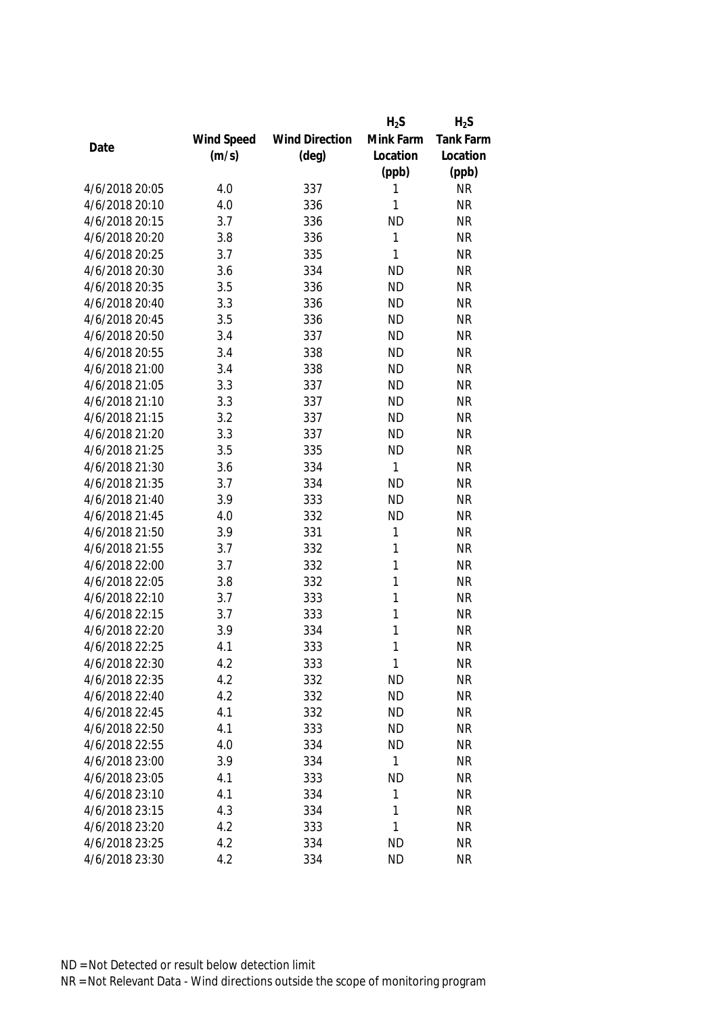|                |            |                       | $H_2S$       | $H_2S$    |
|----------------|------------|-----------------------|--------------|-----------|
|                | Wind Speed | <b>Wind Direction</b> | Mink Farm    | Tank Farm |
| Date           | (m/s)      | $(\text{deg})$        | Location     | Location  |
|                |            |                       | (ppb)        | (ppb)     |
| 4/6/2018 20:05 | 4.0        | 337                   | 1            | <b>NR</b> |
| 4/6/2018 20:10 | 4.0        | 336                   | 1            | <b>NR</b> |
| 4/6/2018 20:15 | 3.7        | 336                   | <b>ND</b>    | <b>NR</b> |
| 4/6/2018 20:20 | 3.8        | 336                   | 1            | <b>NR</b> |
| 4/6/2018 20:25 | 3.7        | 335                   | 1            | <b>NR</b> |
| 4/6/2018 20:30 | 3.6        | 334                   | <b>ND</b>    | <b>NR</b> |
| 4/6/2018 20:35 | 3.5        | 336                   | <b>ND</b>    | <b>NR</b> |
| 4/6/2018 20:40 | 3.3        | 336                   | <b>ND</b>    | <b>NR</b> |
| 4/6/2018 20:45 | 3.5        | 336                   | <b>ND</b>    | <b>NR</b> |
| 4/6/2018 20:50 | 3.4        | 337                   | <b>ND</b>    | <b>NR</b> |
| 4/6/2018 20:55 | 3.4        | 338                   | <b>ND</b>    | <b>NR</b> |
| 4/6/2018 21:00 | 3.4        | 338                   | <b>ND</b>    | <b>NR</b> |
| 4/6/2018 21:05 | 3.3        | 337                   | <b>ND</b>    | <b>NR</b> |
| 4/6/2018 21:10 | 3.3        | 337                   | <b>ND</b>    | <b>NR</b> |
| 4/6/2018 21:15 | 3.2        | 337                   | <b>ND</b>    | <b>NR</b> |
| 4/6/2018 21:20 | 3.3        | 337                   | <b>ND</b>    | <b>NR</b> |
| 4/6/2018 21:25 | 3.5        | 335                   | <b>ND</b>    | <b>NR</b> |
| 4/6/2018 21:30 | 3.6        | 334                   | 1            | <b>NR</b> |
| 4/6/2018 21:35 | 3.7        | 334                   | <b>ND</b>    | <b>NR</b> |
| 4/6/2018 21:40 | 3.9        | 333                   | <b>ND</b>    | <b>NR</b> |
| 4/6/2018 21:45 | 4.0        | 332                   | <b>ND</b>    | <b>NR</b> |
| 4/6/2018 21:50 | 3.9        | 331                   | 1            | <b>NR</b> |
| 4/6/2018 21:55 | 3.7        | 332                   | 1            | <b>NR</b> |
| 4/6/2018 22:00 | 3.7        | 332                   | $\mathbf{1}$ | <b>NR</b> |
| 4/6/2018 22:05 | 3.8        | 332                   | 1            | <b>NR</b> |
| 4/6/2018 22:10 | 3.7        | 333                   | 1            | <b>NR</b> |
| 4/6/2018 22:15 | 3.7        | 333                   | 1            | <b>NR</b> |
| 4/6/2018 22:20 | 3.9        | 334                   | 1            | <b>NR</b> |
| 4/6/2018 22:25 | 4.1        | 333                   | 1            | <b>NR</b> |
| 4/6/2018 22:30 | 4.2        | 333                   | 1            | <b>NR</b> |
| 4/6/2018 22:35 | 4.2        | 332                   | <b>ND</b>    | <b>NR</b> |
| 4/6/2018 22:40 | 4.2        | 332                   | <b>ND</b>    | <b>NR</b> |
| 4/6/2018 22:45 | 4.1        | 332                   | <b>ND</b>    | <b>NR</b> |
| 4/6/2018 22:50 | 4.1        | 333                   | <b>ND</b>    | <b>NR</b> |
| 4/6/2018 22:55 | 4.0        | 334                   | <b>ND</b>    | <b>NR</b> |
| 4/6/2018 23:00 | 3.9        | 334                   | 1            | <b>NR</b> |
| 4/6/2018 23:05 | 4.1        | 333                   | <b>ND</b>    | <b>NR</b> |
| 4/6/2018 23:10 | 4.1        | 334                   | 1            | <b>NR</b> |
| 4/6/2018 23:15 | 4.3        | 334                   | 1            | <b>NR</b> |
| 4/6/2018 23:20 | 4.2        | 333                   | 1            | <b>NR</b> |
| 4/6/2018 23:25 | 4.2        | 334                   | <b>ND</b>    | <b>NR</b> |
| 4/6/2018 23:30 | 4.2        | 334                   | <b>ND</b>    | <b>NR</b> |
|                |            |                       |              |           |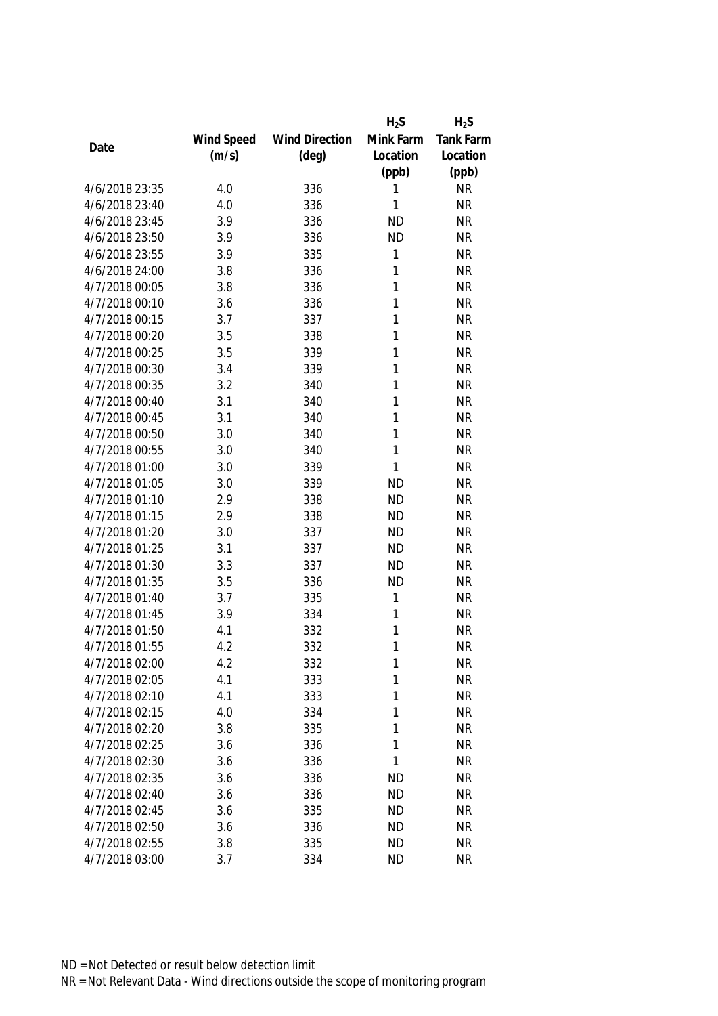|                |            |                       | $H_2S$    | $H_2S$           |
|----------------|------------|-----------------------|-----------|------------------|
|                | Wind Speed | <b>Wind Direction</b> | Mink Farm | <b>Tank Farm</b> |
| Date           | (m/s)      | $(\text{deg})$        | Location  | Location         |
|                |            |                       | (ppb)     | (ppb)            |
| 4/6/2018 23:35 | 4.0        | 336                   | 1         | <b>NR</b>        |
| 4/6/2018 23:40 | 4.0        | 336                   | 1         | <b>NR</b>        |
| 4/6/2018 23:45 | 3.9        | 336                   | <b>ND</b> | <b>NR</b>        |
| 4/6/2018 23:50 | 3.9        | 336                   | <b>ND</b> | <b>NR</b>        |
| 4/6/2018 23:55 | 3.9        | 335                   | 1         | <b>NR</b>        |
| 4/6/2018 24:00 | 3.8        | 336                   | 1         | <b>NR</b>        |
| 4/7/2018 00:05 | 3.8        | 336                   | 1         | <b>NR</b>        |
| 4/7/2018 00:10 | 3.6        | 336                   | 1         | <b>NR</b>        |
| 4/7/2018 00:15 | 3.7        | 337                   | 1         | <b>NR</b>        |
| 4/7/2018 00:20 | 3.5        | 338                   | 1         | <b>NR</b>        |
| 4/7/2018 00:25 | 3.5        | 339                   | 1         | <b>NR</b>        |
| 4/7/2018 00:30 | 3.4        | 339                   | 1         | <b>NR</b>        |
| 4/7/2018 00:35 | 3.2        | 340                   | 1         | <b>NR</b>        |
| 4/7/2018 00:40 | 3.1        | 340                   | 1         | <b>NR</b>        |
| 4/7/2018 00:45 | 3.1        | 340                   | 1         | <b>NR</b>        |
| 4/7/2018 00:50 | 3.0        | 340                   | 1         | <b>NR</b>        |
| 4/7/2018 00:55 | 3.0        | 340                   | 1         | <b>NR</b>        |
| 4/7/2018 01:00 | 3.0        | 339                   | 1         | <b>NR</b>        |
| 4/7/2018 01:05 | 3.0        | 339                   | <b>ND</b> | <b>NR</b>        |
| 4/7/2018 01:10 | 2.9        | 338                   | <b>ND</b> | <b>NR</b>        |
| 4/7/2018 01:15 | 2.9        | 338                   | <b>ND</b> | <b>NR</b>        |
| 4/7/2018 01:20 | 3.0        | 337                   | <b>ND</b> | <b>NR</b>        |
| 4/7/2018 01:25 | 3.1        | 337                   | <b>ND</b> | <b>NR</b>        |
| 4/7/2018 01:30 | 3.3        | 337                   | <b>ND</b> | <b>NR</b>        |
| 4/7/2018 01:35 | 3.5        | 336                   | <b>ND</b> | <b>NR</b>        |
| 4/7/2018 01:40 | 3.7        | 335                   | 1         | <b>NR</b>        |
| 4/7/2018 01:45 | 3.9        | 334                   | 1         | <b>NR</b>        |
| 4/7/2018 01:50 | 4.1        | 332                   | 1         | <b>NR</b>        |
| 4/7/2018 01:55 | 4.2        | 332                   | 1         | <b>NR</b>        |
| 4/7/2018 02:00 | 4.2        | 332                   | 1         | <b>NR</b>        |
| 4/7/2018 02:05 | 4.1        | 333                   | 1         | <b>NR</b>        |
| 4/7/2018 02:10 | 4.1        | 333                   | 1         | <b>NR</b>        |
| 4/7/2018 02:15 | 4.0        | 334                   | 1         | <b>NR</b>        |
| 4/7/2018 02:20 | 3.8        | 335                   | 1         | <b>NR</b>        |
| 4/7/2018 02:25 | 3.6        | 336                   | 1         | <b>NR</b>        |
| 4/7/2018 02:30 | 3.6        | 336                   | 1         | <b>NR</b>        |
| 4/7/2018 02:35 | 3.6        | 336                   | <b>ND</b> | <b>NR</b>        |
| 4/7/2018 02:40 | 3.6        | 336                   | <b>ND</b> | <b>NR</b>        |
| 4/7/2018 02:45 | 3.6        | 335                   | <b>ND</b> | <b>NR</b>        |
| 4/7/2018 02:50 | 3.6        | 336                   | <b>ND</b> | <b>NR</b>        |
| 4/7/2018 02:55 | 3.8        | 335                   | <b>ND</b> | <b>NR</b>        |
| 4/7/2018 03:00 | 3.7        | 334                   | <b>ND</b> | <b>NR</b>        |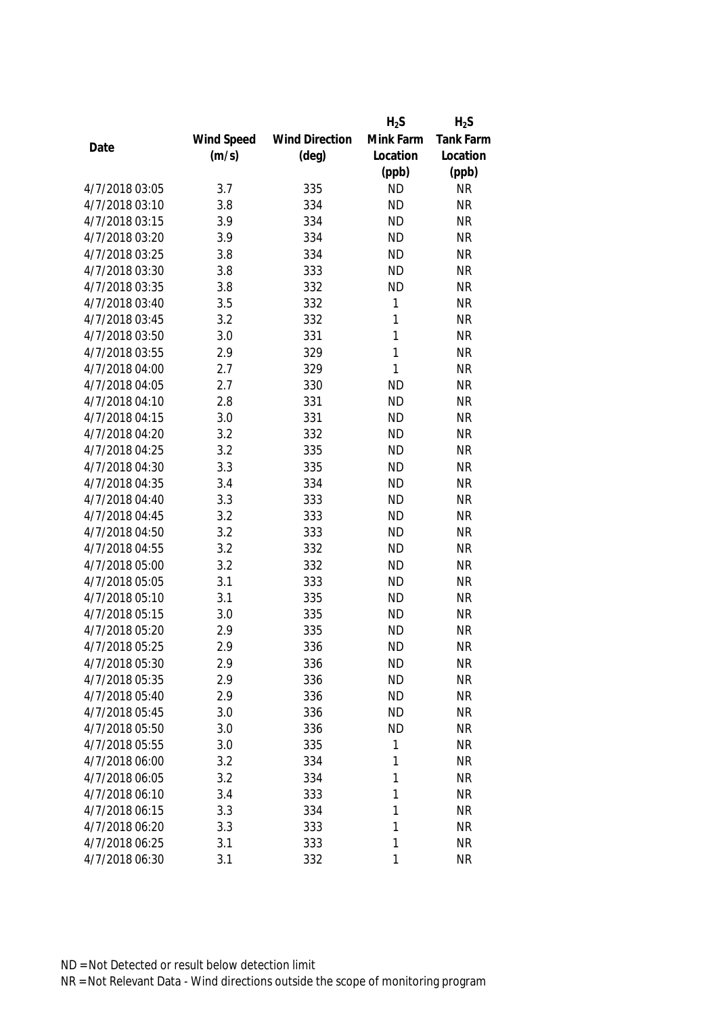|                |            |                       | $H_2S$       | $H_2S$    |
|----------------|------------|-----------------------|--------------|-----------|
|                | Wind Speed | <b>Wind Direction</b> | Mink Farm    | Tank Farm |
| Date           | (m/s)      | $(\text{deg})$        | Location     | Location  |
|                |            |                       | (ppb)        | (ppb)     |
| 4/7/2018 03:05 | 3.7        | 335                   | <b>ND</b>    | <b>NR</b> |
| 4/7/2018 03:10 | 3.8        | 334                   | <b>ND</b>    | <b>NR</b> |
| 4/7/2018 03:15 | 3.9        | 334                   | <b>ND</b>    | <b>NR</b> |
| 4/7/2018 03:20 | 3.9        | 334                   | <b>ND</b>    | <b>NR</b> |
| 4/7/2018 03:25 | 3.8        | 334                   | <b>ND</b>    | <b>NR</b> |
| 4/7/2018 03:30 | 3.8        | 333                   | <b>ND</b>    | <b>NR</b> |
| 4/7/2018 03:35 | 3.8        | 332                   | <b>ND</b>    | <b>NR</b> |
| 4/7/2018 03:40 | 3.5        | 332                   | $\mathbf{1}$ | <b>NR</b> |
| 4/7/2018 03:45 | 3.2        | 332                   | 1            | <b>NR</b> |
| 4/7/2018 03:50 | 3.0        | 331                   | $\mathbf{1}$ | <b>NR</b> |
| 4/7/2018 03:55 | 2.9        | 329                   | 1            | <b>NR</b> |
| 4/7/2018 04:00 | 2.7        | 329                   | 1            | <b>NR</b> |
| 4/7/2018 04:05 | 2.7        | 330                   | <b>ND</b>    | <b>NR</b> |
| 4/7/2018 04:10 | 2.8        | 331                   | <b>ND</b>    | <b>NR</b> |
| 4/7/2018 04:15 | 3.0        | 331                   | <b>ND</b>    | <b>NR</b> |
| 4/7/2018 04:20 | 3.2        | 332                   | <b>ND</b>    | <b>NR</b> |
| 4/7/2018 04:25 | 3.2        | 335                   | <b>ND</b>    | <b>NR</b> |
| 4/7/2018 04:30 | 3.3        | 335                   | <b>ND</b>    | <b>NR</b> |
| 4/7/2018 04:35 | 3.4        | 334                   | <b>ND</b>    | <b>NR</b> |
| 4/7/2018 04:40 | 3.3        | 333                   | <b>ND</b>    | <b>NR</b> |
| 4/7/2018 04:45 | 3.2        | 333                   | <b>ND</b>    | <b>NR</b> |
| 4/7/2018 04:50 | 3.2        | 333                   | <b>ND</b>    | <b>NR</b> |
| 4/7/2018 04:55 | 3.2        | 332                   | <b>ND</b>    | <b>NR</b> |
| 4/7/2018 05:00 | 3.2        | 332                   | <b>ND</b>    | <b>NR</b> |
| 4/7/2018 05:05 | 3.1        | 333                   | <b>ND</b>    | <b>NR</b> |
| 4/7/2018 05:10 | 3.1        | 335                   | <b>ND</b>    | <b>NR</b> |
| 4/7/2018 05:15 | 3.0        | 335                   | <b>ND</b>    | <b>NR</b> |
| 4/7/2018 05:20 | 2.9        | 335                   | <b>ND</b>    | <b>NR</b> |
| 4/7/2018 05:25 | 2.9        | 336                   | <b>ND</b>    | <b>NR</b> |
| 4/7/2018 05:30 | 2.9        | 336                   | <b>ND</b>    | <b>NR</b> |
| 4/7/2018 05:35 | 2.9        | 336                   | <b>ND</b>    | <b>NR</b> |
| 4/7/2018 05:40 | 2.9        | 336                   | <b>ND</b>    | <b>NR</b> |
| 4/7/2018 05:45 | 3.0        | 336                   | <b>ND</b>    | <b>NR</b> |
| 4/7/2018 05:50 | 3.0        | 336                   | <b>ND</b>    | <b>NR</b> |
| 4/7/2018 05:55 | 3.0        | 335                   | 1            | <b>NR</b> |
| 4/7/2018 06:00 | 3.2        | 334                   | 1            | <b>NR</b> |
| 4/7/2018 06:05 | 3.2        | 334                   | 1            | <b>NR</b> |
| 4/7/2018 06:10 | 3.4        | 333                   | 1            | <b>NR</b> |
| 4/7/2018 06:15 | 3.3        | 334                   | 1            | <b>NR</b> |
| 4/7/2018 06:20 | 3.3        | 333                   | 1            | <b>NR</b> |
| 4/7/2018 06:25 | 3.1        | 333                   | 1            | <b>NR</b> |
| 4/7/2018 06:30 | 3.1        | 332                   | 1            | <b>NR</b> |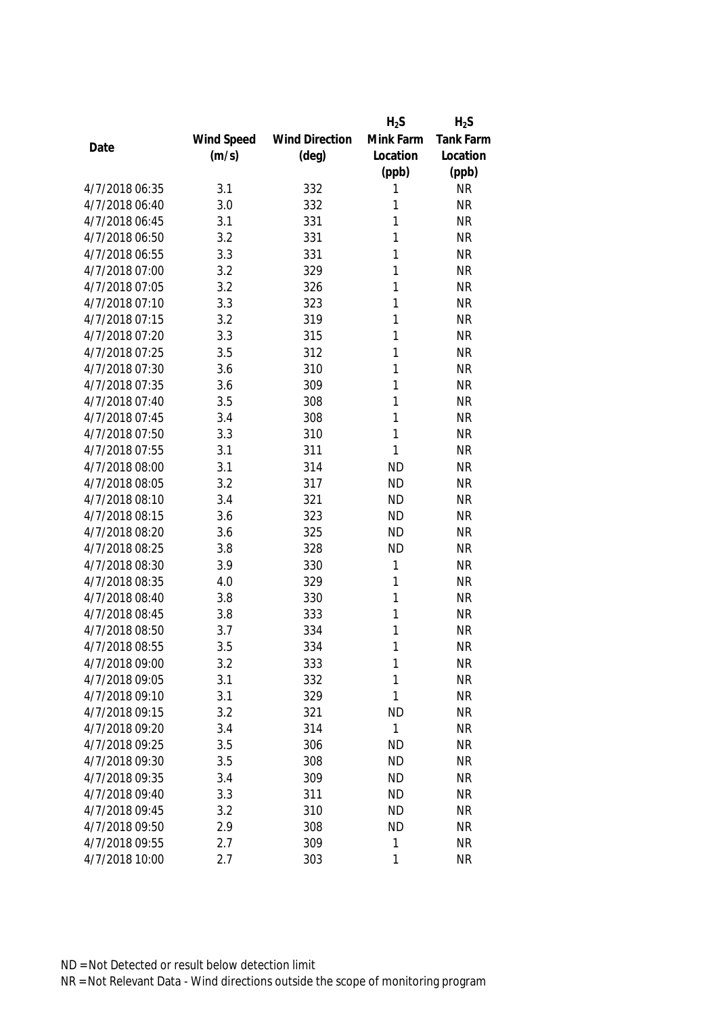|                |            |                       | $H_2S$       | $H_2S$           |
|----------------|------------|-----------------------|--------------|------------------|
|                | Wind Speed | <b>Wind Direction</b> | Mink Farm    | <b>Tank Farm</b> |
| Date           | (m/s)      | $(\text{deg})$        | Location     | Location         |
|                |            |                       | (ppb)        | (ppb)            |
| 4/7/2018 06:35 | 3.1        | 332                   | 1            | <b>NR</b>        |
| 4/7/2018 06:40 | 3.0        | 332                   | 1            | <b>NR</b>        |
| 4/7/2018 06:45 | 3.1        | 331                   | 1            | <b>NR</b>        |
| 4/7/2018 06:50 | 3.2        | 331                   | 1            | <b>NR</b>        |
| 4/7/2018 06:55 | 3.3        | 331                   | 1            | <b>NR</b>        |
| 4/7/2018 07:00 | 3.2        | 329                   | 1            | <b>NR</b>        |
| 4/7/2018 07:05 | 3.2        | 326                   | 1            | <b>NR</b>        |
| 4/7/2018 07:10 | 3.3        | 323                   | 1            | <b>NR</b>        |
| 4/7/2018 07:15 | 3.2        | 319                   | 1            | <b>NR</b>        |
| 4/7/2018 07:20 | 3.3        | 315                   | 1            | <b>NR</b>        |
| 4/7/2018 07:25 | 3.5        | 312                   | 1            | <b>NR</b>        |
| 4/7/2018 07:30 | 3.6        | 310                   | 1            | <b>NR</b>        |
| 4/7/2018 07:35 | 3.6        | 309                   | 1            | <b>NR</b>        |
| 4/7/2018 07:40 | 3.5        | 308                   | 1            | <b>NR</b>        |
| 4/7/2018 07:45 | 3.4        | 308                   | 1            | <b>NR</b>        |
| 4/7/2018 07:50 | 3.3        | 310                   | 1            | <b>NR</b>        |
| 4/7/2018 07:55 | 3.1        | 311                   | 1            | <b>NR</b>        |
| 4/7/2018 08:00 | 3.1        | 314                   | <b>ND</b>    | <b>NR</b>        |
| 4/7/2018 08:05 | 3.2        | 317                   | <b>ND</b>    | <b>NR</b>        |
| 4/7/2018 08:10 | 3.4        | 321                   | <b>ND</b>    | <b>NR</b>        |
| 4/7/2018 08:15 | 3.6        | 323                   | <b>ND</b>    | <b>NR</b>        |
| 4/7/2018 08:20 | 3.6        | 325                   | <b>ND</b>    | <b>NR</b>        |
| 4/7/2018 08:25 | 3.8        | 328                   | <b>ND</b>    | <b>NR</b>        |
| 4/7/2018 08:30 | 3.9        | 330                   | 1            | <b>NR</b>        |
| 4/7/2018 08:35 | 4.0        | 329                   | 1            | <b>NR</b>        |
| 4/7/2018 08:40 | 3.8        | 330                   | 1            | <b>NR</b>        |
| 4/7/2018 08:45 | 3.8        | 333                   | 1            | <b>NR</b>        |
| 4/7/2018 08:50 | 3.7        | 334                   | 1            | <b>NR</b>        |
| 4/7/2018 08:55 | 3.5        | 334                   | 1            | <b>NR</b>        |
| 4/7/2018 09:00 | 3.2        | 333                   | 1            | <b>NR</b>        |
| 4/7/2018 09:05 | 3.1        | 332                   | 1            | <b>NR</b>        |
| 4/7/2018 09:10 | 3.1        | 329                   | 1            | <b>NR</b>        |
| 4/7/2018 09:15 | 3.2        | 321                   | <b>ND</b>    | <b>NR</b>        |
| 4/7/2018 09:20 | 3.4        | 314                   | $\mathbf{1}$ | <b>NR</b>        |
| 4/7/2018 09:25 | 3.5        | 306                   | <b>ND</b>    | <b>NR</b>        |
| 4/7/2018 09:30 | 3.5        | 308                   | <b>ND</b>    | <b>NR</b>        |
| 4/7/2018 09:35 | 3.4        | 309                   | <b>ND</b>    | <b>NR</b>        |
| 4/7/2018 09:40 | 3.3        | 311                   | <b>ND</b>    | <b>NR</b>        |
| 4/7/2018 09:45 | 3.2        | 310                   | <b>ND</b>    | <b>NR</b>        |
| 4/7/2018 09:50 | 2.9        | 308                   | <b>ND</b>    | <b>NR</b>        |
| 4/7/2018 09:55 | 2.7        | 309                   | 1            | <b>NR</b>        |
| 4/7/2018 10:00 | 2.7        | 303                   | 1            | <b>NR</b>        |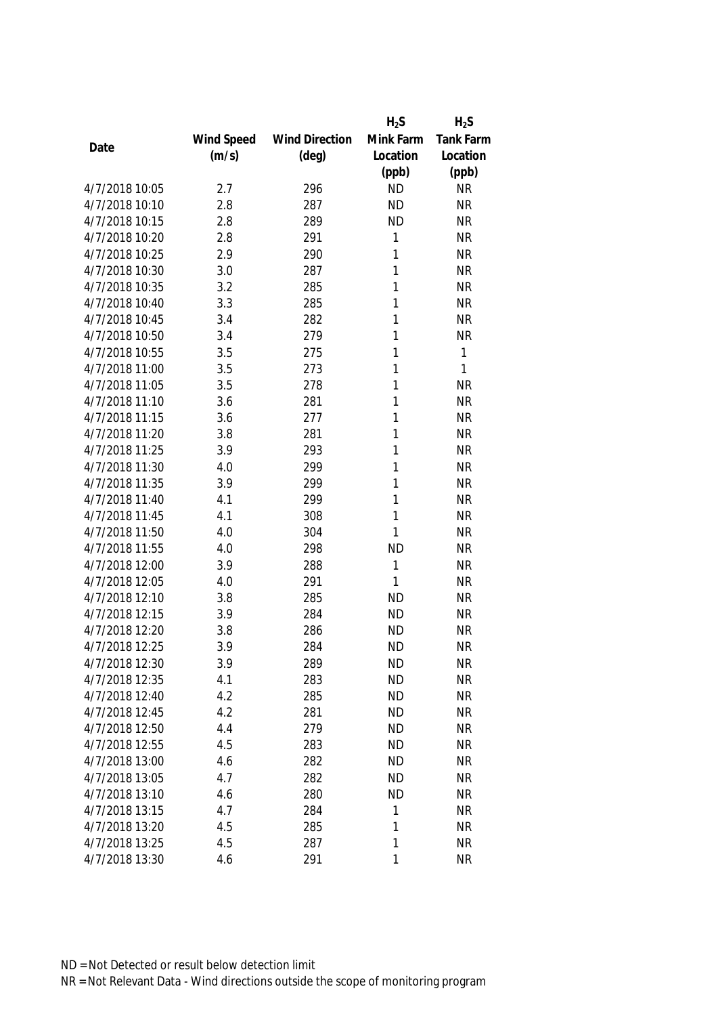| Mink Farm<br>Wind Speed<br><b>Wind Direction</b><br>Date | Tank Farm |
|----------------------------------------------------------|-----------|
|                                                          |           |
| (m/s)<br>$(\text{deg})$<br>Location                      | Location  |
| (ppb)                                                    | (ppb)     |
| 4/7/2018 10:05<br>2.7<br>296<br><b>ND</b>                | <b>NR</b> |
| 4/7/2018 10:10<br>2.8<br>287<br><b>ND</b>                | <b>NR</b> |
| 4/7/2018 10:15<br>2.8<br>289<br><b>ND</b>                | <b>NR</b> |
| 4/7/2018 10:20<br>1<br>2.8<br>291                        | <b>NR</b> |
| 4/7/2018 10:25<br>290<br>1<br>2.9                        | <b>NR</b> |
| 4/7/2018 10:30<br>3.0<br>287<br>1                        | <b>NR</b> |
| 4/7/2018 10:35<br>3.2<br>285<br>1                        | <b>NR</b> |
| 1<br>4/7/2018 10:40<br>285<br>3.3                        | <b>NR</b> |
| 4/7/2018 10:45<br>1<br>3.4<br>282                        | <b>NR</b> |
| 4/7/2018 10:50<br>3.4<br>279<br>1                        | <b>NR</b> |
| 4/7/2018 10:55<br>3.5<br>1<br>275                        | 1         |
| 1<br>4/7/2018 11:00<br>3.5<br>273                        | 1         |
| 4/7/2018 11:05<br>1<br>3.5<br>278                        | <b>NR</b> |
| 4/7/2018 11:10<br>281<br>1<br>3.6                        | <b>NR</b> |
| 4/7/2018 11:15<br>3.6<br>277<br>1                        | <b>NR</b> |
| 1<br>4/7/2018 11:20<br>3.8<br>281                        | <b>NR</b> |
| 4/7/2018 11:25<br>1<br>3.9<br>293                        | <b>NR</b> |
| 4/7/2018 11:30<br>4.0<br>299<br>1                        | <b>NR</b> |
| 4/7/2018 11:35<br>3.9<br>299<br>1                        | <b>NR</b> |
| 4/7/2018 11:40<br>4.1<br>299<br>1                        | <b>NR</b> |
| 4/7/2018 11:45<br>308<br>1<br>4.1                        | <b>NR</b> |
| 4/7/2018 11:50<br>4.0<br>304<br>1                        | <b>NR</b> |
| 4/7/2018 11:55<br>4.0<br>298<br><b>ND</b>                | <b>NR</b> |
| 4/7/2018 12:00<br>1<br>3.9<br>288                        | <b>NR</b> |
| 4/7/2018 12:05<br>4.0<br>291<br>1                        | <b>NR</b> |
| 4/7/2018 12:10<br>3.8<br>285<br><b>ND</b>                | <b>NR</b> |
| 4/7/2018 12:15<br>284<br><b>ND</b><br>3.9                | <b>NR</b> |
| 4/7/2018 12:20<br><b>ND</b><br>3.8<br>286                | <b>NR</b> |
| 284<br><b>ND</b><br>4/7/2018 12:25<br>3.9                | <b>NR</b> |
| <b>ND</b><br>4/7/2018 12:30<br>3.9<br>289                | <b>NR</b> |
| 4/7/2018 12:35<br>4.1<br>283<br><b>ND</b>                | <b>NR</b> |
| 4/7/2018 12:40<br>4.2<br>285<br><b>ND</b>                | <b>NR</b> |
| <b>ND</b><br>4/7/2018 12:45<br>4.2<br>281                | <b>NR</b> |
| 4/7/2018 12:50<br>4.4<br><b>ND</b><br>279                | <b>NR</b> |
| 4/7/2018 12:55<br>4.5<br><b>ND</b><br>283                | <b>NR</b> |
| 4/7/2018 13:00<br>4.6<br><b>ND</b><br>282                | <b>NR</b> |
| 4/7/2018 13:05<br>4.7<br>282<br><b>ND</b>                | <b>NR</b> |
| 4/7/2018 13:10<br>4.6<br>280<br><b>ND</b>                | <b>NR</b> |
| 4/7/2018 13:15<br>4.7<br>284<br>1                        | <b>NR</b> |
| 4/7/2018 13:20<br>4.5<br>285<br>1                        | <b>NR</b> |
| 1<br>4/7/2018 13:25<br>4.5<br>287                        | <b>NR</b> |
| 4/7/2018 13:30<br>$\mathbf{1}$<br>4.6<br>291             | <b>NR</b> |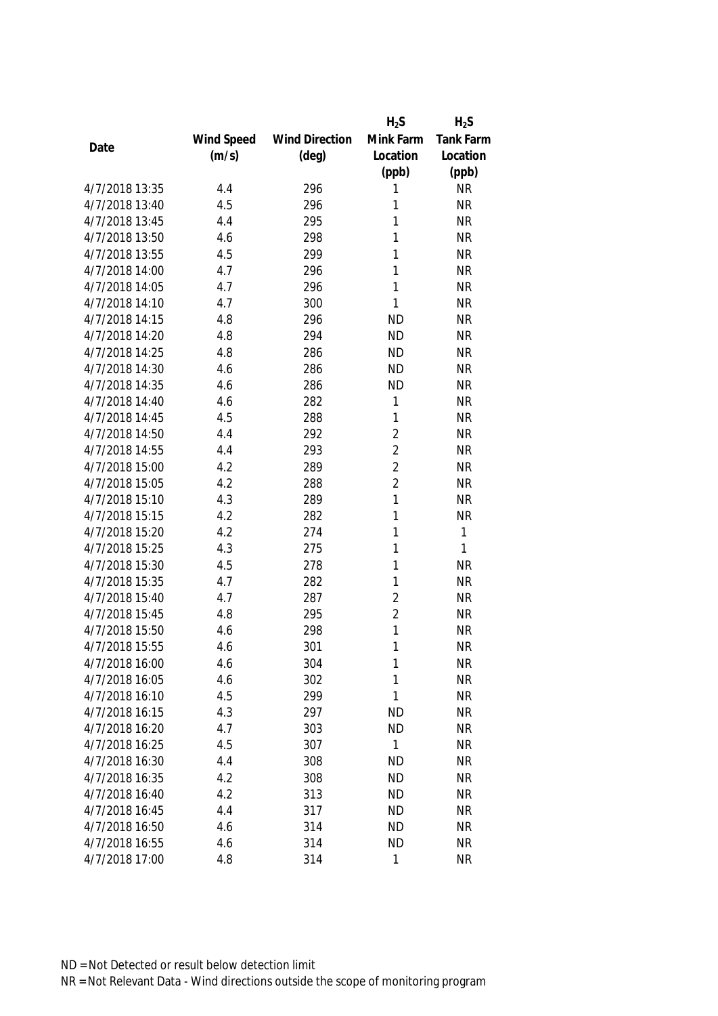|                |            |                       | $H_2S$         | $H_2S$    |
|----------------|------------|-----------------------|----------------|-----------|
|                | Wind Speed | <b>Wind Direction</b> | Mink Farm      | Tank Farm |
| Date           | (m/s)      | $(\text{deg})$        | Location       | Location  |
|                |            |                       | (ppb)          | (ppb)     |
| 4/7/2018 13:35 | 4.4        | 296                   | 1              | <b>NR</b> |
| 4/7/2018 13:40 | 4.5        | 296                   | 1              | <b>NR</b> |
| 4/7/2018 13:45 | 4.4        | 295                   | 1              | <b>NR</b> |
| 4/7/2018 13:50 | 4.6        | 298                   | 1              | <b>NR</b> |
| 4/7/2018 13:55 | 4.5        | 299                   | 1              | <b>NR</b> |
| 4/7/2018 14:00 | 4.7        | 296                   | 1              | <b>NR</b> |
| 4/7/2018 14:05 | 4.7        | 296                   | 1              | <b>NR</b> |
| 4/7/2018 14:10 | 4.7        | 300                   | $\mathbf{1}$   | <b>NR</b> |
| 4/7/2018 14:15 | 4.8        | 296                   | <b>ND</b>      | <b>NR</b> |
| 4/7/2018 14:20 | 4.8        | 294                   | <b>ND</b>      | <b>NR</b> |
| 4/7/2018 14:25 | 4.8        | 286                   | <b>ND</b>      | <b>NR</b> |
| 4/7/2018 14:30 | 4.6        | 286                   | <b>ND</b>      | <b>NR</b> |
| 4/7/2018 14:35 | 4.6        | 286                   | <b>ND</b>      | <b>NR</b> |
| 4/7/2018 14:40 | 4.6        | 282                   | 1              | <b>NR</b> |
| 4/7/2018 14:45 | 4.5        | 288                   | 1              | <b>NR</b> |
| 4/7/2018 14:50 | 4.4        | 292                   | $\overline{2}$ | <b>NR</b> |
| 4/7/2018 14:55 | 4.4        | 293                   | $\overline{2}$ | <b>NR</b> |
| 4/7/2018 15:00 | 4.2        | 289                   | $\overline{2}$ | <b>NR</b> |
| 4/7/2018 15:05 | 4.2        | 288                   | $\overline{2}$ | <b>NR</b> |
| 4/7/2018 15:10 | 4.3        | 289                   | 1              | <b>NR</b> |
| 4/7/2018 15:15 | 4.2        | 282                   | 1              | <b>NR</b> |
| 4/7/2018 15:20 | 4.2        | 274                   | 1              | 1         |
| 4/7/2018 15:25 | 4.3        | 275                   | 1              | 1         |
| 4/7/2018 15:30 | 4.5        | 278                   | 1              | <b>NR</b> |
| 4/7/2018 15:35 | 4.7        | 282                   | 1              | <b>NR</b> |
| 4/7/2018 15:40 | 4.7        | 287                   | $\overline{2}$ | <b>NR</b> |
| 4/7/2018 15:45 | 4.8        | 295                   | $\overline{2}$ | <b>NR</b> |
| 4/7/2018 15:50 | 4.6        | 298                   | 1              | <b>NR</b> |
| 4/7/2018 15:55 | 4.6        | 301                   | 1              | <b>NR</b> |
| 4/7/2018 16:00 | 4.6        | 304                   | 1              | <b>NR</b> |
| 4/7/2018 16:05 | 4.6        | 302                   | 1              | <b>NR</b> |
| 4/7/2018 16:10 | 4.5        | 299                   | 1              | <b>NR</b> |
| 4/7/2018 16:15 | 4.3        | 297                   | <b>ND</b>      | <b>NR</b> |
| 4/7/2018 16:20 | 4.7        | 303                   | <b>ND</b>      | <b>NR</b> |
| 4/7/2018 16:25 | 4.5        | 307                   | 1              | <b>NR</b> |
| 4/7/2018 16:30 | 4.4        | 308                   | <b>ND</b>      | <b>NR</b> |
| 4/7/2018 16:35 | 4.2        | 308                   | <b>ND</b>      | <b>NR</b> |
| 4/7/2018 16:40 | 4.2        | 313                   | <b>ND</b>      | <b>NR</b> |
| 4/7/2018 16:45 | 4.4        | 317                   | <b>ND</b>      | <b>NR</b> |
| 4/7/2018 16:50 | 4.6        | 314                   | <b>ND</b>      | <b>NR</b> |
| 4/7/2018 16:55 | 4.6        | 314                   | <b>ND</b>      | <b>NR</b> |
| 4/7/2018 17:00 | 4.8        | 314                   | 1              | <b>NR</b> |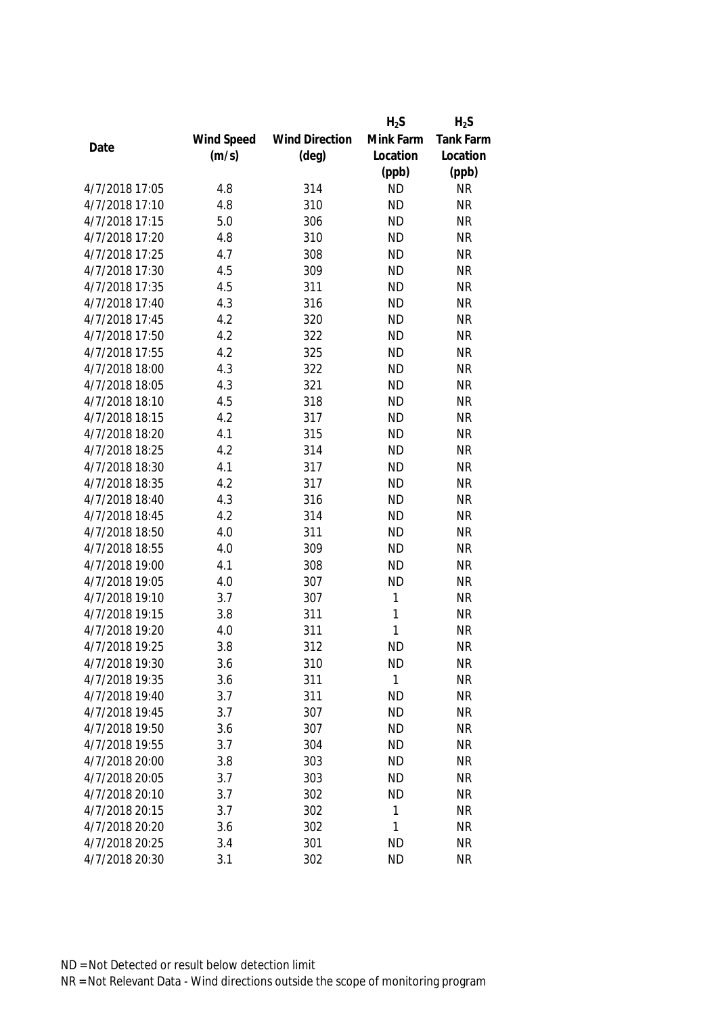|                |            |                       | $H_2S$       | $H_2S$    |
|----------------|------------|-----------------------|--------------|-----------|
|                | Wind Speed | <b>Wind Direction</b> | Mink Farm    | Tank Farm |
| Date           | (m/s)      | $(\text{deg})$        | Location     | Location  |
|                |            |                       | (ppb)        | (ppb)     |
| 4/7/2018 17:05 | 4.8        | 314                   | <b>ND</b>    | <b>NR</b> |
| 4/7/2018 17:10 | 4.8        | 310                   | <b>ND</b>    | <b>NR</b> |
| 4/7/2018 17:15 | 5.0        | 306                   | <b>ND</b>    | <b>NR</b> |
| 4/7/2018 17:20 | 4.8        | 310                   | <b>ND</b>    | <b>NR</b> |
| 4/7/2018 17:25 | 4.7        | 308                   | <b>ND</b>    | <b>NR</b> |
| 4/7/2018 17:30 | 4.5        | 309                   | <b>ND</b>    | <b>NR</b> |
| 4/7/2018 17:35 | 4.5        | 311                   | <b>ND</b>    | <b>NR</b> |
| 4/7/2018 17:40 | 4.3        | 316                   | <b>ND</b>    | <b>NR</b> |
| 4/7/2018 17:45 | 4.2        | 320                   | <b>ND</b>    | <b>NR</b> |
| 4/7/2018 17:50 | 4.2        | 322                   | <b>ND</b>    | <b>NR</b> |
| 4/7/2018 17:55 | 4.2        | 325                   | <b>ND</b>    | <b>NR</b> |
| 4/7/2018 18:00 | 4.3        | 322                   | <b>ND</b>    | <b>NR</b> |
| 4/7/2018 18:05 | 4.3        | 321                   | <b>ND</b>    | <b>NR</b> |
| 4/7/2018 18:10 | 4.5        | 318                   | <b>ND</b>    | <b>NR</b> |
| 4/7/2018 18:15 | 4.2        | 317                   | <b>ND</b>    | <b>NR</b> |
| 4/7/2018 18:20 | 4.1        | 315                   | <b>ND</b>    | <b>NR</b> |
| 4/7/2018 18:25 | 4.2        | 314                   | <b>ND</b>    | <b>NR</b> |
| 4/7/2018 18:30 | 4.1        | 317                   | <b>ND</b>    | <b>NR</b> |
| 4/7/2018 18:35 | 4.2        | 317                   | <b>ND</b>    | <b>NR</b> |
| 4/7/2018 18:40 | 4.3        | 316                   | <b>ND</b>    | <b>NR</b> |
| 4/7/2018 18:45 | 4.2        | 314                   | <b>ND</b>    | <b>NR</b> |
| 4/7/2018 18:50 | 4.0        | 311                   | <b>ND</b>    | <b>NR</b> |
| 4/7/2018 18:55 | 4.0        | 309                   | <b>ND</b>    | <b>NR</b> |
| 4/7/2018 19:00 | 4.1        | 308                   | <b>ND</b>    | <b>NR</b> |
| 4/7/2018 19:05 | 4.0        | 307                   | <b>ND</b>    | <b>NR</b> |
| 4/7/2018 19:10 | 3.7        | 307                   | 1            | <b>NR</b> |
| 4/7/2018 19:15 | 3.8        | 311                   | $\mathbf{1}$ | <b>NR</b> |
| 4/7/2018 19:20 | 4.0        | 311                   | $\mathbf{1}$ | <b>NR</b> |
| 4/7/2018 19:25 | 3.8        | 312                   | <b>ND</b>    | <b>NR</b> |
| 4/7/2018 19:30 | 3.6        | 310                   | <b>ND</b>    | <b>NR</b> |
| 4/7/2018 19:35 | 3.6        | 311                   | 1            | <b>NR</b> |
| 4/7/2018 19:40 | 3.7        | 311                   | <b>ND</b>    | <b>NR</b> |
| 4/7/2018 19:45 | 3.7        | 307                   | <b>ND</b>    | <b>NR</b> |
| 4/7/2018 19:50 | 3.6        | 307                   | <b>ND</b>    | <b>NR</b> |
| 4/7/2018 19:55 | 3.7        | 304                   | <b>ND</b>    | <b>NR</b> |
| 4/7/2018 20:00 | 3.8        | 303                   | <b>ND</b>    | <b>NR</b> |
| 4/7/2018 20:05 | 3.7        | 303                   | <b>ND</b>    | <b>NR</b> |
| 4/7/2018 20:10 | 3.7        | 302                   | <b>ND</b>    | <b>NR</b> |
| 4/7/2018 20:15 | 3.7        | 302                   | 1            | <b>NR</b> |
| 4/7/2018 20:20 | 3.6        | 302                   | 1            | <b>NR</b> |
| 4/7/2018 20:25 | 3.4        | 301                   | <b>ND</b>    | <b>NR</b> |
| 4/7/2018 20:30 | 3.1        | 302                   | <b>ND</b>    | <b>NR</b> |